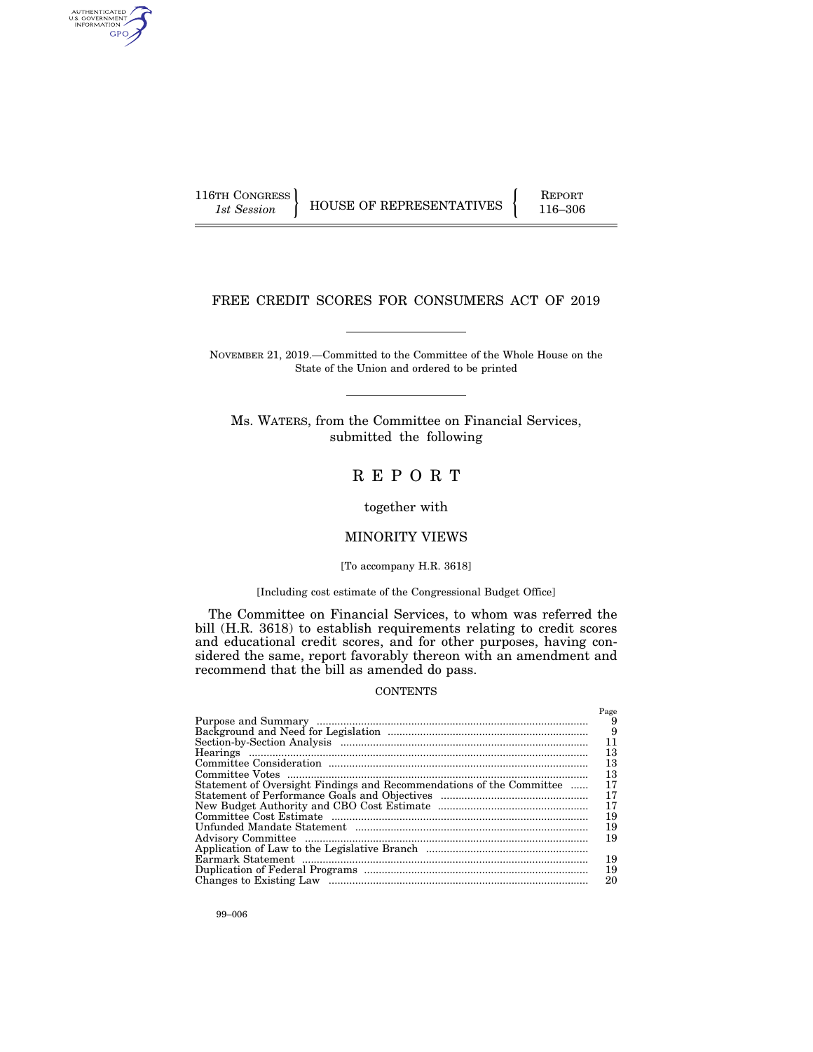AUTHENTICATED<br>U.S. GOVERNMENT<br>INFORMATION GPO

116TH CONGRESS HOUSE OF REPRESENTATIVES FEPORT 116–306

## FREE CREDIT SCORES FOR CONSUMERS ACT OF 2019

NOVEMBER 21, 2019.—Committed to the Committee of the Whole House on the State of the Union and ordered to be printed

Ms. WATERS, from the Committee on Financial Services, submitted the following

# R E P O R T

together with

## MINORITY VIEWS

#### [To accompany H.R. 3618]

### [Including cost estimate of the Congressional Budget Office]

The Committee on Financial Services, to whom was referred the bill (H.R. 3618) to establish requirements relating to credit scores and educational credit scores, and for other purposes, having considered the same, report favorably thereon with an amendment and recommend that the bill as amended do pass.

### **CONTENTS**

|                                                                      | Page |
|----------------------------------------------------------------------|------|
|                                                                      | 9    |
|                                                                      | 9    |
|                                                                      | 11   |
|                                                                      | 13   |
|                                                                      | 13   |
|                                                                      | 13   |
| Statement of Oversight Findings and Recommendations of the Committee | 17   |
|                                                                      | 17   |
|                                                                      | 17   |
|                                                                      | 19   |
|                                                                      | 19   |
|                                                                      | 19   |
|                                                                      |      |
|                                                                      | 19   |
|                                                                      | 19   |
|                                                                      | 20   |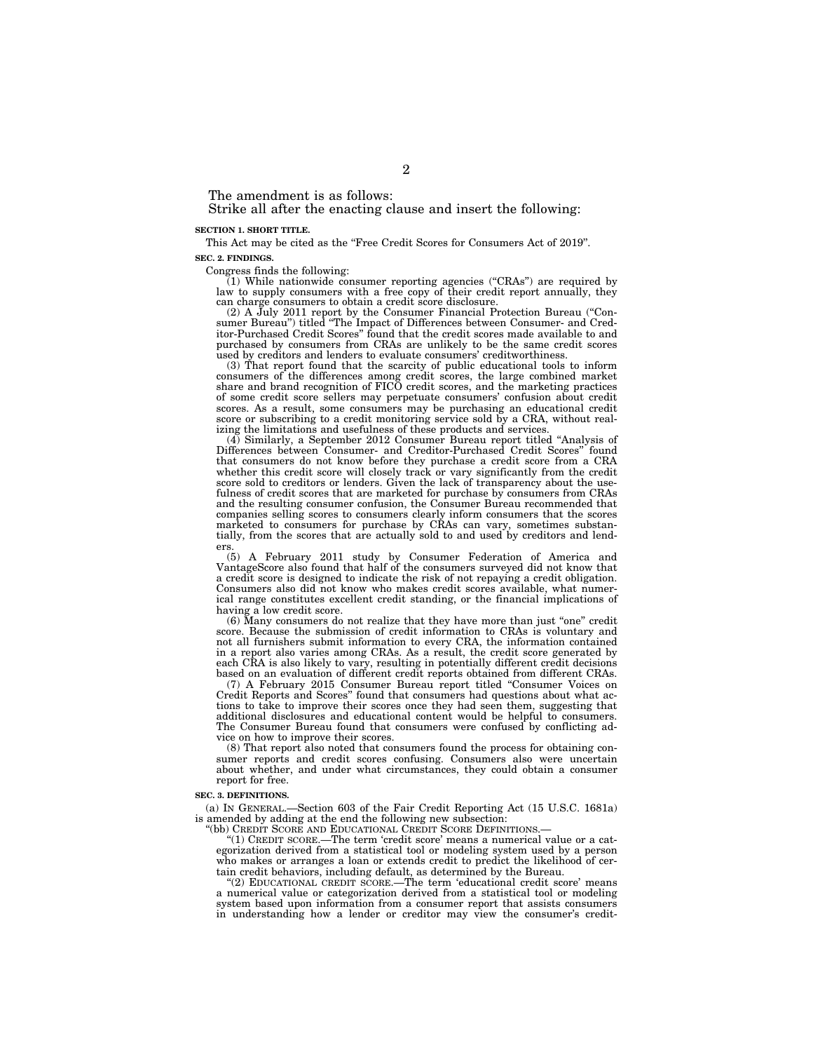The amendment is as follows:

Strike all after the enacting clause and insert the following:

#### **SECTION 1. SHORT TITLE.**

This Act may be cited as the "Free Credit Scores for Consumers Act of 2019". **SEC. 2. FINDINGS.** 

Congress finds the following:

(1) While nationwide consumer reporting agencies (''CRAs'') are required by law to supply consumers with a free copy of their credit report annually, they can charge consumers to obtain a credit score disclosure.

(2) A July 2011 report by the Consumer Financial Protection Bureau (''Consumer Bureau'') titled ''The Impact of Differences between Consumer- and Creditor-Purchased Credit Scores'' found that the credit scores made available to and purchased by consumers from CRAs are unlikely to be the same credit scores used by creditors and lenders to evaluate consumers' creditworthiness.

(3) That report found that the scarcity of public educational tools to inform consumers of the differences among credit scores, the large combined market share and brand recognition of FICO credit scores, and the marketing practices of some credit score sellers may perpetuate consumers' confusion about credit scores. As a result, some consumers may be purchasing an educational credit score or subscribing to a credit monitoring service sold by a CRA, without realizing the limitations and usefulness of these products and services.

(4) Similarly, a September 2012 Consumer Bureau report titled ''Analysis of Differences between Consumer- and Creditor-Purchased Credit Scores'' found that consumers do not know before they purchase a credit score from a CRA whether this credit score will closely track or vary significantly from the credit score sold to creditors or lenders. Given the lack of transparency about the usefulness of credit scores that are marketed for purchase by consumers from CRAs and the resulting consumer confusion, the Consumer Bureau recommended that companies selling scores to consumers clearly inform consumers that the scores marketed to consumers for purchase by CRAs can vary, sometimes substantially, from the scores that are actually sold to and used by creditors and lenders.

(5) A February 2011 study by Consumer Federation of America and VantageScore also found that half of the consumers surveyed did not know that a credit score is designed to indicate the risk of not repaying a credit obligation. Consumers also did not know who makes credit scores available, what numerical range constitutes excellent credit standing, or the financial implications of having a low credit score.

(6) Many consumers do not realize that they have more than just ''one'' credit score. Because the submission of credit information to CRAs is voluntary and not all furnishers submit information to every CRA, the information contained in a report also varies among CRAs. As a result, the credit score generated by each CRA is also likely to vary, resulting in potentially different credit decisions based on an evaluation of different credit reports obtained from different CRAs.

(7) A February 2015 Consumer Bureau report titled ''Consumer Voices on Credit Reports and Scores'' found that consumers had questions about what actions to take to improve their scores once they had seen them, suggesting that additional disclosures and educational content would be helpful to consumers. The Consumer Bureau found that consumers were confused by conflicting advice on how to improve their scores.

(8) That report also noted that consumers found the process for obtaining consumer reports and credit scores confusing. Consumers also were uncertain about whether, and under what circumstances, they could obtain a consumer report for free.

#### **SEC. 3. DEFINITIONS.**

(a) IN GENERAL.—Section 603 of the Fair Credit Reporting Act (15 U.S.C. 1681a) is amended by adding at the end the following new subsection:

''(bb) CREDIT SCORE AND EDUCATIONAL CREDIT SCORE DEFINITIONS.—

"(1)  $C$ REDIT SCORE.—The term 'credit score' means a numerical value or a categorization derived from a statistical tool or modeling system used by a person who makes or arranges a loan or extends credit to predict the likelihood of certain credit behaviors, including default, as determined by the Bureau.

''(2) EDUCATIONAL CREDIT SCORE.—The term 'educational credit score' means a numerical value or categorization derived from a statistical tool or modeling system based upon information from a consumer report that assists consumers in understanding how a lender or creditor may view the consumer's credit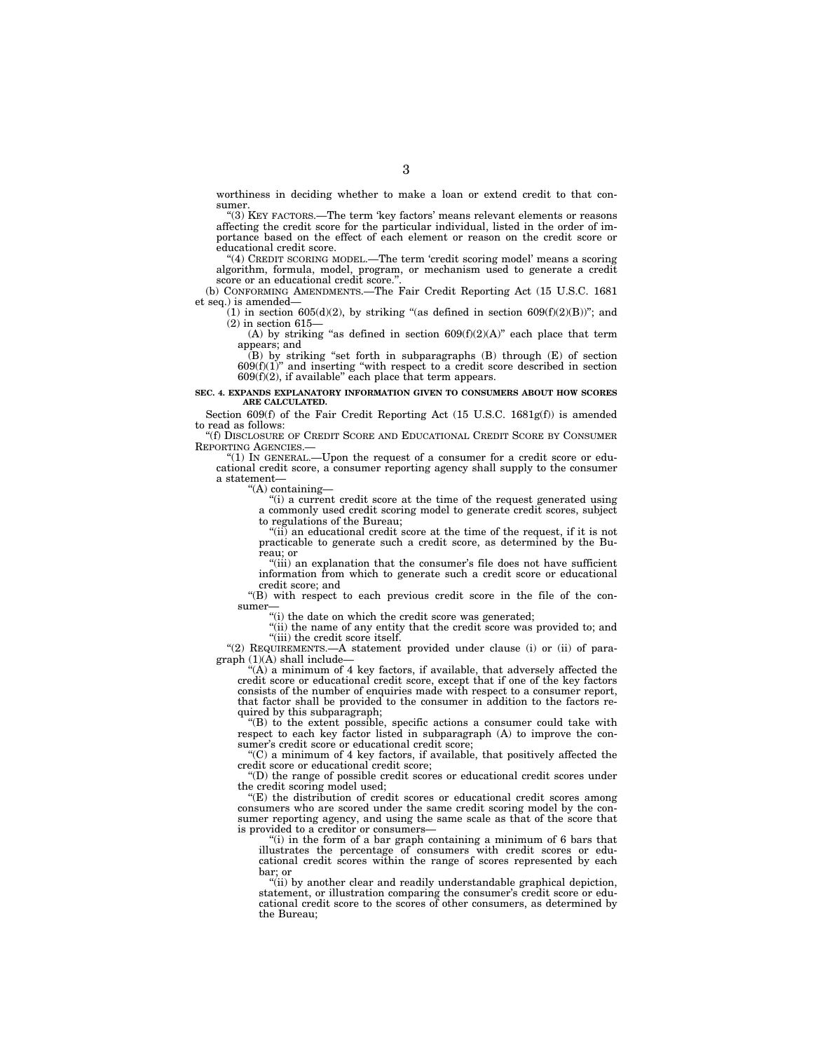worthiness in deciding whether to make a loan or extend credit to that consumer.

''(3) KEY FACTORS.—The term 'key factors' means relevant elements or reasons affecting the credit score for the particular individual, listed in the order of importance based on the effect of each element or reason on the credit score or educational credit score.

''(4) CREDIT SCORING MODEL.—The term 'credit scoring model' means a scoring algorithm, formula, model, program, or mechanism used to generate a credit score or an educational credit score.'

(b) CONFORMING AMENDMENTS.—The Fair Credit Reporting Act (15 U.S.C. 1681 et seq.) is amended—

(1) in section 605(d)(2), by striking "(as defined in section 609(f)(2)(B))"; and  $(2)$  in section 615–

(A) by striking "as defined in section  $609(f)(2)(A)$ " each place that term appears; and

(B) by striking ''set forth in subparagraphs (B) through (E) of section  $609(f)(1)$ " and inserting "with respect to a credit score described in section  $609(f)(2)$ , if available" each place that term appears.

#### **SEC. 4. EXPANDS EXPLANATORY INFORMATION GIVEN TO CONSUMERS ABOUT HOW SCORES ARE CALCULATED.**

Section 609(f) of the Fair Credit Reporting Act (15 U.S.C. 1681g(f)) is amended to read as follows:

''(f) DISCLOSURE OF CREDIT SCORE AND EDUCATIONAL CREDIT SCORE BY CONSUMER REPORTING AGENCIES.—

" $(1)$  In GENERAL.—Upon the request of a consumer for a credit score or educational credit score, a consumer reporting agency shall supply to the consumer a statement—

''(A) containing—

''(i) a current credit score at the time of the request generated using a commonly used credit scoring model to generate credit scores, subject to regulations of the Bureau;

"(ii) an educational credit score at the time of the request, if it is not practicable to generate such a credit score, as determined by the Bureau; or

"(iii) an explanation that the consumer's file does not have sufficient information from which to generate such a credit score or educational credit score; and

''(B) with respect to each previous credit score in the file of the consumer—

"(i) the date on which the credit score was generated;

''(ii) the name of any entity that the credit score was provided to; and ''(iii) the credit score itself.

"(2) REQUIREMENTS.—A statement provided under clause (i) or (ii) of paragraph (1)(A) shall include—

 $\hat{H}(A)$  a minimum of 4 key factors, if available, that adversely affected the credit score or educational credit score, except that if one of the key factors consists of the number of enquiries made with respect to a consumer report, that factor shall be provided to the consumer in addition to the factors required by this subparagraph;

''(B) to the extent possible, specific actions a consumer could take with respect to each key factor listed in subparagraph (A) to improve the consumer's credit score or educational credit score;

''(C) a minimum of 4 key factors, if available, that positively affected the credit score or educational credit score;

''(D) the range of possible credit scores or educational credit scores under the credit scoring model used;

''(E) the distribution of credit scores or educational credit scores among consumers who are scored under the same credit scoring model by the consumer reporting agency, and using the same scale as that of the score that is provided to a creditor or consumers—

''(i) in the form of a bar graph containing a minimum of 6 bars that illustrates the percentage of consumers with credit scores or educational credit scores within the range of scores represented by each

bar; or ''(ii) by another clear and readily understandable graphical depiction, statement, or illustration comparing the consumer's credit score or educational credit score to the scores of other consumers, as determined by the Bureau;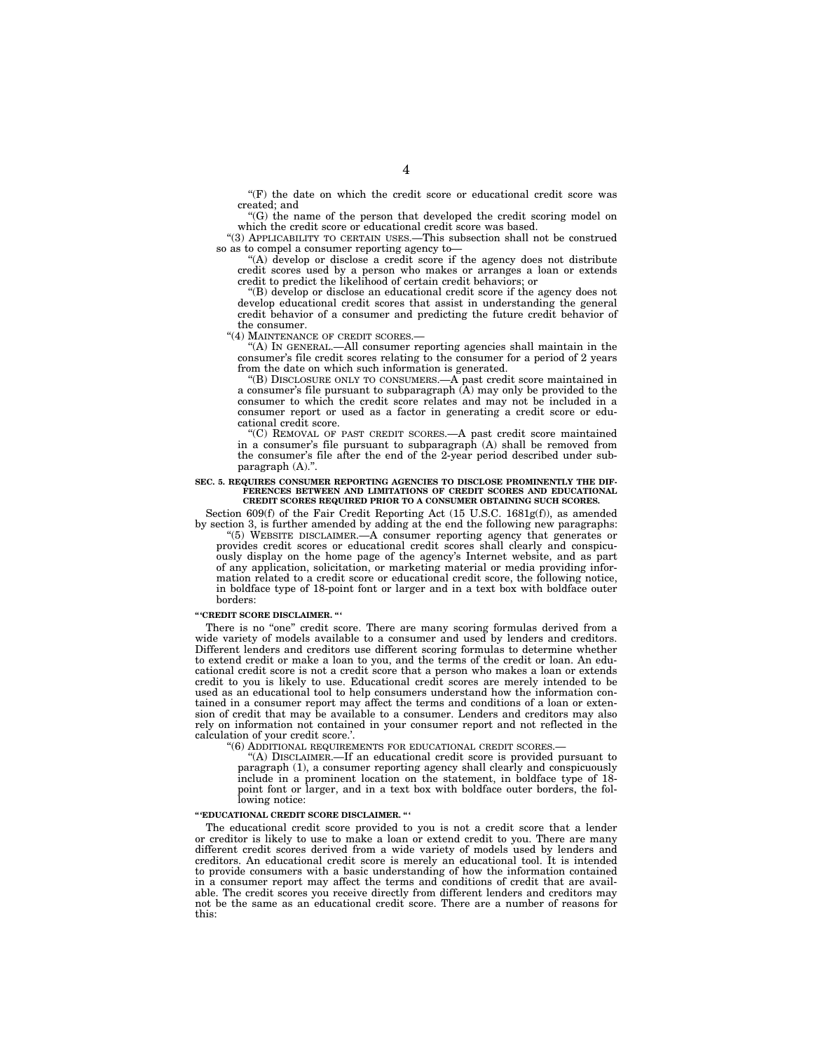"(F) the date on which the credit score or educational credit score was created; and

''(G) the name of the person that developed the credit scoring model on which the credit score or educational credit score was based.

''(3) APPLICABILITY TO CERTAIN USES.—This subsection shall not be construed so as to compel a consumer reporting agency to—

''(A) develop or disclose a credit score if the agency does not distribute credit scores used by a person who makes or arranges a loan or extends credit to predict the likelihood of certain credit behaviors; or

''(B) develop or disclose an educational credit score if the agency does not develop educational credit scores that assist in understanding the general credit behavior of a consumer and predicting the future credit behavior of the consumer.

"(4) MAINTENANCE OF CREDIT SCORES.-

''(A) IN GENERAL.—All consumer reporting agencies shall maintain in the consumer's file credit scores relating to the consumer for a period of 2 years from the date on which such information is generated.

''(B) DISCLOSURE ONLY TO CONSUMERS.—A past credit score maintained in a consumer's file pursuant to subparagraph (A) may only be provided to the consumer to which the credit score relates and may not be included in a consumer report or used as a factor in generating a credit score or educational credit score.

''(C) REMOVAL OF PAST CREDIT SCORES.—A past credit score maintained in a consumer's file pursuant to subparagraph (A) shall be removed from the consumer's file after the end of the 2-year period described under subparagraph (A).''.

#### **SEC. 5. REQUIRES CONSUMER REPORTING AGENCIES TO DISCLOSE PROMINENTLY THE DIF-FERENCES BETWEEN AND LIMITATIONS OF CREDIT SCORES AND EDUCATIONAL CREDIT SCORES REQUIRED PRIOR TO A CONSUMER OBTAINING SUCH SCORES.**

Section 609(f) of the Fair Credit Reporting Act (15 U.S.C. 1681g(f)), as amended by section 3, is further amended by adding at the end the following new paragraphs:

''(5) WEBSITE DISCLAIMER.—A consumer reporting agency that generates or provides credit scores or educational credit scores shall clearly and conspicuously display on the home page of the agency's Internet website, and as part of any application, solicitation, or marketing material or media providing information related to a credit score or educational credit score, the following notice, in boldface type of 18-point font or larger and in a text box with boldface outer borders:

#### **'' 'CREDIT SCORE DISCLAIMER. '' '**

There is no "one" credit score. There are many scoring formulas derived from a wide variety of models available to a consumer and used by lenders and creditors. Different lenders and creditors use different scoring formulas to determine whether to extend credit or make a loan to you, and the terms of the credit or loan. An educational credit score is not a credit score that a person who makes a loan or extends credit to you is likely to use. Educational credit scores are merely intended to be used as an educational tool to help consumers understand how the information contained in a consumer report may affect the terms and conditions of a loan or extension of credit that may be available to a consumer. Lenders and creditors may also rely on information not contained in your consumer report and not reflected in the calculation of your credit score.'.

"(6) ADDITIONAL REQUIREMENTS FOR EDUCATIONAL CREDIT SCORES.-

''(A) DISCLAIMER.—If an educational credit score is provided pursuant to paragraph (1), a consumer reporting agency shall clearly and conspicuously include in a prominent location on the statement, in boldface type of 18 point font or larger, and in a text box with boldface outer borders, the following notice:

#### **'' 'EDUCATIONAL CREDIT SCORE DISCLAIMER. '' '**

The educational credit score provided to you is not a credit score that a lender or creditor is likely to use to make a loan or extend credit to you. There are many different credit scores derived from a wide variety of models used by lenders and creditors. An educational credit score is merely an educational tool. It is intended to provide consumers with a basic understanding of how the information contained in a consumer report may affect the terms and conditions of credit that are available. The credit scores you receive directly from different lenders and creditors may not be the same as an educational credit score. There are a number of reasons for this: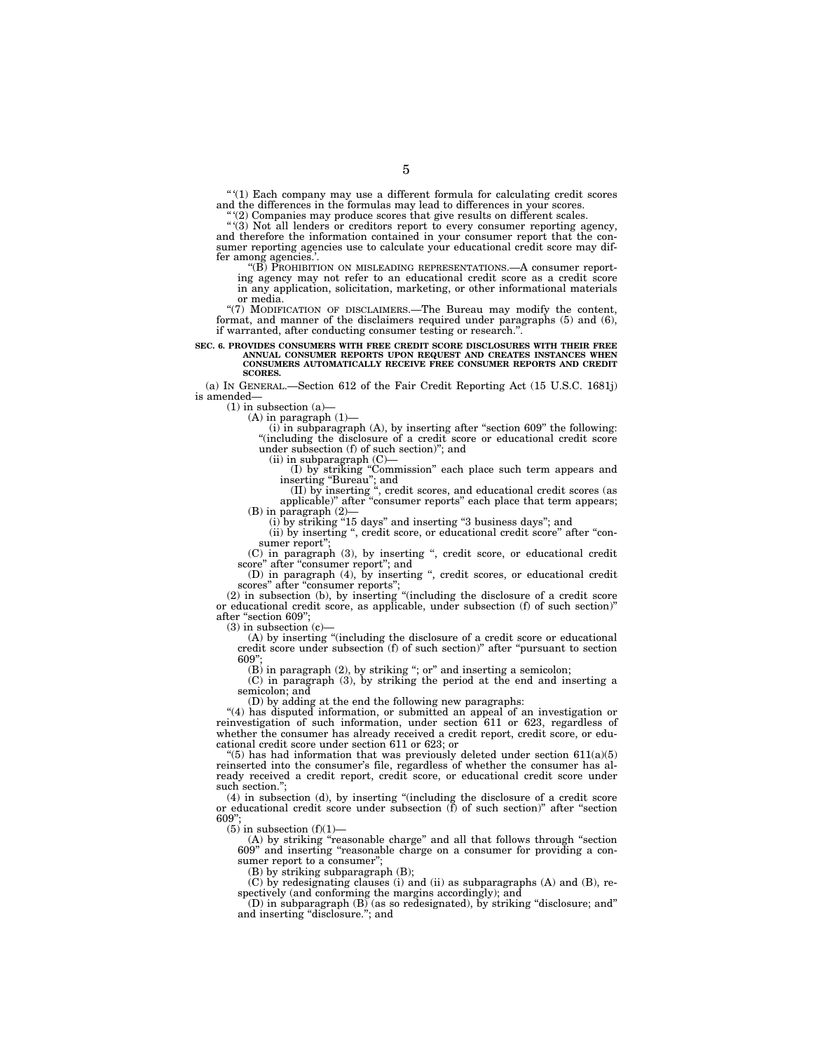'' '(1) Each company may use a different formula for calculating credit scores and the differences in the formulas may lead to differences in your scores.

 $(2)$  Companies may produce scores that give results on different scales.

"(3) Not all lenders or creditors report to every consumer reporting agency, and therefore the information contained in your consumer report that the consumer reporting agencies use to calculate your educational credit score may differ among agencies.'.<br>"(B) PROHIBITION ON MISLEADING REPRESENTATIONS.—A consumer report-

ing agency may not refer to an educational credit score as a credit score in any application, solicitation, marketing, or other informational materials or media.

"(7) MODIFICATION OF DISCLAIMERS.—The Bureau may modify the content, format, and manner of the disclaimers required under paragraphs (5) and (6), if warranted, after conducting consumer testing or research."

**SEC. 6. PROVIDES CONSUMERS WITH FREE CREDIT SCORE DISCLOSURES WITH THEIR FREE ANNUAL CONSUMER REPORTS UPON REQUEST AND CREATES INSTANCES WHEN CONSUMERS AUTOMATICALLY RECEIVE FREE CONSUMER REPORTS AND CREDIT SCORES.** 

(a) IN GENERAL.—Section 612 of the Fair Credit Reporting Act (15 U.S.C. 1681j) is amended—

 $(1)$  in subsection  $(a)$ -

 $(A)$  in paragraph  $(1)$ –

 $(i)$  in subparagraph  $(A)$ , by inserting after "section 609" the following: ''(including the disclosure of a credit score or educational credit score under subsection (f) of such section)''; and

(ii) in subparagraph (C)—<br>(I) by striking "Commission" each place such term appears and<br>inserting "Bureau"; and<br>(II) by inserting ", credit scores, and educational credit scores (as<br>applicable)" after "consumer reports" e

 $(B)$  in paragraph  $(2)$ 

(i) by striking ''15 days'' and inserting ''3 business days''; and

(ii) by inserting ", credit score, or educational credit score" after "consumer report'';

(C) in paragraph (3), by inserting '', credit score, or educational credit score" after "consumer report"; and

(D) in paragraph (4), by inserting '', credit scores, or educational credit

scores" after "consumer reports";<br>
(2) in subsection (b), by inserting "(including the disclosure of a credit score<br>
or educational credit score, as applicable, under subsection (f) of such section)" after "section 609";

 $(3)$  in subsection  $(c)$ 

(A) by inserting ''(including the disclosure of a credit score or educational credit score under subsection (f) of such section)'' after ''pursuant to section 609

 $(B)$  in paragraph  $(2)$ , by striking "; or" and inserting a semicolon;

(C) in paragraph (3), by striking the period at the end and inserting a semicolon; and

(D) by adding at the end the following new paragraphs:

''(4) has disputed information, or submitted an appeal of an investigation or reinvestigation of such information, under section 611 or 623, regardless of whether the consumer has already received a credit report, credit score, or educational credit score under section 611 or 623; or

 $(5)$  has had information that was previously deleted under section  $611(a)(5)$ reinserted into the consumer's file, regardless of whether the consumer has already received a credit report, credit score, or educational credit score under such section.'';

(4) in subsection (d), by inserting ''(including the disclosure of a credit score or educational credit score under subsection (f) of such section)'' after ''section 609'';

 $(5)$  in subsection  $(f)(1)$ —

(A) by striking "reasonable charge" and all that follows through "section 609'' and inserting ''reasonable charge on a consumer for providing a consumer report to a consumer'';

(B) by striking subparagraph (B);

(C) by redesignating clauses (i) and (ii) as subparagraphs (A) and (B), respectively (and conforming the margins accordingly); and

(D) in subparagraph (B) (as so redesignated), by striking ''disclosure; and'' and inserting ''disclosure.''; and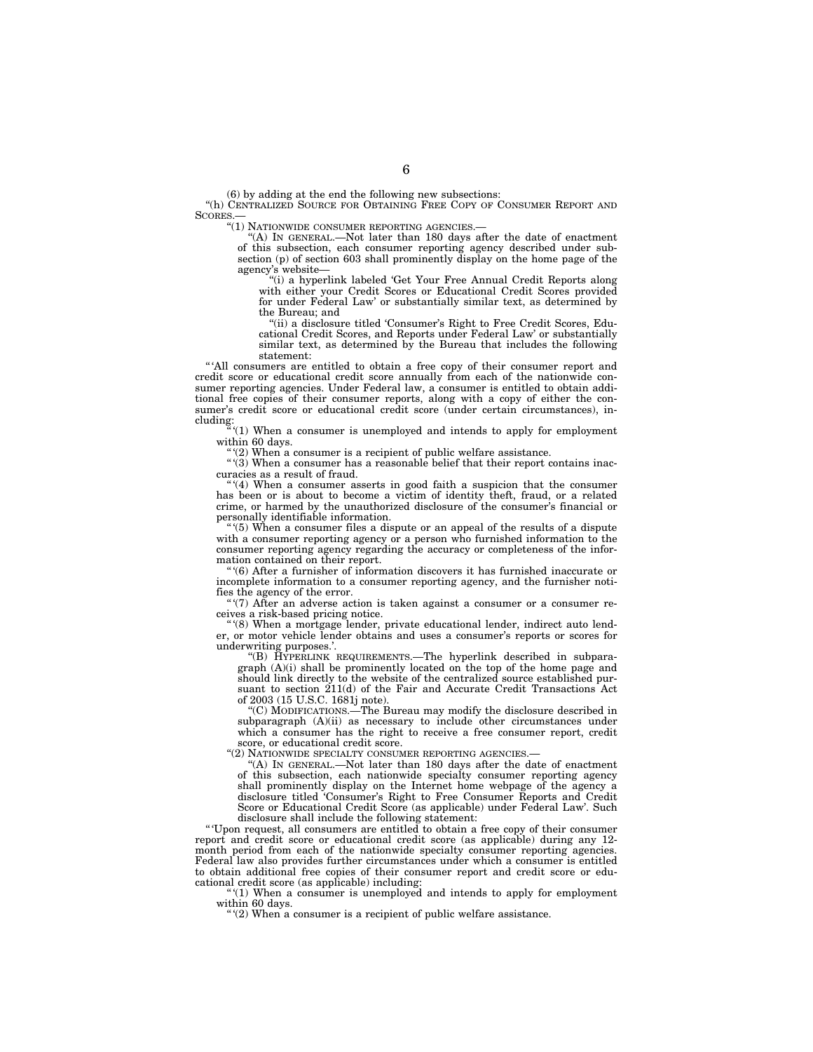(6) by adding at the end the following new subsections: ''(h) CENTRALIZED SOURCE FOR OBTAINING FREE COPY OF CONSUMER REPORT AND SCORES.—

''(1) NATIONWIDE CONSUMER REPORTING AGENCIES.—

''(A) IN GENERAL.—Not later than 180 days after the date of enactment of this subsection, each consumer reporting agency described under subsection (p) of section 603 shall prominently display on the home page of the agency's website—

''(i) a hyperlink labeled 'Get Your Free Annual Credit Reports along with either your Credit Scores or Educational Credit Scores provided for under Federal Law' or substantially similar text, as determined by the Bureau; and

''(ii) a disclosure titled 'Consumer's Right to Free Credit Scores, Educational Credit Scores, and Reports under Federal Law' or substantially similar text, as determined by the Bureau that includes the following statement:

'' 'All consumers are entitled to obtain a free copy of their consumer report and credit score or educational credit score annually from each of the nationwide consumer reporting agencies. Under Federal law, a consumer is entitled to obtain additional free copies of their consumer reports, along with a copy of either the consumer's credit score or educational credit score (under certain circumstances), including:

 $f''(1)$  When a consumer is unemployed and intends to apply for employment within 60 days.

'' '(2) When a consumer is a recipient of public welfare assistance.

 $``$ (3) When a consumer has a reasonable belief that their report contains inaccuracies as a result of fraud.

'(4) When a consumer asserts in good faith a suspicion that the consumer has been or is about to become a victim of identity theft, fraud, or a related crime, or harmed by the unauthorized disclosure of the consumer's financial or personally identifiable information.

 $'(5)$  When a consumer files a dispute or an appeal of the results of a dispute with a consumer reporting agency or a person who furnished information to the consumer reporting agency regarding the accuracy or completeness of the information contained on their report.

'' '(6) After a furnisher of information discovers it has furnished inaccurate or incomplete information to a consumer reporting agency, and the furnisher notifies the agency of the error.

'' '(7) After an adverse action is taken against a consumer or a consumer receives a risk-based pricing notice.

'' '(8) When a mortgage lender, private educational lender, indirect auto lender, or motor vehicle lender obtains and uses a consumer's reports or scores for underwriting purposes.'.

''(B) HYPERLINK REQUIREMENTS.—The hyperlink described in subparagraph (A)(i) shall be prominently located on the top of the home page and should link directly to the website of the centralized source established pursuant to section 211(d) of the Fair and Accurate Credit Transactions Act of 2003 (15 U.S.C. 1681j note).

''(C) MODIFICATIONS.—The Bureau may modify the disclosure described in subparagraph (A)(ii) as necessary to include other circumstances under which a consumer has the right to receive a free consumer report, credit score, or educational credit score.

"(2) NATIONWIDE SPECIALTY CONSUMER REPORTING AGENCIES.-

''(A) IN GENERAL.—Not later than 180 days after the date of enactment of this subsection, each nationwide specialty consumer reporting agency shall prominently display on the Internet home webpage of the agency a disclosure titled 'Consumer's Right to Free Consumer Reports and Credit Score or Educational Credit Score (as applicable) under Federal Law'. Such disclosure shall include the following statement:

'' 'Upon request, all consumers are entitled to obtain a free copy of their consumer report and credit score or educational credit score (as applicable) during any 12 month period from each of the nationwide specialty consumer reporting agencies. Federal law also provides further circumstances under which a consumer is entitled to obtain additional free copies of their consumer report and credit score or educational credit score (as applicable) including:

'' '(1) When a consumer is unemployed and intends to apply for employment within 60 days.

'' '(2) When a consumer is a recipient of public welfare assistance.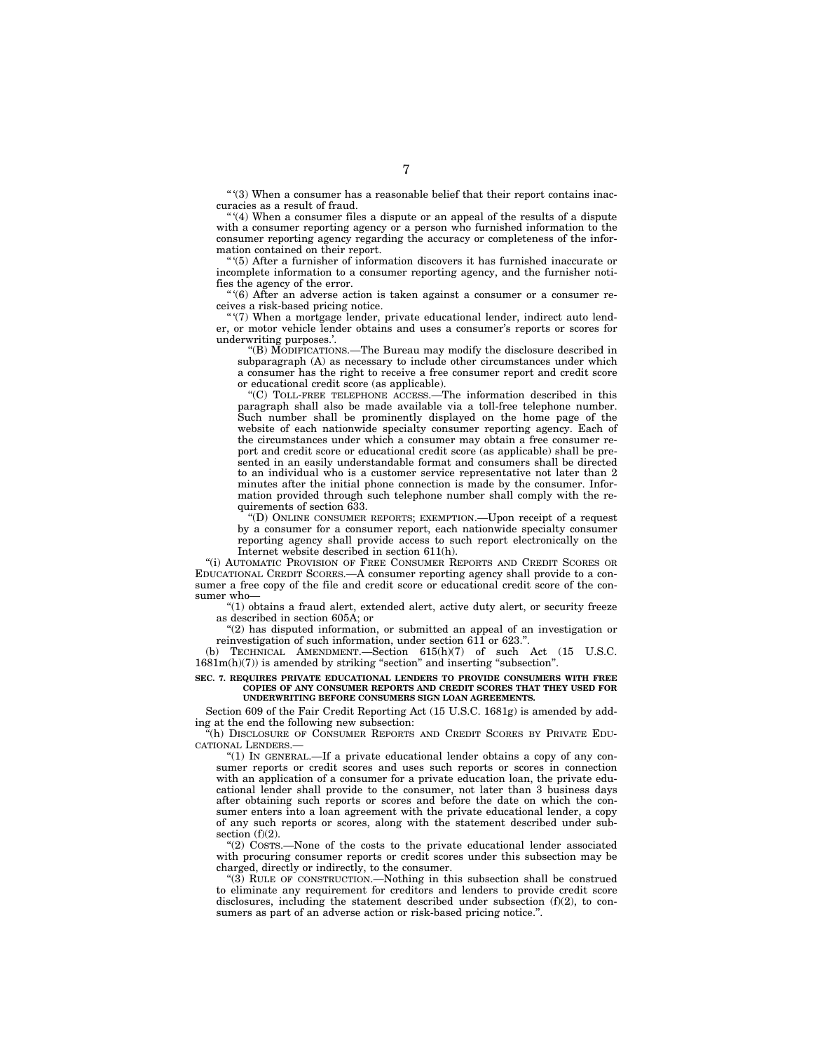'' '(3) When a consumer has a reasonable belief that their report contains inaccuracies as a result of fraud.

 $'(4)$  When a consumer files a dispute or an appeal of the results of a dispute with a consumer reporting agency or a person who furnished information to the consumer reporting agency regarding the accuracy or completeness of the information contained on their report.

'(5) After a furnisher of information discovers it has furnished inaccurate or incomplete information to a consumer reporting agency, and the furnisher notifies the agency of the error.

 $(1)$   $(6)$  After an adverse action is taken against a consumer or a consumer receives a risk-based pricing notice.

 $(7)$  When a mortgage lender, private educational lender, indirect auto lender, or motor vehicle lender obtains and uses a consumer's reports or scores for underwriting purposes.'.

"(B) MODIFICATIONS.—The Bureau may modify the disclosure described in subparagraph (A) as necessary to include other circumstances under which a consumer has the right to receive a free consumer report and credit score or educational credit score (as applicable).

''(C) TOLL-FREE TELEPHONE ACCESS.—The information described in this paragraph shall also be made available via a toll-free telephone number. Such number shall be prominently displayed on the home page of the website of each nationwide specialty consumer reporting agency. Each of the circumstances under which a consumer may obtain a free consumer report and credit score or educational credit score (as applicable) shall be presented in an easily understandable format and consumers shall be directed to an individual who is a customer service representative not later than 2 minutes after the initial phone connection is made by the consumer. Information provided through such telephone number shall comply with the requirements of section 633.

''(D) ONLINE CONSUMER REPORTS; EXEMPTION.—Upon receipt of a request by a consumer for a consumer report, each nationwide specialty consumer reporting agency shall provide access to such report electronically on the Internet website described in section 611(h).

''(i) AUTOMATIC PROVISION OF FREE CONSUMER REPORTS AND CREDIT SCORES OR EDUCATIONAL CREDIT SCORES.—A consumer reporting agency shall provide to a consumer a free copy of the file and credit score or educational credit score of the consumer who—

''(1) obtains a fraud alert, extended alert, active duty alert, or security freeze as described in section 605A; or

''(2) has disputed information, or submitted an appeal of an investigation or reinvestigation of such information, under section 611 or 623.''.

(b) TECHNICAL AMENDMENT.—Section 615(h)(7) of such Act (15 U.S.C.  $1681m(h)(7)$ ) is amended by striking "section" and inserting "subsection".

#### **SEC. 7. REQUIRES PRIVATE EDUCATIONAL LENDERS TO PROVIDE CONSUMERS WITH FREE COPIES OF ANY CONSUMER REPORTS AND CREDIT SCORES THAT THEY USED FOR UNDERWRITING BEFORE CONSUMERS SIGN LOAN AGREEMENTS.**

Section 609 of the Fair Credit Reporting Act (15 U.S.C. 1681g) is amended by adding at the end the following new subsection:

''(h) DISCLOSURE OF CONSUMER REPORTS AND CREDIT SCORES BY PRIVATE EDU-CATIONAL LENDERS.—

" $(1)$  In GENERAL.—If a private educational lender obtains a copy of any consumer reports or credit scores and uses such reports or scores in connection with an application of a consumer for a private education loan, the private educational lender shall provide to the consumer, not later than 3 business days after obtaining such reports or scores and before the date on which the consumer enters into a loan agreement with the private educational lender, a copy of any such reports or scores, along with the statement described under subsection  $(f)(2)$ .

''(2) COSTS.—None of the costs to the private educational lender associated with procuring consumer reports or credit scores under this subsection may be charged, directly or indirectly, to the consumer.

''(3) RULE OF CONSTRUCTION.—Nothing in this subsection shall be construed to eliminate any requirement for creditors and lenders to provide credit score disclosures, including the statement described under subsection  $(f)(2)$ , to consumers as part of an adverse action or risk-based pricing notice.".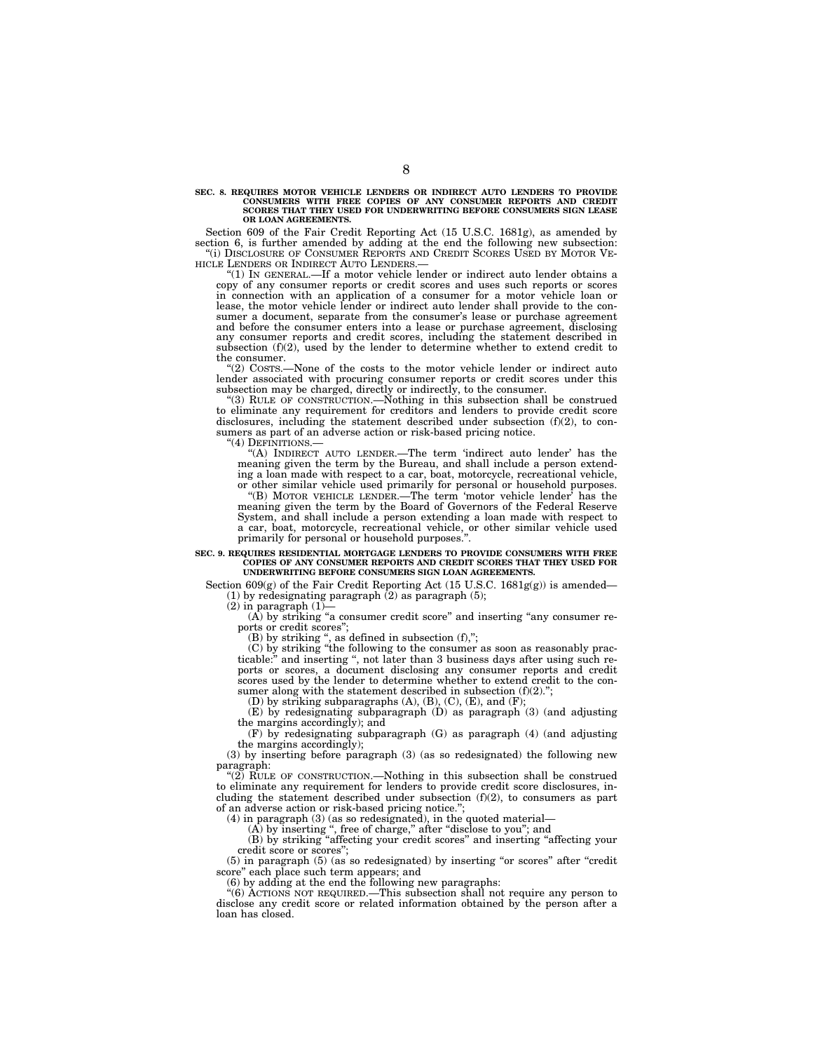### **SEC. 8. REQUIRES MOTOR VEHICLE LENDERS OR INDIRECT AUTO LENDERS TO PROVIDE CONSUMERS WITH FREE COPIES OF ANY CONSUMER REPORTS AND CREDIT SCORES THAT THEY USED FOR UNDERWRITING BEFORE CONSUMERS SIGN LEASE OR LOAN AGREEMENTS.**

Section 609 of the Fair Credit Reporting Act (15 U.S.C. 1681g), as amended by section 6, is further amended by adding at the end the following new subsection: "(i) DISCLOSURE OF CONSUMER REPORTS AND CREDIT SCORES USED BY MOTOR VEHICLE LENDERS OR INDIRECT AUTO LENDERS.—

 $f(1)$  In GENERAL.—If a motor vehicle lender or indirect auto lender obtains a copy of any consumer reports or credit scores and uses such reports or scores in connection with an application of a consumer for a motor vehicle loan or lease, the motor vehicle lender or indirect auto lender shall provide to the consumer a document, separate from the consumer's lease or purchase agreement and before the consumer enters into a lease or purchase agreement, disclosing any consumer reports and credit scores, including the statement described in subsection (f)(2), used by the lender to determine whether to extend credit to the consumer.

''(2) COSTS.—None of the costs to the motor vehicle lender or indirect auto lender associated with procuring consumer reports or credit scores under this subsection may be charged, directly or indirectly, to the consumer.

''(3) RULE OF CONSTRUCTION.—Nothing in this subsection shall be construed to eliminate any requirement for creditors and lenders to provide credit score disclosures, including the statement described under subsection (f)(2), to consumers as part of an adverse action or risk-based pricing notice.

''(4) DEFINITIONS.—

''(A) INDIRECT AUTO LENDER.—The term 'indirect auto lender' has the meaning given the term by the Bureau, and shall include a person extending a loan made with respect to a car, boat, motorcycle, recreational vehicle,

or other similar vehicle used primarily for personal or household purposes. ''(B) MOTOR VEHICLE LENDER.—The term 'motor vehicle lender' has the meaning given the term by the Board of Governors of the Federal Reserve System, and shall include a person extending a loan made with respect to a car, boat, motorcycle, recreational vehicle, or other similar vehicle used primarily for personal or household purposes.

## **SEC. 9. REQUIRES RESIDENTIAL MORTGAGE LENDERS TO PROVIDE CONSUMERS WITH FREE COPIES OF ANY CONSUMER REPORTS AND CREDIT SCORES THAT THEY USED FOR UNDERWRITING BEFORE CONSUMERS SIGN LOAN AGREEMENTS.**

Section 609(g) of the Fair Credit Reporting Act (15 U.S.C. 1681g(g)) is amended— 1) by redesignating paragraph  $(2)$  as paragraph  $(5)$ ;

 $(2)$  in paragraph  $(1)$ -

 $(A)$  by striking "a consumer credit score" and inserting "any consumer reports or credit scores'';

 $(B)$  by striking ", as defined in subsection  $(f)$ ,";

(C) by striking ''the following to the consumer as soon as reasonably practicable:" and inserting ", not later than 3 business days after using such reports or scores, a document disclosing any consumer reports and credit scores used by the lender to determine whether to extend credit to the consumer along with the statement described in subsection  $(f)(2)$ .";

(D) by striking subparagraphs (A), (B), (C), (E), and (F);

(E) by redesignating subparagraph (D) as paragraph (3) (and adjusting the margins accordingly); and

(F) by redesignating subparagraph (G) as paragraph (4) (and adjusting the margins accordingly);

(3) by inserting before paragraph (3) (as so redesignated) the following new paragraph:

''(2) RULE OF CONSTRUCTION.—Nothing in this subsection shall be construed to eliminate any requirement for lenders to provide credit score disclosures, including the statement described under subsection  $(f)(2)$ , to consumers as part of an adverse action or risk-based pricing notice.'';

(4) in paragraph (3) (as so redesignated), in the quoted material—

(A) by inserting ", free of charge," after "disclose to you"; and (B) by striking ''affecting your credit scores'' and inserting ''affecting your

credit score or scores''; (5) in paragraph (5) (as so redesignated) by inserting "or scores" after "credit score'' each place such term appears; and

(6) by adding at the end the following new paragraphs:

''(6) ACTIONS NOT REQUIRED.—This subsection shall not require any person to disclose any credit score or related information obtained by the person after a loan has closed.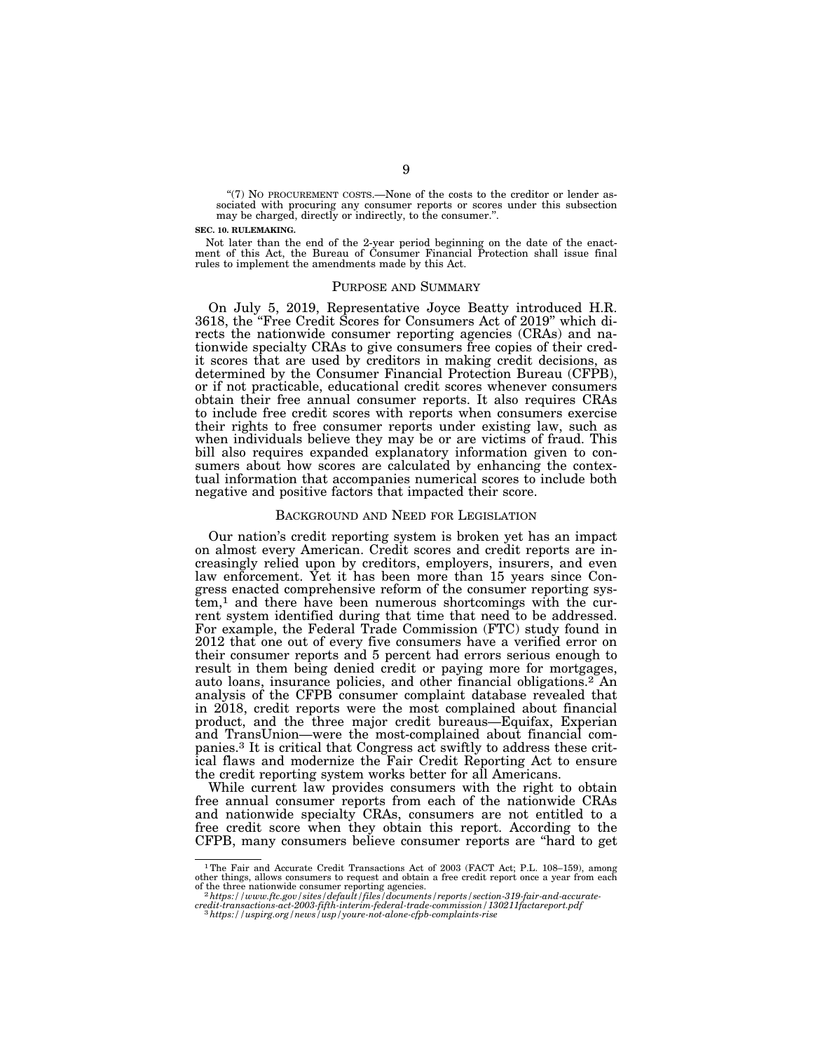"(7) NO PROCUREMENT COSTS.—None of the costs to the creditor or lender associated with procuring any consumer reports or scores under this subsection may be charged, directly or indirectly, to the consumer.''.

#### **SEC. 10. RULEMAKING.**

Not later than the end of the 2-year period beginning on the date of the enactment of this Act, the Bureau of Consumer Financial Protection shall issue final rules to implement the amendments made by this Act.

#### PURPOSE AND SUMMARY

On July 5, 2019, Representative Joyce Beatty introduced H.R. 3618, the ''Free Credit Scores for Consumers Act of 2019'' which directs the nationwide consumer reporting agencies (CRAs) and nationwide specialty CRAs to give consumers free copies of their credit scores that are used by creditors in making credit decisions, as determined by the Consumer Financial Protection Bureau (CFPB), or if not practicable, educational credit scores whenever consumers obtain their free annual consumer reports. It also requires CRAs to include free credit scores with reports when consumers exercise their rights to free consumer reports under existing law, such as when individuals believe they may be or are victims of fraud. This bill also requires expanded explanatory information given to consumers about how scores are calculated by enhancing the contextual information that accompanies numerical scores to include both negative and positive factors that impacted their score.

#### BACKGROUND AND NEED FOR LEGISLATION

Our nation's credit reporting system is broken yet has an impact on almost every American. Credit scores and credit reports are increasingly relied upon by creditors, employers, insurers, and even law enforcement. Yet it has been more than 15 years since Congress enacted comprehensive reform of the consumer reporting system,1 and there have been numerous shortcomings with the current system identified during that time that need to be addressed. For example, the Federal Trade Commission (FTC) study found in 2012 that one out of every five consumers have a verified error on their consumer reports and 5 percent had errors serious enough to result in them being denied credit or paying more for mortgages, auto loans, insurance policies, and other financial obligations.2 An analysis of the CFPB consumer complaint database revealed that in 2018, credit reports were the most complained about financial product, and the three major credit bureaus—Equifax, Experian and TransUnion—were the most-complained about financial companies.3 It is critical that Congress act swiftly to address these critical flaws and modernize the Fair Credit Reporting Act to ensure the credit reporting system works better for all Americans.

While current law provides consumers with the right to obtain free annual consumer reports from each of the nationwide CRAs and nationwide specialty CRAs, consumers are not entitled to a free credit score when they obtain this report. According to the CFPB, many consumers believe consumer reports are ''hard to get

<sup>&</sup>lt;sup>1</sup>The Fair and Accurate Credit Transactions Act of 2003 (FACT Act; P.L. 108-159), among other things, allows consumers to request and obtain a free credit report once a year from each of the three nationwide consumer reporting agencies. 2*https://www.ftc.gov/sites/default/files/documents/reports/section-319-fair-and-accurate-*

*credit-transactions-act-2003-fifth-interim-federal-trade-commission/130211factareport.pdf* 3*https://uspirg.org/news/usp/youre-not-alone-cfpb-complaints-rise*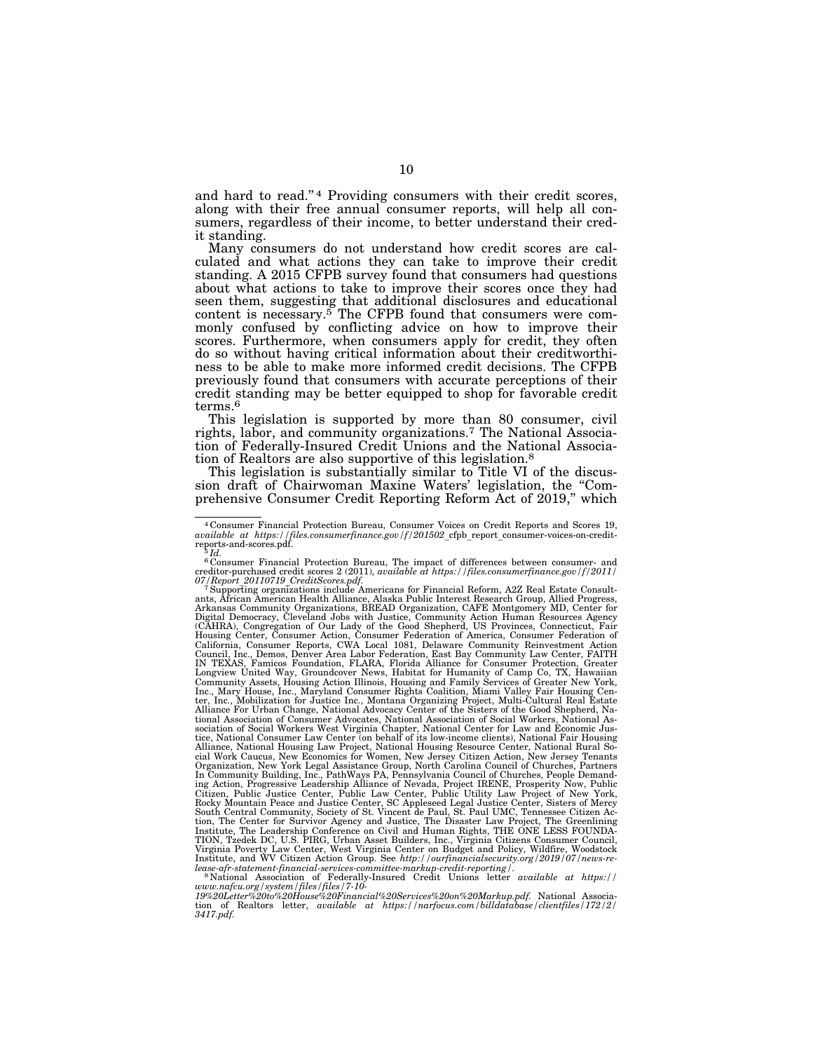and hard to read."<sup>4</sup> Providing consumers with their credit scores, along with their free annual consumer reports, will help all consumers, regardless of their income, to better understand their credit standing.

Many consumers do not understand how credit scores are calculated and what actions they can take to improve their credit standing. A 2015 CFPB survey found that consumers had questions about what actions to take to improve their scores once they had seen them, suggesting that additional disclosures and educational content is necessary.<sup>5</sup> The CFPB found that consumers were commonly confused by conflicting advice on how to improve their scores. Furthermore, when consumers apply for credit, they often do so without having critical information about their creditworthiness to be able to make more informed credit decisions. The CFPB previously found that consumers with accurate perceptions of their credit standing may be better equipped to shop for favorable credit terms.6

This legislation is supported by more than 80 consumer, civil rights, labor, and community organizations.7 The National Association of Federally-Insured Credit Unions and the National Association of Realtors are also supportive of this legislation.8

This legislation is substantially similar to Title VI of the discussion draft of Chairwoman Maxine Waters' legislation, the ''Comprehensive Consumer Credit Reporting Reform Act of 2019,'' which

<sup>&</sup>lt;sup>4</sup> Consumer Financial Protection Bureau, Consumer Voices on Credit Reports and Scores 19, *available at https://files.consumerfinance.gov/f/201502\_cfpb\_report\_consumer-voices-on-credit-reports-and-scores.pdf.<br>reports-and* 

<sup>6</sup> Consumer Financial Protection Bureau, The impact of differences between consumer- and creditor-purchased credit scores 2 (2011), *available at https://files.consumerfinance.gov/f/2011/* 

<sup>07/</sup>*Report 20110719 CreditScores.pdf.*<br>7 Supporting organizations include Americans for Financial Reform, A2Z Real Estate Consult-<br>ants, African American Health Alliance, Alaska Public Interest Research Group, Allied Progr Arkansas Community Organizations, BREAD Organization, CAFE Montgomery MD, Center for<br>Digital Democracy, Cleveland Jobs with Justice, Community Action Human Resources Agency<br>(CAHRA), Congregation of Our Lady of the Good She California, Consumer Reports, CWA Local 1081, Delaware Community Reinvestment Action Council, Inc., Demos, Denver Area Labor Federation, East Bay Community Law Center, FAITH IN TEXAS, Famicos Foundation, FLARA, Florida Alliance for Consumer Protection, Greater Longview United Way, Groundcover News, Habitat for Humanity of Camp Co, TX, Hawaiian<br>Community Assets, Housing Action Illinois, Housing and Family Services of Greater New York,<br>Inc., Mary House, Inc., Maryland Consumer Rig ter, Inc., Mobilization for Justice Inc., Montana Organizing Project, Multi-Cultural Real Estate<br>Alliance For Urban Change, National Advocacy Center of the Sisters of the Good Shepherd, Na-<br>tional Association of Consumer A sociation of Social Workers West Virginia Chapter, National Center for Law and Economic Jus-<br>tice, National Consumer Law Center (on behalf of its low-income clients), National Fair Housing<br>Alliance, National Housing Law Pr cial Work Caucus, New Economics for Women, New Jersey Citizen Action, New Jersey Tenants<br>Organization, New York Legal Assistance Group, North Carolina Council of Churches, Partners<br>In Community Building, Inc., PathWays PA, ing Action, Progressive Leadership Alliance of Nevada, Project IRENE, Prosperity Now, Public Citizen, Public Center, Public Law Center, Public Litility Law Project of New York, Rocky Mountain Peace and Justice Center, SC A TION, Tzedek DC, U.S. PIRG, Urban Asset Builders, Inc., Virginia Citizens Consumer Council,<br>Virginia Poverty Law Center, West Virginia Center on Budget and Policy, Wildfire, Woodstock<br>Institute, and WV Citizen Action Group

*lease-afr-statement-financial-services-committee-markup-credit-reporting/.* <sup>8</sup> National Association of Federally-Insured Credit Unions letter *available at https:// www.nafcu.org/system/files/files/7-10-* 

*<sup>19%20</sup>Letter%20to%20House%20Financial%20Services%20on%20Markup.pdf.* National Associa-tion of Realtors letter, *available at https://narfocus.com/billdatabase/clientfiles/172/2/ 3417.pdf.*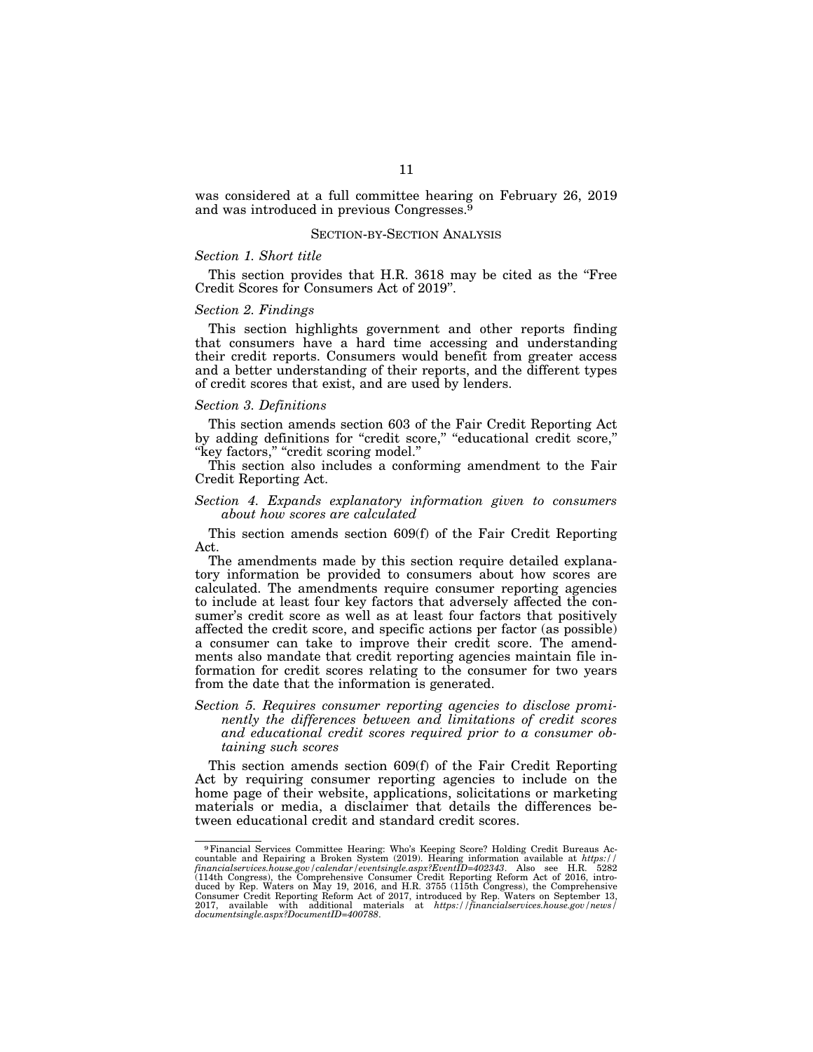was considered at a full committee hearing on February 26, 2019 and was introduced in previous Congresses.<sup>9</sup>

#### SECTION-BY-SECTION ANALYSIS

### *Section 1. Short title*

This section provides that H.R. 3618 may be cited as the "Free Credit Scores for Consumers Act of 2019''.

### *Section 2. Findings*

This section highlights government and other reports finding that consumers have a hard time accessing and understanding their credit reports. Consumers would benefit from greater access and a better understanding of their reports, and the different types of credit scores that exist, and are used by lenders.

### *Section 3. Definitions*

This section amends section 603 of the Fair Credit Reporting Act by adding definitions for "credit score," "educational credit score," "key factors," "credit scoring model."

This section also includes a conforming amendment to the Fair Credit Reporting Act.

### *Section 4. Expands explanatory information given to consumers about how scores are calculated*

This section amends section 609(f) of the Fair Credit Reporting Act.

The amendments made by this section require detailed explanatory information be provided to consumers about how scores are calculated. The amendments require consumer reporting agencies to include at least four key factors that adversely affected the consumer's credit score as well as at least four factors that positively affected the credit score, and specific actions per factor (as possible) a consumer can take to improve their credit score. The amendments also mandate that credit reporting agencies maintain file information for credit scores relating to the consumer for two years from the date that the information is generated.

### *Section 5. Requires consumer reporting agencies to disclose prominently the differences between and limitations of credit scores and educational credit scores required prior to a consumer obtaining such scores*

This section amends section 609(f) of the Fair Credit Reporting Act by requiring consumer reporting agencies to include on the home page of their website, applications, solicitations or marketing materials or media, a disclaimer that details the differences between educational credit and standard credit scores.

<sup>9</sup>Financial Services Committee Hearing: Who's Keeping Score? Holding Credit Bureaus Ac-countable and Repairing a Broken System (2019). Hearing information available at *https://*  financialservices.house.gov/calendar/eventsingle.aspx?EventID=402343. Also see H.R. 5282<br>(114th Congress), the Comprehensive Consumer Credit Reporting Reform Act of 2016, intro-<br>duced by Rep. Waters on May 19, 2016, and H. Consumer Credit Reporting Reform Act of 2017, introduced by Rep. Waters on September 13,<br>2017, available with additional materials at *https://financialservices.house.gov/news/*<br>documentsingle.aspx?DocumentID=400788.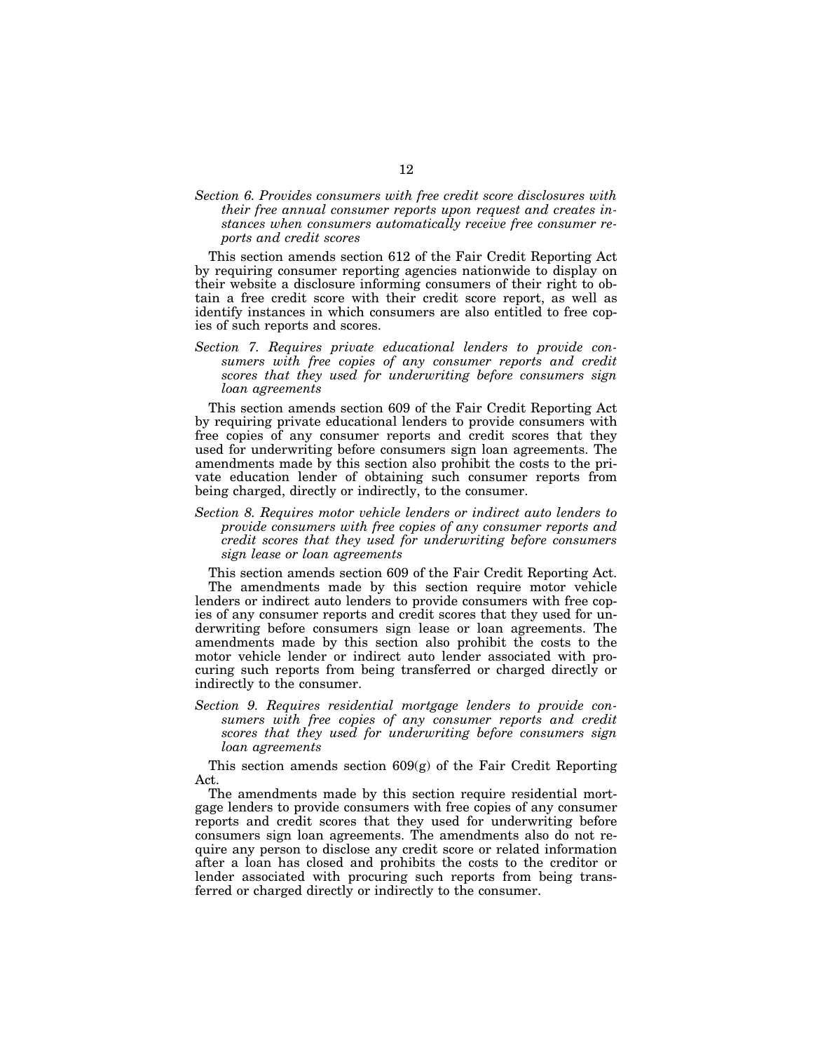## *Section 6. Provides consumers with free credit score disclosures with their free annual consumer reports upon request and creates instances when consumers automatically receive free consumer reports and credit scores*

This section amends section 612 of the Fair Credit Reporting Act by requiring consumer reporting agencies nationwide to display on their website a disclosure informing consumers of their right to obtain a free credit score with their credit score report, as well as identify instances in which consumers are also entitled to free copies of such reports and scores.

*Section 7. Requires private educational lenders to provide consumers with free copies of any consumer reports and credit scores that they used for underwriting before consumers sign loan agreements* 

This section amends section 609 of the Fair Credit Reporting Act by requiring private educational lenders to provide consumers with free copies of any consumer reports and credit scores that they used for underwriting before consumers sign loan agreements. The amendments made by this section also prohibit the costs to the private education lender of obtaining such consumer reports from being charged, directly or indirectly, to the consumer.

*Section 8. Requires motor vehicle lenders or indirect auto lenders to provide consumers with free copies of any consumer reports and credit scores that they used for underwriting before consumers sign lease or loan agreements* 

This section amends section 609 of the Fair Credit Reporting Act. The amendments made by this section require motor vehicle lenders or indirect auto lenders to provide consumers with free copies of any consumer reports and credit scores that they used for underwriting before consumers sign lease or loan agreements. The amendments made by this section also prohibit the costs to the motor vehicle lender or indirect auto lender associated with procuring such reports from being transferred or charged directly or indirectly to the consumer.

*Section 9. Requires residential mortgage lenders to provide consumers with free copies of any consumer reports and credit scores that they used for underwriting before consumers sign loan agreements* 

This section amends section 609(g) of the Fair Credit Reporting Act.

The amendments made by this section require residential mortgage lenders to provide consumers with free copies of any consumer reports and credit scores that they used for underwriting before consumers sign loan agreements. The amendments also do not require any person to disclose any credit score or related information after a loan has closed and prohibits the costs to the creditor or lender associated with procuring such reports from being transferred or charged directly or indirectly to the consumer.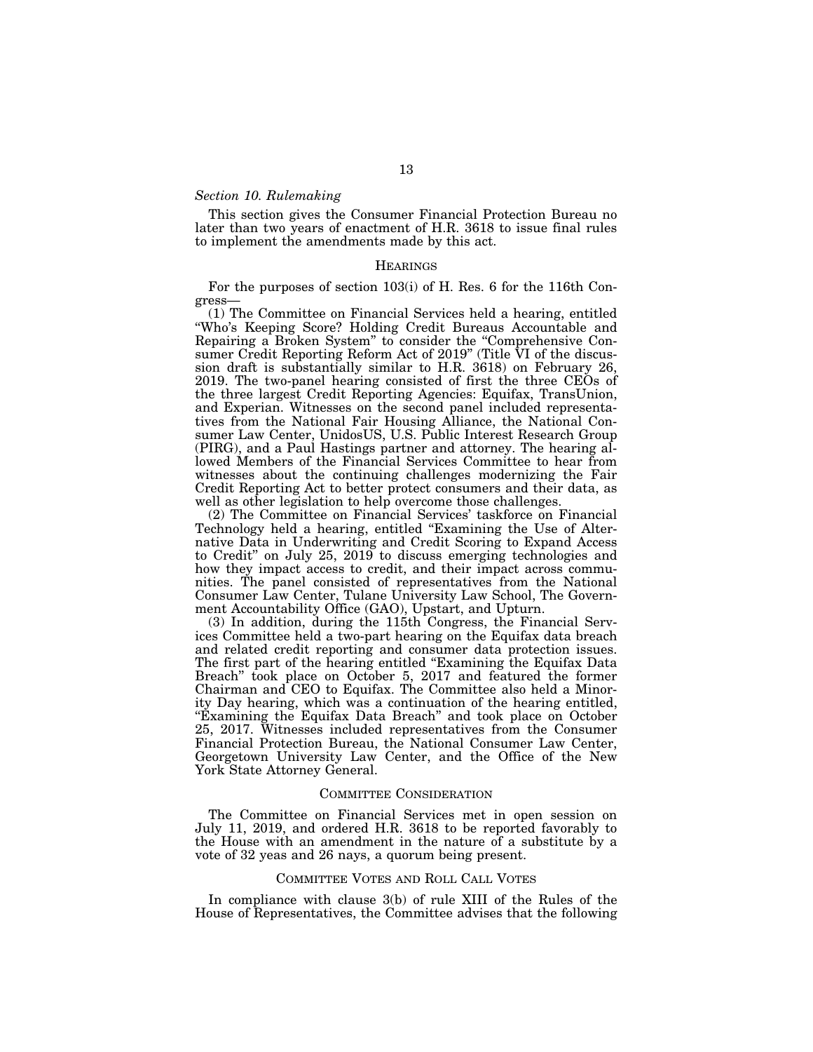### *Section 10. Rulemaking*

This section gives the Consumer Financial Protection Bureau no later than two years of enactment of H.R. 3618 to issue final rules to implement the amendments made by this act.

### HEARINGS

For the purposes of section 103(i) of H. Res. 6 for the 116th Congress—

(1) The Committee on Financial Services held a hearing, entitled ''Who's Keeping Score? Holding Credit Bureaus Accountable and Repairing a Broken System'' to consider the ''Comprehensive Consumer Credit Reporting Reform Act of 2019'' (Title VI of the discussion draft is substantially similar to H.R. 3618) on February 26, 2019. The two-panel hearing consisted of first the three CEOs of the three largest Credit Reporting Agencies: Equifax, TransUnion, and Experian. Witnesses on the second panel included representatives from the National Fair Housing Alliance, the National Consumer Law Center, UnidosUS, U.S. Public Interest Research Group (PIRG), and a Paul Hastings partner and attorney. The hearing allowed Members of the Financial Services Committee to hear from witnesses about the continuing challenges modernizing the Fair Credit Reporting Act to better protect consumers and their data, as well as other legislation to help overcome those challenges.

(2) The Committee on Financial Services' taskforce on Financial Technology held a hearing, entitled ''Examining the Use of Alternative Data in Underwriting and Credit Scoring to Expand Access to Credit'' on July 25, 2019 to discuss emerging technologies and how they impact access to credit, and their impact across communities. The panel consisted of representatives from the National Consumer Law Center, Tulane University Law School, The Government Accountability Office (GAO), Upstart, and Upturn.

(3) In addition, during the 115th Congress, the Financial Services Committee held a two-part hearing on the Equifax data breach and related credit reporting and consumer data protection issues. The first part of the hearing entitled "Examining the Equifax Data" Breach'' took place on October 5, 2017 and featured the former Chairman and CEO to Equifax. The Committee also held a Minority Day hearing, which was a continuation of the hearing entitled, "Examining the Equifax Data Breach" and took place on October 25, 2017. Witnesses included representatives from the Consumer Financial Protection Bureau, the National Consumer Law Center, Georgetown University Law Center, and the Office of the New York State Attorney General.

### COMMITTEE CONSIDERATION

The Committee on Financial Services met in open session on July 11, 2019, and ordered H.R. 3618 to be reported favorably to the House with an amendment in the nature of a substitute by a vote of 32 yeas and 26 nays, a quorum being present.

### COMMITTEE VOTES AND ROLL CALL VOTES

In compliance with clause 3(b) of rule XIII of the Rules of the House of Representatives, the Committee advises that the following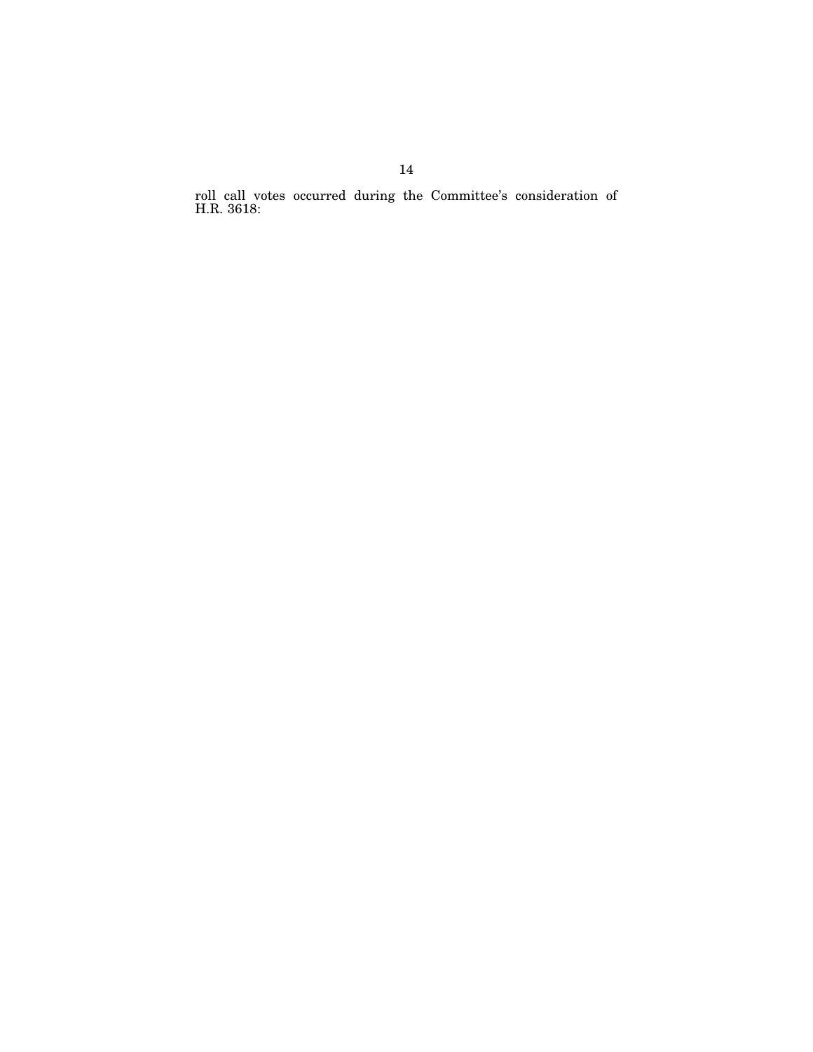roll call votes occurred during the Committee's consideration of H.R. 3618: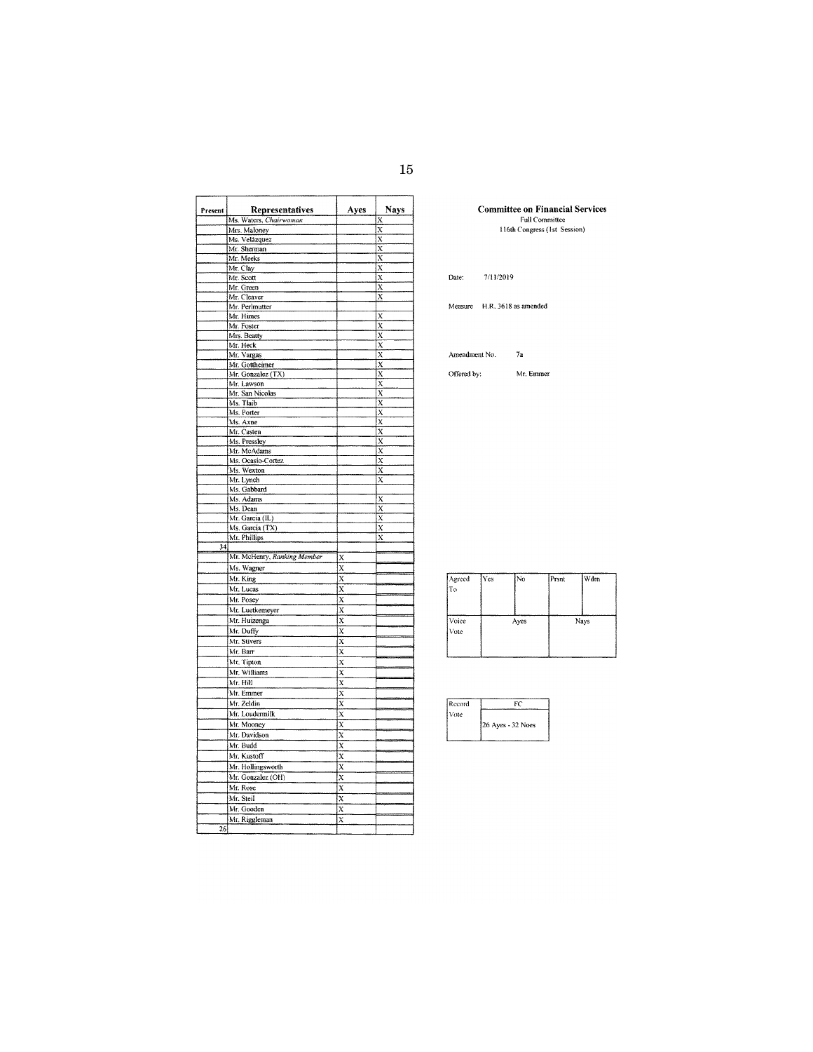| Present | Representatives             | Ayes                    | <b>Nays</b>                                        |
|---------|-----------------------------|-------------------------|----------------------------------------------------|
|         | Ms. Waters, Chairwoman      |                         | X                                                  |
|         | Mrs. Maloney                |                         | X                                                  |
|         | Ms. Velázquez               |                         | $\overline{\mathbf{x}}$                            |
|         | Mr. Sherman                 |                         | X                                                  |
|         | Mr. Meeks                   |                         | $\overline{\mathbf{x}}$<br>$\overline{\mathbf{x}}$ |
|         | Mr. Clay<br>Mr. Scott       |                         | X                                                  |
|         |                             |                         | X                                                  |
|         | Mr. Green<br>Mr. Cleaver    |                         | X                                                  |
|         | Mr. Perlmutter              |                         |                                                    |
|         | Mr. Himes                   |                         | Х                                                  |
|         | Mr. Foster                  |                         | X                                                  |
|         | Mrs. Beatty                 |                         | X                                                  |
|         | Mr. Heck                    |                         | X                                                  |
|         | Mr. Vargas                  |                         | $\overline{\mathbf{x}}$                            |
|         | Mr. Gottheimer              |                         | X                                                  |
|         | Mr. Gonzalez (TX)           |                         | $\overline{\mathbf{x}}$                            |
|         | Mr. Lawson                  |                         | X                                                  |
|         | Mr. San Nicolas             |                         | X                                                  |
|         | Ms. Tlaib                   |                         | $\overline{X}$                                     |
|         | Ms. Porter                  |                         | X                                                  |
|         | Ms. Axne                    |                         | $\overline{\mathbf{x}}$                            |
|         | Mr. Casten                  |                         | $\overline{\mathbf{x}}$                            |
|         | Ms. Pressley                |                         | X                                                  |
|         | Mr. McAdams                 |                         | $\overline{\mathbf{x}}$                            |
|         | Ms. Ocasio-Cortez           |                         | X                                                  |
|         | Ms. Wexton                  |                         | X                                                  |
|         | Mr. Lynch                   |                         | X                                                  |
|         | Ms. Gabbard                 |                         |                                                    |
|         | Ms. Adams                   |                         | X                                                  |
|         | Ms. Dean                    |                         | X                                                  |
|         | Mr. Garcia (IL)             |                         | X                                                  |
|         | Ms. Garcia (TX)             |                         | X                                                  |
|         | Mr. Phillips                |                         | Х                                                  |
| 34      |                             |                         |                                                    |
|         | Mr. McHenry, Ranking Member | X                       |                                                    |
|         | Ms. Wagner                  | $\overline{\mathbf{x}}$ |                                                    |
|         | Mr. King                    | $\overline{\mathbf{x}}$ |                                                    |
|         | Mr. Lucas                   | X                       |                                                    |
|         | Mr. Posey                   | X                       |                                                    |
|         | Mr. Luetkemeyer             |                         |                                                    |
|         |                             | X                       |                                                    |
|         | Mr. Huizenga                | $\overline{\mathbf{x}}$ |                                                    |
|         | Mr. Duffy                   | $\overline{\mathbf{x}}$ |                                                    |
|         | Mr. Stivers                 | $\overline{\mathbf{x}}$ |                                                    |
|         | Mr. Barr                    | $\overline{\mathbf{x}}$ |                                                    |
|         | Mr. Tipton                  | X                       |                                                    |
|         | Mr. Williams                | $\bar{\mathbf{x}}$      |                                                    |
|         | Mr. Hill                    | X                       |                                                    |
|         | Mr. Emmer                   | X                       |                                                    |
|         | Mr. Zeldin                  | $\overline{\mathbf{x}}$ |                                                    |
|         | Mr. Loudermilk              | X                       |                                                    |
|         | Mr. Mooney                  | $\bar{x}$               |                                                    |
|         | Mr. Davidson                | X                       |                                                    |
|         | Mr. Budd                    | X                       |                                                    |
|         | Mr. Kustoff                 | $\overline{\mathbf{x}}$ |                                                    |
|         |                             |                         |                                                    |
|         | Mr. Hollingsworth           | $\overline{\mathbf{x}}$ |                                                    |
|         | Mr. Gonzalez (OH)           | $\overline{\mathbf{x}}$ |                                                    |
|         | Mr. Rose                    | $\bf{x}$                |                                                    |
|         | Mr. Steil                   | $\overline{\mathbf{x}}$ |                                                    |
|         | Mr. Gooden                  | X                       |                                                    |
|         | Mr. Riggleman               | X                       |                                                    |
| 26      |                             |                         |                                                    |

**Committee on Financial Services**<br>Full Committee<br>116th Congress (1st Session)

Date: 7/11/2019

Measure H.R. 3618 as amended

Amendment No.  $7\mathrm{a}$ 

Offered by: Mr. Emmer

| Agreed<br> To | Yes | No   | Prsnt | Wdrn |
|---------------|-----|------|-------|------|
| Voice<br>Vote |     | Ayes |       | Nays |
|               |     |      |       |      |

| Record |                   |
|--------|-------------------|
| Vote   |                   |
|        | 26 Ayes - 32 Noes |
|        |                   |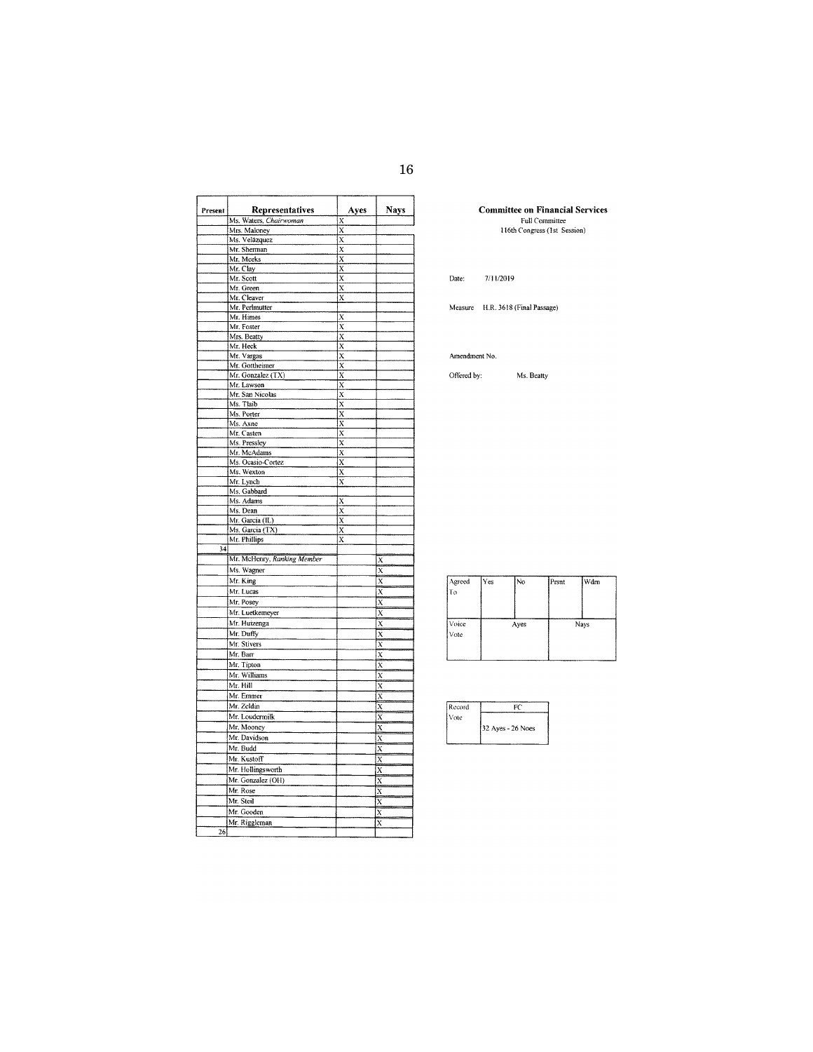| Present         | Representatives                 | Ayes                                          | Nays                         |
|-----------------|---------------------------------|-----------------------------------------------|------------------------------|
|                 | Ms. Waters, Chairwoman          | X                                             |                              |
|                 | Mrs. Maloney                    | $\overline{\mathbf{x}}$                       |                              |
|                 | Ms. Velázquez                   | $\overline{\mathbf{x}}$                       |                              |
|                 | Mr. Sherman                     | $\frac{\overline{x}}{\overline{x}}$           |                              |
|                 | Mr. Meeks                       |                                               |                              |
|                 | Mr. Clay                        | $\overline{x}$                                |                              |
|                 | Mr. Scott                       | $\overline{\mathbf{x}}$<br>$\bar{\mathrm{x}}$ |                              |
|                 | Mr. Green<br>Mr. Cleaver        | $\overline{\mathbf{x}}$                       |                              |
|                 | Mr. Perlmutter                  |                                               |                              |
|                 | Mr. Himes                       | X                                             |                              |
|                 | Mr. Foster                      | $\bar{\mathbf{x}}$                            |                              |
|                 | Mrs. Beatty                     | X                                             |                              |
|                 | Mr. Heck                        | X                                             |                              |
|                 | Mr. Vargas                      | X                                             |                              |
|                 | Mr. Gottheimer                  | $\bar{\mathrm{x}}$                            |                              |
|                 | Mr. Gonzalez (TX)               | X                                             |                              |
|                 | Mr. Lawson                      | $\overline{\mathbf{x}}$                       |                              |
|                 | Mr. San Nicolas<br>Ms. Tlaib    | X<br>$\overline{\mathbf{x}}$                  |                              |
|                 | Ms. Porter                      | $\overline{\mathbf{x}}$                       |                              |
|                 | Ms. Axne                        | $\overline{x}$                                |                              |
|                 | Mr. Casten                      | X                                             |                              |
|                 | Ms. Pressley                    | $\overline{\mathbf{x}}$                       |                              |
|                 | Mr. McAdams                     | X                                             |                              |
|                 | Ms. Ocasio-Cortez               | $\overline{\mathbf{x}}$                       |                              |
|                 | Ms. Wexton                      | X                                             |                              |
|                 | Mr. Lynch                       | $\overline{\mathbf{x}}$                       |                              |
|                 | Ms. Gabbard                     |                                               |                              |
|                 | Ms. Adams                       | X                                             |                              |
|                 | Ms. Dean                        | $\overline{x}$                                |                              |
|                 | Mr. Garcia (IL)                 | $\overline{\mathbf{x}}$                       |                              |
|                 | Ms. Garcia (TX)<br>Mr. Phillips | $\overline{x}$<br>$\overline{\mathbf{x}}$     |                              |
| $\overline{34}$ |                                 |                                               |                              |
|                 | Mr. McHenry, Ranking Member     |                                               | Х                            |
|                 | Ms. Wagner                      |                                               | X                            |
|                 | Mr. King                        |                                               |                              |
|                 | Mr. Lucas                       |                                               | X                            |
|                 | Mr. Posey                       |                                               | X                            |
|                 |                                 |                                               | X                            |
|                 | Mr. Luetkemeyer                 |                                               | X                            |
|                 | Mr. Huizenga<br>Mr. Duffy       |                                               | x<br>X                       |
|                 | Mr. Stivers                     |                                               | x                            |
|                 | Mr. Barr                        |                                               |                              |
|                 | Mr. Tipton                      |                                               | х                            |
|                 | Mr. Williams                    |                                               | х                            |
|                 | Mr. Hill                        |                                               | X<br>$\overline{\mathbf{x}}$ |
|                 | Mr. Emmer                       |                                               | X                            |
|                 | Mr. Zeldin                      |                                               | $\overline{\mathbf{x}}$      |
|                 | Mr. Loudermilk                  |                                               |                              |
|                 | Mr. Mooney                      |                                               | X<br>X                       |
|                 | Mr. Davidson                    |                                               | Х                            |
|                 | Mr. Budd                        |                                               |                              |
|                 | Mr. Kustoff                     |                                               | Х<br>X                       |
|                 |                                 |                                               |                              |
|                 | Mr. Hollingsworth               |                                               | X                            |
|                 | Mr. Gonzalez (OH)               |                                               | X                            |
|                 | Mr. Rose                        |                                               | x                            |
|                 | Mr. Steil                       |                                               | x                            |
|                 | Mr. Gooden                      |                                               | $\overline{\mathbf{x}}$      |
|                 | Mr. Riggleman                   |                                               | x                            |
| 26              |                                 |                                               |                              |

**Committee on Financial Services** Full Committee<br>
116th Congress (1st Session)

7/11/2019 Date:

Measure H.R. 3618 (Final Passage)

Amendment No.

Offered by: Ms. Beatty

| Agreed<br>To  | Yes | No   | Prsnt | Wdrn |
|---------------|-----|------|-------|------|
| Voice<br>Vote |     | Ayes |       | Nays |

| Record |                   |
|--------|-------------------|
| Vote   |                   |
|        | 32 Ayes - 26 Noes |
|        |                   |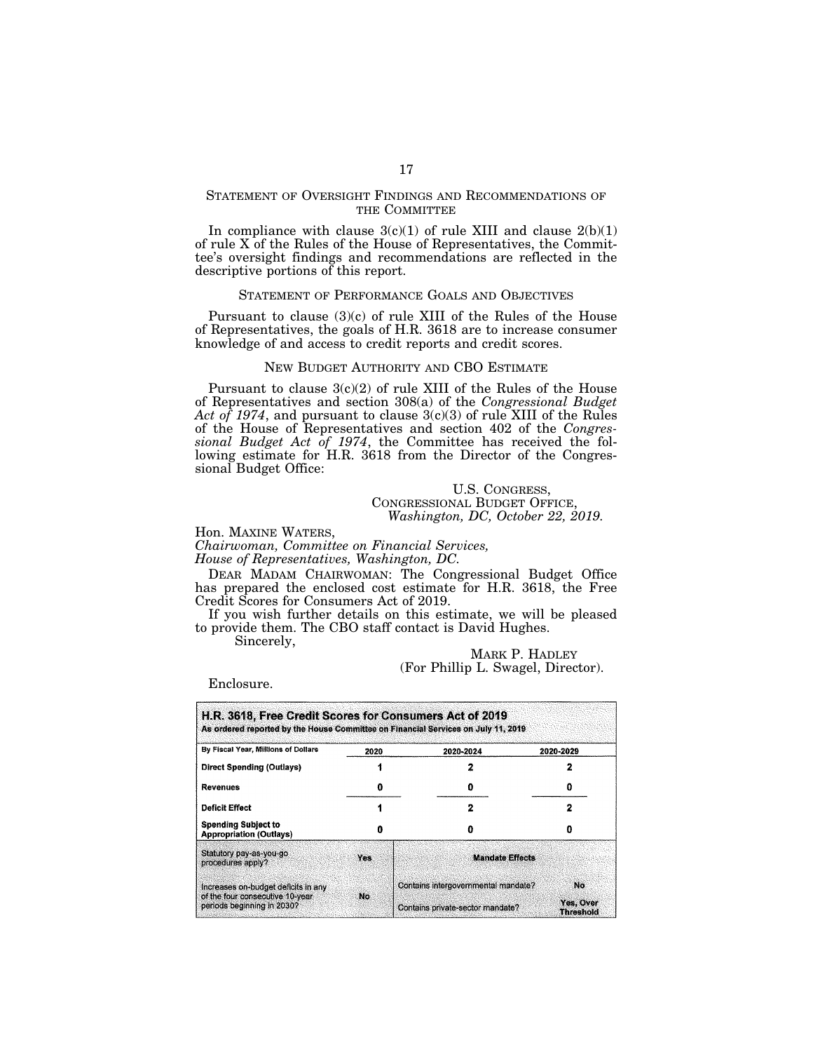### STATEMENT OF OVERSIGHT FINDINGS AND RECOMMENDATIONS OF THE COMMITTEE

In compliance with clause  $3(c)(1)$  of rule XIII and clause  $2(b)(1)$ of rule  $X$  of the Rules of the House of Representatives, the Committee's oversight findings and recommendations are reflected in the descriptive portions of this report.

### STATEMENT OF PERFORMANCE GOALS AND OBJECTIVES

Pursuant to clause  $(3)(c)$  of rule XIII of the Rules of the House of Representatives, the goals of H.R. 3618 are to increase consumer knowledge of and access to credit reports and credit scores.

### NEW BUDGET AUTHORITY AND CBO ESTIMATE

Pursuant to clause  $3(c)(2)$  of rule XIII of the Rules of the House of Representatives and section 308(a) of the *Congressional Budget*  Act of 1974, and pursuant to clause  $3(c)(3)$  of rule XIII of the Rules of the House of Representatives and section 402 of the *Congressional Budget Act of 1974*, the Committee has received the following estimate for H.R. 3618 from the Director of the Congressional Budget Office:

## U.S. CONGRESS, CONGRESSIONAL BUDGET OFFICE, *Washington, DC, October 22, 2019.*

Hon. MAXINE WATERS,

*Chairwoman, Committee on Financial Services, House of Representatives, Washington, DC.* 

DEAR MADAM CHAIRWOMAN: The Congressional Budget Office has prepared the enclosed cost estimate for H.R. 3618, the Free Credit Scores for Consumers Act of 2019.

If you wish further details on this estimate, we will be pleased to provide them. The CBO staff contact is David Hughes.

Sincerely,

MARK P. HADLEY (For Phillip L. Swagel, Director).

Enclosure.

| By Fiscal Year, Millions of Dollars                           | 2020 | 2020-2024                           | 2020-2029                     |
|---------------------------------------------------------------|------|-------------------------------------|-------------------------------|
| <b>Direct Spending (Outlays)</b>                              |      |                                     |                               |
| <b>Revenues</b>                                               |      |                                     |                               |
| <b>Deficit Effect</b>                                         |      |                                     |                               |
| <b>Spending Subject to</b><br><b>Appropriation (Outlays)</b>  | Ω    | Ω                                   |                               |
| Statutory pay-as-you-go<br>procedures apply?                  | Yes  | <b>Mandate Effects</b>              |                               |
| Increases on-budget deficits in any                           |      | Contains intergovernmental mandate? | No                            |
| of the four consecutive 10-year<br>periods beginning in 2030? | No.  | Contains private-sector mandate?    | Yes. Over<br><b>Threshold</b> |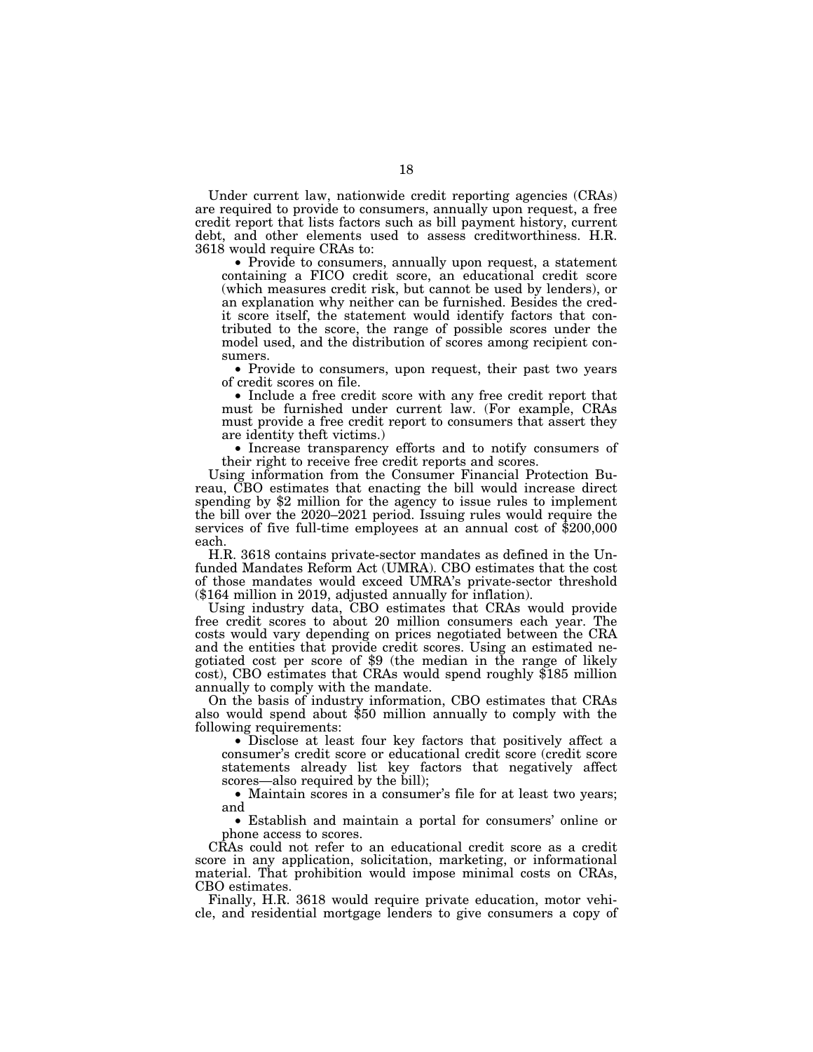Under current law, nationwide credit reporting agencies (CRAs) are required to provide to consumers, annually upon request, a free credit report that lists factors such as bill payment history, current debt, and other elements used to assess creditworthiness. H.R. 3618 would require CRAs to:

• Provide to consumers, annually upon request, a statement containing a FICO credit score, an educational credit score (which measures credit risk, but cannot be used by lenders), or an explanation why neither can be furnished. Besides the credit score itself, the statement would identify factors that contributed to the score, the range of possible scores under the model used, and the distribution of scores among recipient consumers.

• Provide to consumers, upon request, their past two years of credit scores on file.

• Include a free credit score with any free credit report that must be furnished under current law. (For example, CRAs must provide a free credit report to consumers that assert they are identity theft victims.)

• Increase transparency efforts and to notify consumers of their right to receive free credit reports and scores.

Using information from the Consumer Financial Protection Bureau, CBO estimates that enacting the bill would increase direct spending by \$2 million for the agency to issue rules to implement the bill over the 2020–2021 period. Issuing rules would require the services of five full-time employees at an annual cost of \$200,000 each.

H.R. 3618 contains private-sector mandates as defined in the Unfunded Mandates Reform Act (UMRA). CBO estimates that the cost of those mandates would exceed UMRA's private-sector threshold (\$164 million in 2019, adjusted annually for inflation).

Using industry data, CBO estimates that CRAs would provide free credit scores to about 20 million consumers each year. The costs would vary depending on prices negotiated between the CRA and the entities that provide credit scores. Using an estimated negotiated cost per score of \$9 (the median in the range of likely cost), CBO estimates that CRAs would spend roughly \$185 million annually to comply with the mandate.

On the basis of industry information, CBO estimates that CRAs also would spend about \$50 million annually to comply with the following requirements:

• Disclose at least four key factors that positively affect a consumer's credit score or educational credit score (credit score statements already list key factors that negatively affect scores—also required by the bill);

• Maintain scores in a consumer's file for at least two years; and

• Establish and maintain a portal for consumers' online or phone access to scores.

CRAs could not refer to an educational credit score as a credit score in any application, solicitation, marketing, or informational material. That prohibition would impose minimal costs on CRAs, CBO estimates.

Finally, H.R. 3618 would require private education, motor vehicle, and residential mortgage lenders to give consumers a copy of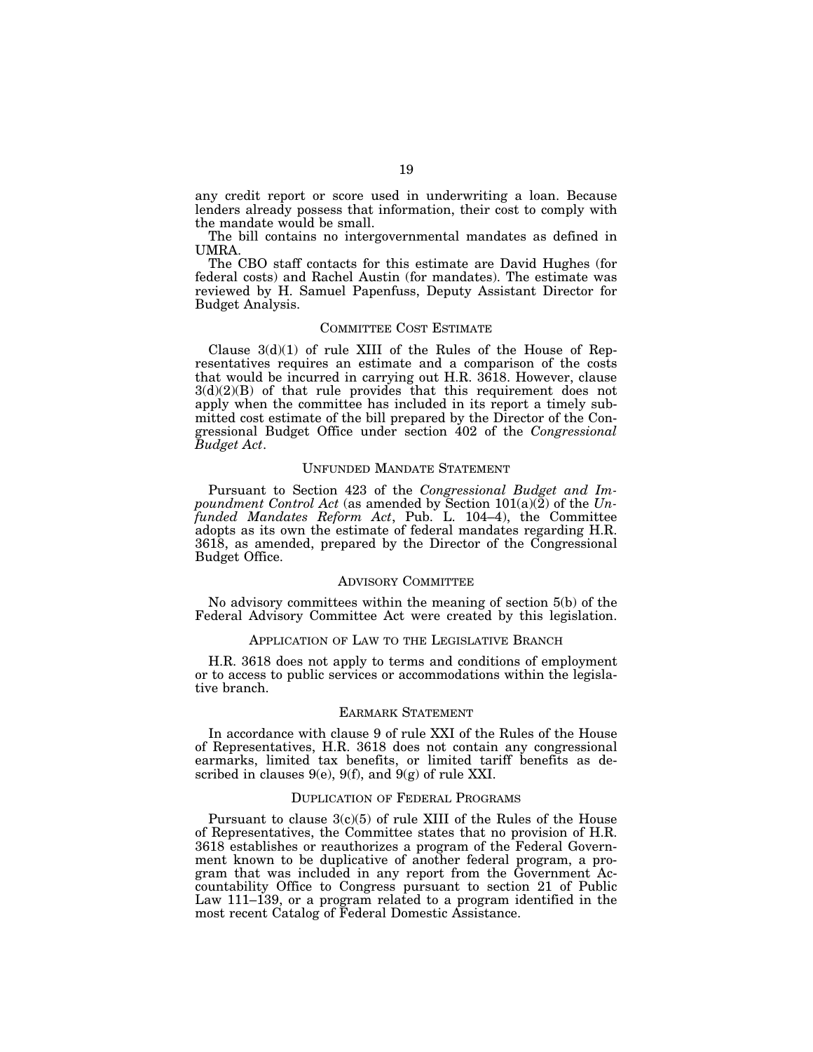any credit report or score used in underwriting a loan. Because lenders already possess that information, their cost to comply with the mandate would be small.

The bill contains no intergovernmental mandates as defined in UMRA.

The CBO staff contacts for this estimate are David Hughes (for federal costs) and Rachel Austin (for mandates). The estimate was reviewed by H. Samuel Papenfuss, Deputy Assistant Director for Budget Analysis.

### COMMITTEE COST ESTIMATE

Clause  $3(d)(1)$  of rule XIII of the Rules of the House of Representatives requires an estimate and a comparison of the costs that would be incurred in carrying out H.R. 3618. However, clause  $3(d)(2)(B)$  of that rule provides that this requirement does not apply when the committee has included in its report a timely submitted cost estimate of the bill prepared by the Director of the Congressional Budget Office under section 402 of the *Congressional Budget Act*.

### UNFUNDED MANDATE STATEMENT

Pursuant to Section 423 of the *Congressional Budget and Im*poundment Control Act (as amended by Section  $101(a)(2)$  of the Un*funded Mandates Reform Act*, Pub. L. 104–4), the Committee adopts as its own the estimate of federal mandates regarding H.R. 3618, as amended, prepared by the Director of the Congressional Budget Office.

#### ADVISORY COMMITTEE

No advisory committees within the meaning of section 5(b) of the Federal Advisory Committee Act were created by this legislation.

### APPLICATION OF LAW TO THE LEGISLATIVE BRANCH

H.R. 3618 does not apply to terms and conditions of employment or to access to public services or accommodations within the legislative branch.

### EARMARK STATEMENT

In accordance with clause 9 of rule XXI of the Rules of the House of Representatives, H.R. 3618 does not contain any congressional earmarks, limited tax benefits, or limited tariff benefits as described in clauses  $9(e)$ ,  $9(f)$ , and  $9(g)$  of rule XXI.

#### DUPLICATION OF FEDERAL PROGRAMS

Pursuant to clause  $3(c)(5)$  of rule XIII of the Rules of the House of Representatives, the Committee states that no provision of H.R. 3618 establishes or reauthorizes a program of the Federal Government known to be duplicative of another federal program, a program that was included in any report from the Government Accountability Office to Congress pursuant to section 21 of Public Law 111–139, or a program related to a program identified in the most recent Catalog of Federal Domestic Assistance.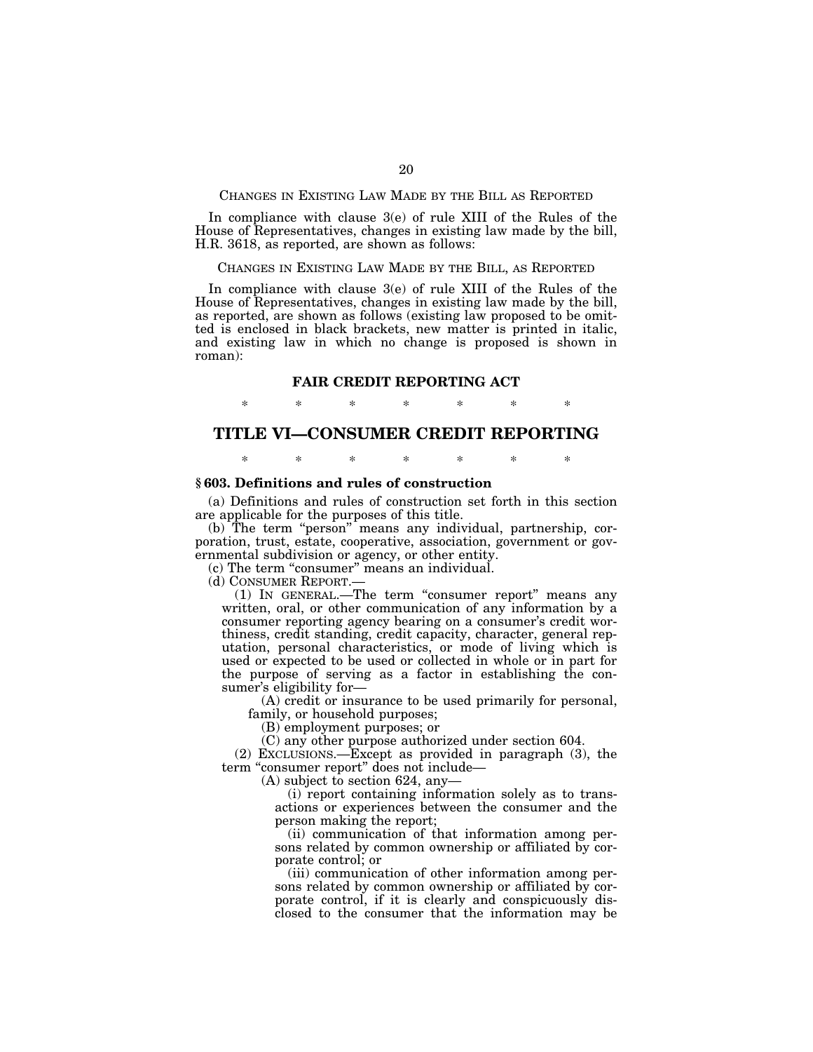### CHANGES IN EXISTING LAW MADE BY THE BILL AS REPORTED

In compliance with clause 3(e) of rule XIII of the Rules of the House of Representatives, changes in existing law made by the bill, H.R. 3618, as reported, are shown as follows:

### CHANGES IN EXISTING LAW MADE BY THE BILL, AS REPORTED

In compliance with clause 3(e) of rule XIII of the Rules of the House of Representatives, changes in existing law made by the bill, as reported, are shown as follows (existing law proposed to be omitted is enclosed in black brackets, new matter is printed in italic, and existing law in which no change is proposed is shown in roman):

### **FAIR CREDIT REPORTING ACT**

\* \* \* \* \* \* \*

# **TITLE VI—CONSUMER CREDIT REPORTING**

\* \* \* \* \* \* \*

### **§ 603. Definitions and rules of construction**

(a) Definitions and rules of construction set forth in this section are applicable for the purposes of this title.

(b) The term "person" means any individual, partnership, corporation, trust, estate, cooperative, association, government or governmental subdivision or agency, or other entity.

(c) The term ''consumer'' means an individual.

(d) CONSUMER REPORT.—

(1) IN GENERAL.—The term ''consumer report'' means any written, oral, or other communication of any information by a consumer reporting agency bearing on a consumer's credit worthiness, credit standing, credit capacity, character, general reputation, personal characteristics, or mode of living which is used or expected to be used or collected in whole or in part for the purpose of serving as a factor in establishing the consumer's eligibility for—

(A) credit or insurance to be used primarily for personal, family, or household purposes;

(B) employment purposes; or

(C) any other purpose authorized under section 604.

(2) EXCLUSIONS.—Except as provided in paragraph (3), the term "consumer report" does not include—

(A) subject to section 624, any—

(i) report containing information solely as to transactions or experiences between the consumer and the person making the report;

(ii) communication of that information among persons related by common ownership or affiliated by corporate control; or

(iii) communication of other information among persons related by common ownership or affiliated by corporate control, if it is clearly and conspicuously disclosed to the consumer that the information may be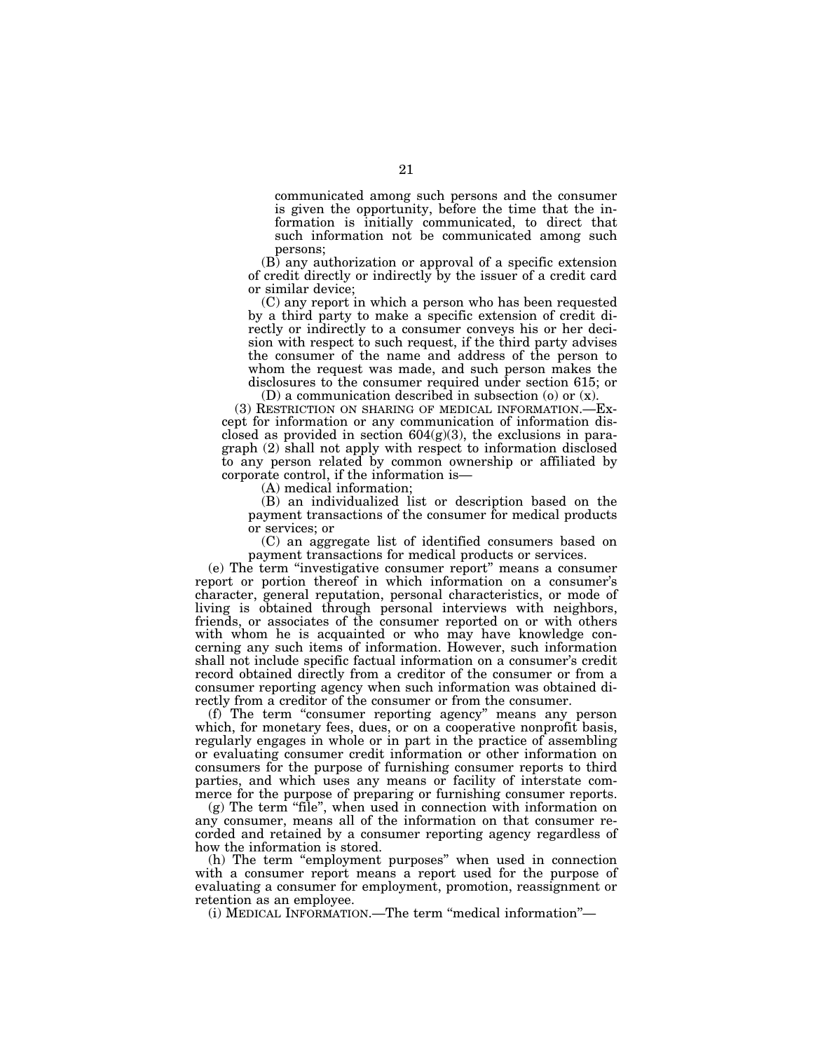communicated among such persons and the consumer is given the opportunity, before the time that the information is initially communicated, to direct that such information not be communicated among such persons;

(B) any authorization or approval of a specific extension of credit directly or indirectly by the issuer of a credit card or similar device;

(C) any report in which a person who has been requested by a third party to make a specific extension of credit directly or indirectly to a consumer conveys his or her decision with respect to such request, if the third party advises the consumer of the name and address of the person to whom the request was made, and such person makes the disclosures to the consumer required under section 615; or (D) a communication described in subsection (o) or (x).

(3) RESTRICTION ON SHARING OF MEDICAL INFORMATION.—Except for information or any communication of information disclosed as provided in section  $604(g)(3)$ , the exclusions in paragraph (2) shall not apply with respect to information disclosed to any person related by common ownership or affiliated by corporate control, if the information is—

(A) medical information;

(B) an individualized list or description based on the payment transactions of the consumer for medical products or services; or

(C) an aggregate list of identified consumers based on payment transactions for medical products or services.

(e) The term ''investigative consumer report'' means a consumer report or portion thereof in which information on a consumer's character, general reputation, personal characteristics, or mode of living is obtained through personal interviews with neighbors, friends, or associates of the consumer reported on or with others with whom he is acquainted or who may have knowledge concerning any such items of information. However, such information shall not include specific factual information on a consumer's credit record obtained directly from a creditor of the consumer or from a consumer reporting agency when such information was obtained directly from a creditor of the consumer or from the consumer.

(f) The term ''consumer reporting agency'' means any person which, for monetary fees, dues, or on a cooperative nonprofit basis, regularly engages in whole or in part in the practice of assembling or evaluating consumer credit information or other information on consumers for the purpose of furnishing consumer reports to third parties, and which uses any means or facility of interstate commerce for the purpose of preparing or furnishing consumer reports.

(g) The term ''file'', when used in connection with information on any consumer, means all of the information on that consumer recorded and retained by a consumer reporting agency regardless of how the information is stored.

(h) The term ''employment purposes'' when used in connection with a consumer report means a report used for the purpose of evaluating a consumer for employment, promotion, reassignment or retention as an employee.

(i) MEDICAL INFORMATION.—The term ''medical information''—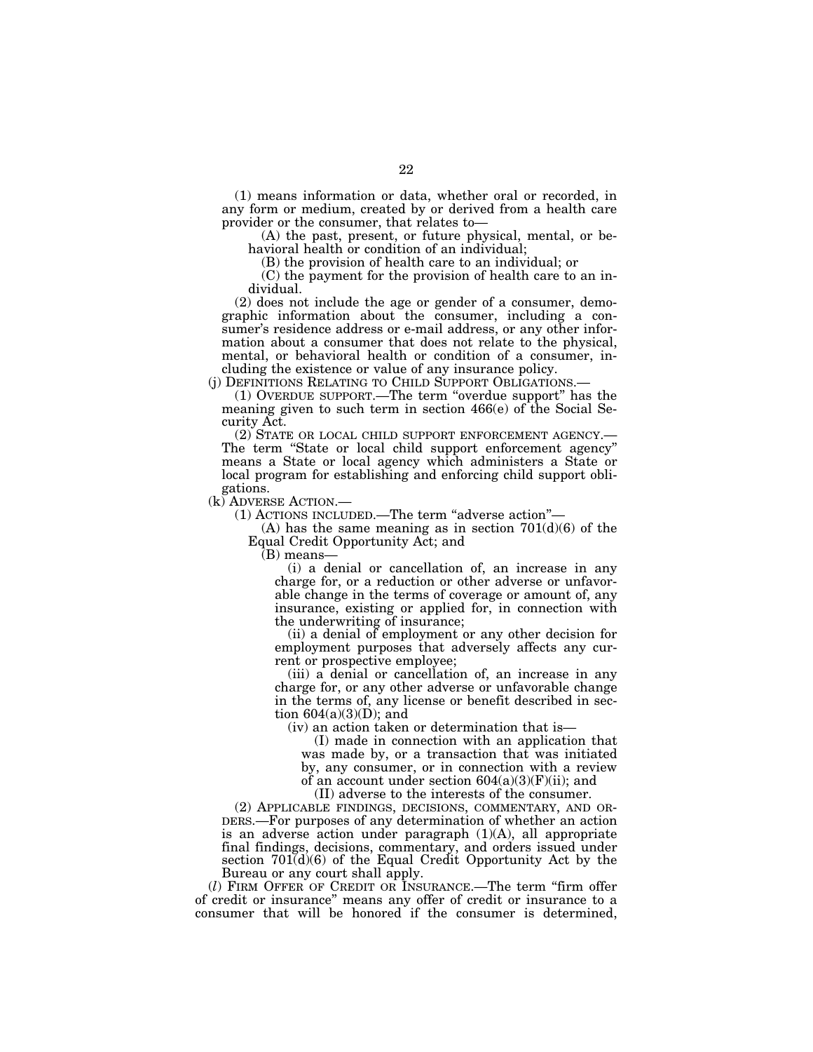(1) means information or data, whether oral or recorded, in any form or medium, created by or derived from a health care provider or the consumer, that relates to—

(A) the past, present, or future physical, mental, or behavioral health or condition of an individual;

(B) the provision of health care to an individual; or

(C) the payment for the provision of health care to an individual.

(2) does not include the age or gender of a consumer, demographic information about the consumer, including a consumer's residence address or e-mail address, or any other information about a consumer that does not relate to the physical, mental, or behavioral health or condition of a consumer, including the existence or value of any insurance policy.

(j) DEFINITIONS RELATING TO CHILD SUPPORT OBLIGATIONS.—

(1) OVERDUE SUPPORT.—The term ''overdue support'' has the meaning given to such term in section 466(e) of the Social Security Act.

(2) STATE OR LOCAL CHILD SUPPORT ENFORCEMENT AGENCY.— The term "State or local child support enforcement agency" means a State or local agency which administers a State or local program for establishing and enforcing child support obli-

gations.<br>(k) ADVERSE ACTION.—

 $(1)$  ACTIONS INCLUDED.—The term "adverse action"—

(A) has the same meaning as in section  $701<sub>d</sub>$  (6) of the Equal Credit Opportunity Act; and

(B) means—

(i) a denial or cancellation of, an increase in any charge for, or a reduction or other adverse or unfavorable change in the terms of coverage or amount of, any insurance, existing or applied for, in connection with the underwriting of insurance;

(ii) a denial of employment or any other decision for employment purposes that adversely affects any current or prospective employee;

(iii) a denial or cancellation of, an increase in any charge for, or any other adverse or unfavorable change in the terms of, any license or benefit described in section 604(a)(3)(D); and

(iv) an action taken or determination that is—

(I) made in connection with an application that was made by, or a transaction that was initiated by, any consumer, or in connection with a review of an account under section  $604(a)(3)(F)(ii)$ ; and

(II) adverse to the interests of the consumer.<br>(2) APPLICABLE FINDINGS, DECISIONS, COMMENTARY, AND OR-DERS.—For purposes of any determination of whether an action is an adverse action under paragraph  $(1)(A)$ , all appropriate final findings, decisions, commentary, and orders issued under section  $701\ddot{d}(6)$  of the Equal Credit Opportunity Act by the Bureau or any court shall apply.

(*l*) FIRM OFFER OF CREDIT OR INSURANCE.—The term ''firm offer of credit or insurance'' means any offer of credit or insurance to a consumer that will be honored if the consumer is determined,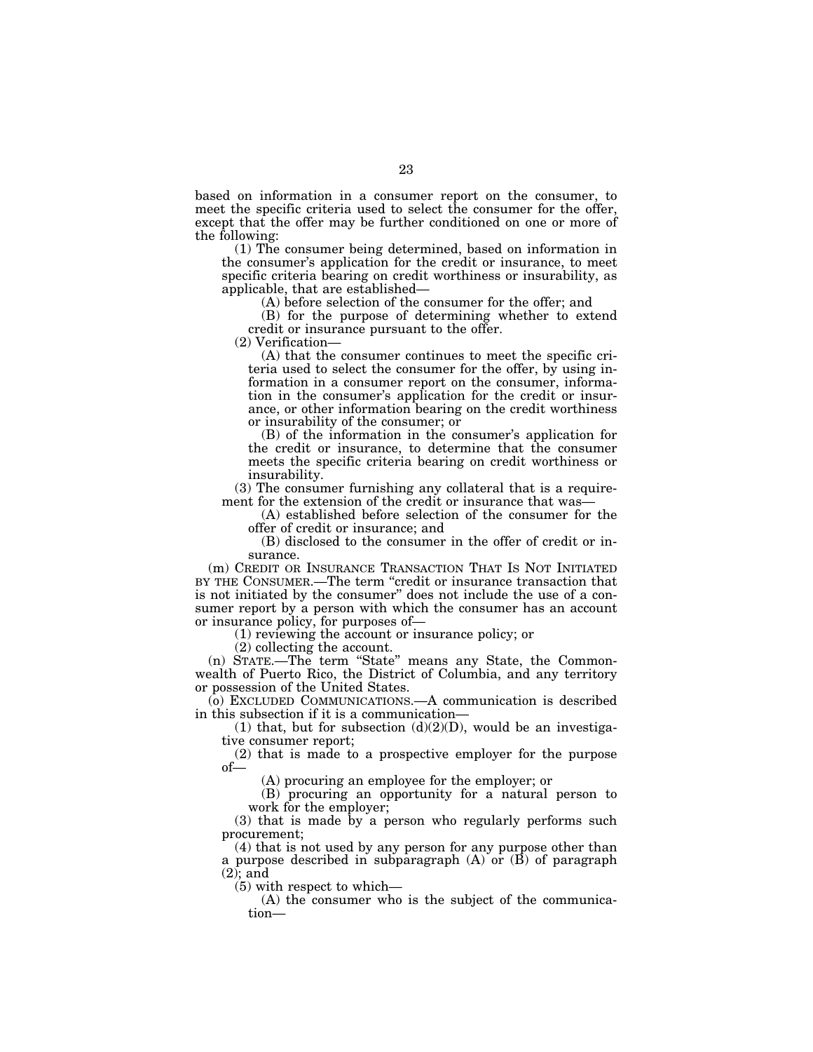based on information in a consumer report on the consumer, to meet the specific criteria used to select the consumer for the offer, except that the offer may be further conditioned on one or more of the following:

(1) The consumer being determined, based on information in the consumer's application for the credit or insurance, to meet specific criteria bearing on credit worthiness or insurability, as applicable, that are established—

(A) before selection of the consumer for the offer; and

(B) for the purpose of determining whether to extend credit or insurance pursuant to the offer.

(2) Verification—

(A) that the consumer continues to meet the specific criteria used to select the consumer for the offer, by using information in a consumer report on the consumer, information in the consumer's application for the credit or insurance, or other information bearing on the credit worthiness or insurability of the consumer; or

(B) of the information in the consumer's application for the credit or insurance, to determine that the consumer meets the specific criteria bearing on credit worthiness or insurability.

(3) The consumer furnishing any collateral that is a requirement for the extension of the credit or insurance that was-

(A) established before selection of the consumer for the offer of credit or insurance; and

(B) disclosed to the consumer in the offer of credit or insurance.

(m) CREDIT OR INSURANCE TRANSACTION THAT IS NOT INITIATED BY THE CONSUMER.—The term "credit or insurance transaction that is not initiated by the consumer'' does not include the use of a consumer report by a person with which the consumer has an account or insurance policy, for purposes of—

(1) reviewing the account or insurance policy; or

(2) collecting the account.

(n) STATE.—The term ''State'' means any State, the Commonwealth of Puerto Rico, the District of Columbia, and any territory or possession of the United States.

(o) EXCLUDED COMMUNICATIONS.—A communication is described in this subsection if it is a communication—

(1) that, but for subsection  $(d)(2)(D)$ , would be an investigative consumer report;

(2) that is made to a prospective employer for the purpose of—

(A) procuring an employee for the employer; or

(B) procuring an opportunity for a natural person to work for the employer;

(3) that is made by a person who regularly performs such procurement;

(4) that is not used by any person for any purpose other than a purpose described in subparagraph  $(A)$  or  $(B)$  of paragraph (2); and

(5) with respect to which—

(A) the consumer who is the subject of the communication—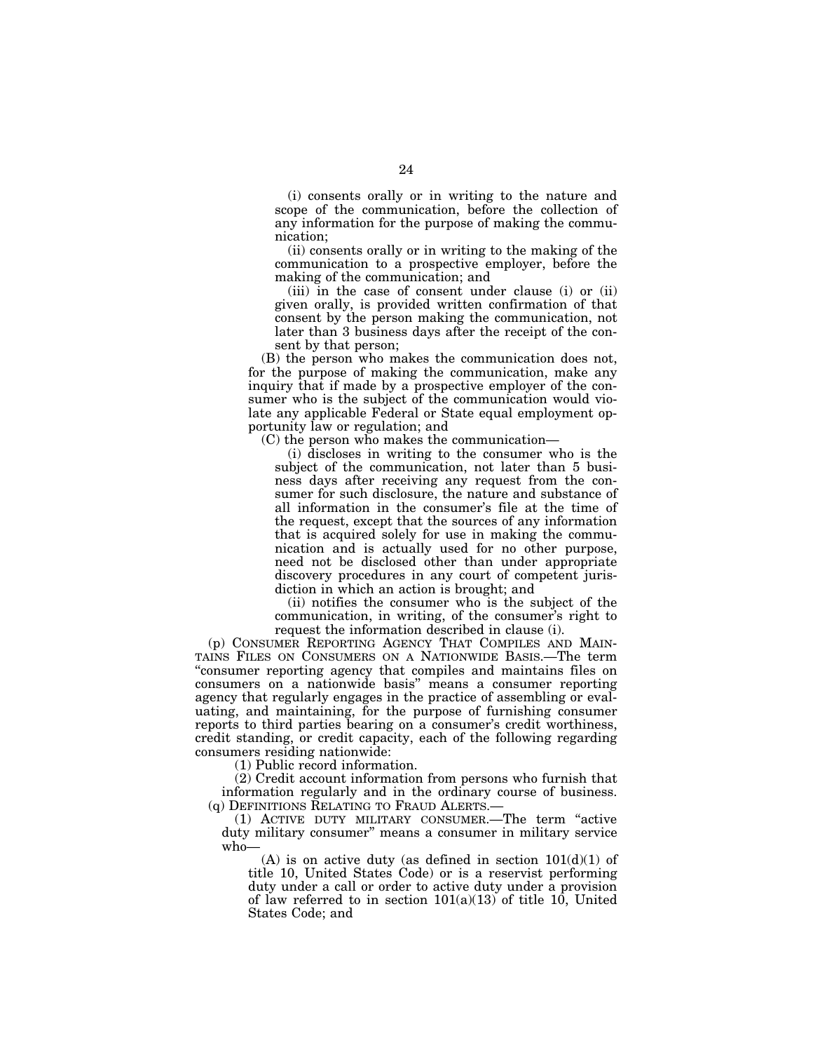(i) consents orally or in writing to the nature and scope of the communication, before the collection of any information for the purpose of making the communication;

(ii) consents orally or in writing to the making of the communication to a prospective employer, before the making of the communication; and

(iii) in the case of consent under clause (i) or (ii) given orally, is provided written confirmation of that consent by the person making the communication, not later than 3 business days after the receipt of the consent by that person;

(B) the person who makes the communication does not, for the purpose of making the communication, make any inquiry that if made by a prospective employer of the consumer who is the subject of the communication would violate any applicable Federal or State equal employment opportunity law or regulation; and

(C) the person who makes the communication—

(i) discloses in writing to the consumer who is the subject of the communication, not later than 5 business days after receiving any request from the consumer for such disclosure, the nature and substance of all information in the consumer's file at the time of the request, except that the sources of any information that is acquired solely for use in making the communication and is actually used for no other purpose, need not be disclosed other than under appropriate discovery procedures in any court of competent jurisdiction in which an action is brought; and

(ii) notifies the consumer who is the subject of the communication, in writing, of the consumer's right to request the information described in clause (i).

(p) CONSUMER REPORTING AGENCY THAT COMPILES AND MAIN-TAINS FILES ON CONSUMERS ON A NATIONWIDE BASIS.—The term ''consumer reporting agency that compiles and maintains files on consumers on a nationwide basis'' means a consumer reporting agency that regularly engages in the practice of assembling or evaluating, and maintaining, for the purpose of furnishing consumer reports to third parties bearing on a consumer's credit worthiness, credit standing, or credit capacity, each of the following regarding consumers residing nationwide:

(1) Public record information.

(2) Credit account information from persons who furnish that information regularly and in the ordinary course of business. (q) DEFINITIONS RELATING TO FRAUD ALERTS.—

(1) ACTIVE DUTY MILITARY CONSUMER.—The term ''active duty military consumer'' means a consumer in military service who—

(A) is on active duty (as defined in section  $101(d)(1)$  of title 10, United States Code) or is a reservist performing duty under a call or order to active duty under a provision of law referred to in section  $101(a)(13)$  of title 10, United States Code; and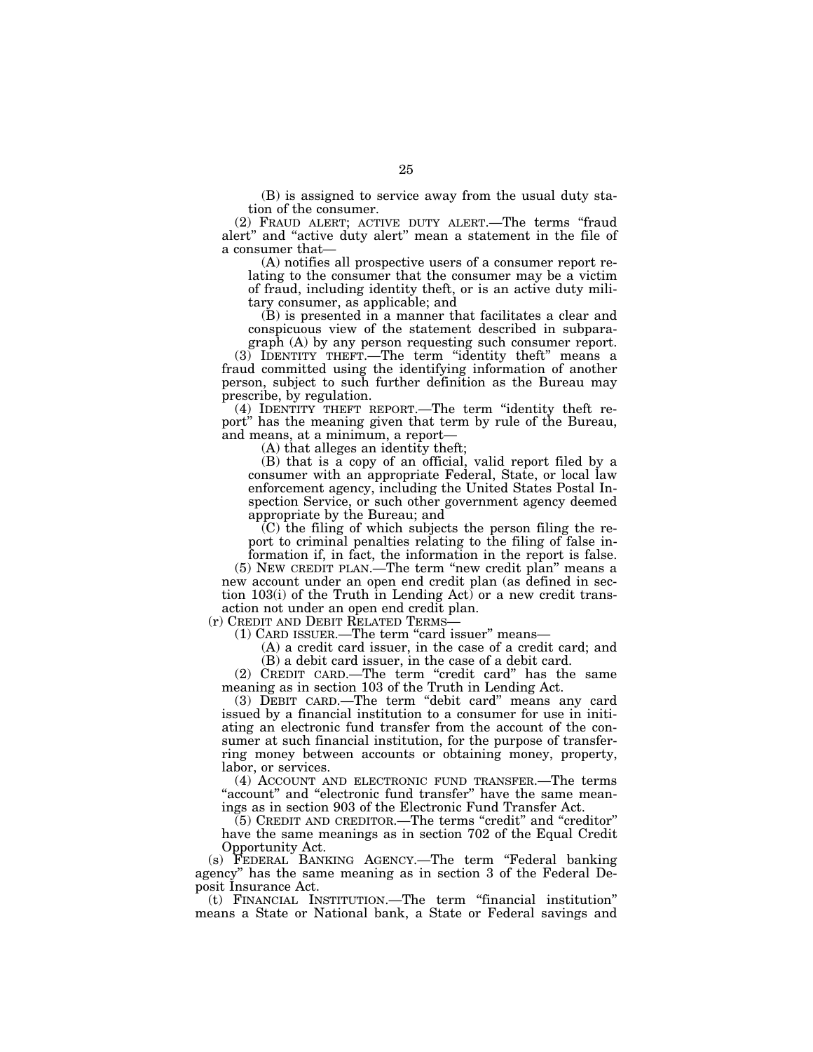(B) is assigned to service away from the usual duty station of the consumer.

(2) FRAUD ALERT; ACTIVE DUTY ALERT.—The terms ''fraud alert'' and ''active duty alert'' mean a statement in the file of a consumer that—

(A) notifies all prospective users of a consumer report relating to the consumer that the consumer may be a victim of fraud, including identity theft, or is an active duty military consumer, as applicable; and

(B) is presented in a manner that facilitates a clear and conspicuous view of the statement described in subparagraph (A) by any person requesting such consumer report.

(3) IDENTITY THEFT.—The term ''identity theft'' means a fraud committed using the identifying information of another person, subject to such further definition as the Bureau may prescribe, by regulation.

(4) IDENTITY THEFT REPORT.—The term ''identity theft report'' has the meaning given that term by rule of the Bureau, and means, at a minimum, a report—

(A) that alleges an identity theft;

(B) that is a copy of an official, valid report filed by a consumer with an appropriate Federal, State, or local law enforcement agency, including the United States Postal Inspection Service, or such other government agency deemed appropriate by the Bureau; and

(C) the filing of which subjects the person filing the report to criminal penalties relating to the filing of false in-

formation if, in fact, the information in the report is false. (5) NEW CREDIT PLAN.—The term ''new credit plan'' means a new account under an open end credit plan (as defined in section 103(i) of the Truth in Lending Act) or a new credit trans-

action not under an open end credit plan.<br>(r) CREDIT AND DEBIT RELATED TERMS—

 $(1)$  CARD ISSUER.—The term "card issuer" means—

(A) a credit card issuer, in the case of a credit card; and (B) a debit card issuer, in the case of a debit card.

(2) CREDIT CARD.—The term "credit card" has the same meaning as in section 103 of the Truth in Lending Act.

(3) DEBIT CARD.—The term ''debit card'' means any card issued by a financial institution to a consumer for use in initiating an electronic fund transfer from the account of the consumer at such financial institution, for the purpose of transferring money between accounts or obtaining money, property, labor, or services.

(4) ACCOUNT AND ELECTRONIC FUND TRANSFER.—The terms "account" and "electronic fund transfer" have the same meanings as in section 903 of the Electronic Fund Transfer Act.

(5) CREDIT AND CREDITOR.—The terms ''credit'' and ''creditor'' have the same meanings as in section 702 of the Equal Credit Opportunity Act.

(s) FEDERAL BANKING AGENCY.—The term ''Federal banking agency'' has the same meaning as in section 3 of the Federal Deposit Insurance Act.

(t) FINANCIAL INSTITUTION.—The term ''financial institution'' means a State or National bank, a State or Federal savings and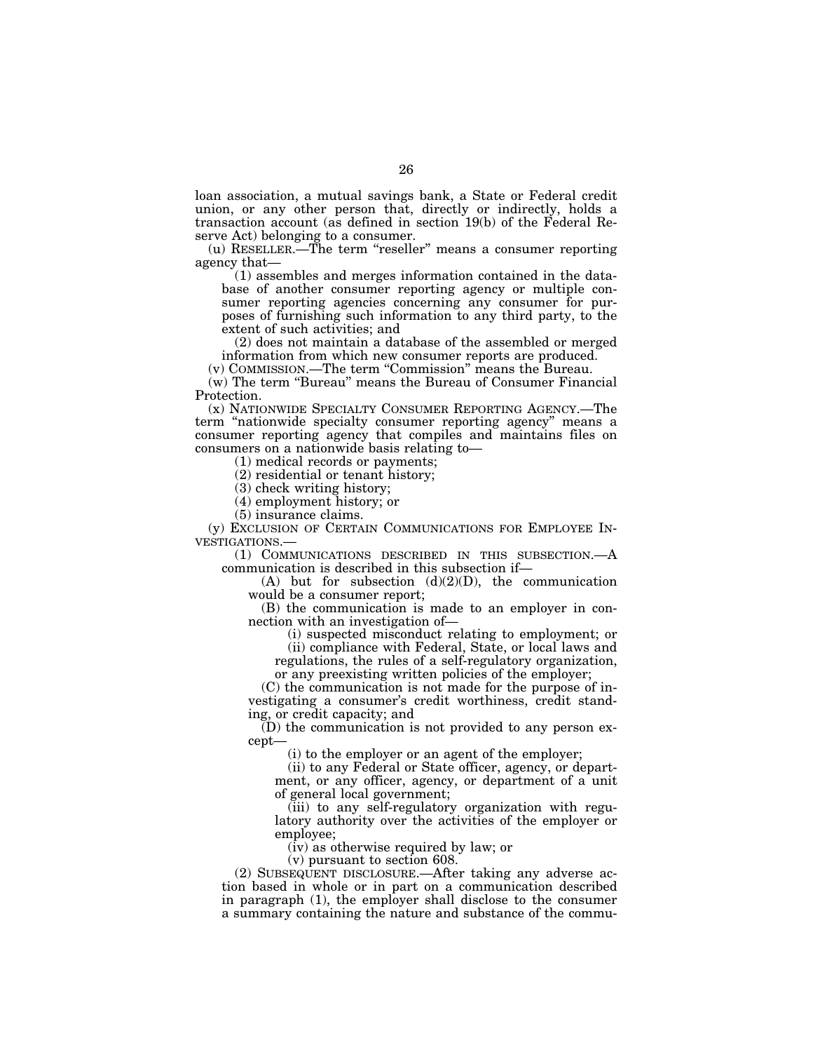loan association, a mutual savings bank, a State or Federal credit union, or any other person that, directly or indirectly, holds a transaction account (as defined in section 19(b) of the Federal Reserve Act) belonging to a consumer.

(u) RESELLER.—The term ''reseller'' means a consumer reporting agency that—

(1) assembles and merges information contained in the database of another consumer reporting agency or multiple consumer reporting agencies concerning any consumer for purposes of furnishing such information to any third party, to the extent of such activities; and

(2) does not maintain a database of the assembled or merged information from which new consumer reports are produced.

(v) COMMISSION.—The term ''Commission'' means the Bureau.

(w) The term ''Bureau'' means the Bureau of Consumer Financial Protection.

(x) NATIONWIDE SPECIALTY CONSUMER REPORTING AGENCY.—The term "nationwide specialty consumer reporting agency" means a consumer reporting agency that compiles and maintains files on consumers on a nationwide basis relating to—

(1) medical records or payments;

(2) residential or tenant history;

(3) check writing history;

(4) employment history; or

(5) insurance claims.

(y) EXCLUSION OF CERTAIN COMMUNICATIONS FOR EMPLOYEE INVESTIGATIONS.—<br>VESTIGATIONS.— (1) COMMUNICATIONS DESCRIBED IN THIS SUBSECTION.—A

communication is described in this subsection if—

(A) but for subsection  $(d)(2)(D)$ , the communication would be a consumer report;

(B) the communication is made to an employer in connection with an investigation of—

(i) suspected misconduct relating to employment; or

(ii) compliance with Federal, State, or local laws and regulations, the rules of a self-regulatory organization, or any preexisting written policies of the employer;

(C) the communication is not made for the purpose of investigating a consumer's credit worthiness, credit standing, or credit capacity; and

(D) the communication is not provided to any person except—

(i) to the employer or an agent of the employer;

(ii) to any Federal or State officer, agency, or department, or any officer, agency, or department of a unit of general local government;

(iii) to any self-regulatory organization with regulatory authority over the activities of the employer or employee;

(iv) as otherwise required by law; or

(v) pursuant to section 608.

(2) SUBSEQUENT DISCLOSURE.—After taking any adverse action based in whole or in part on a communication described in paragraph (1), the employer shall disclose to the consumer a summary containing the nature and substance of the commu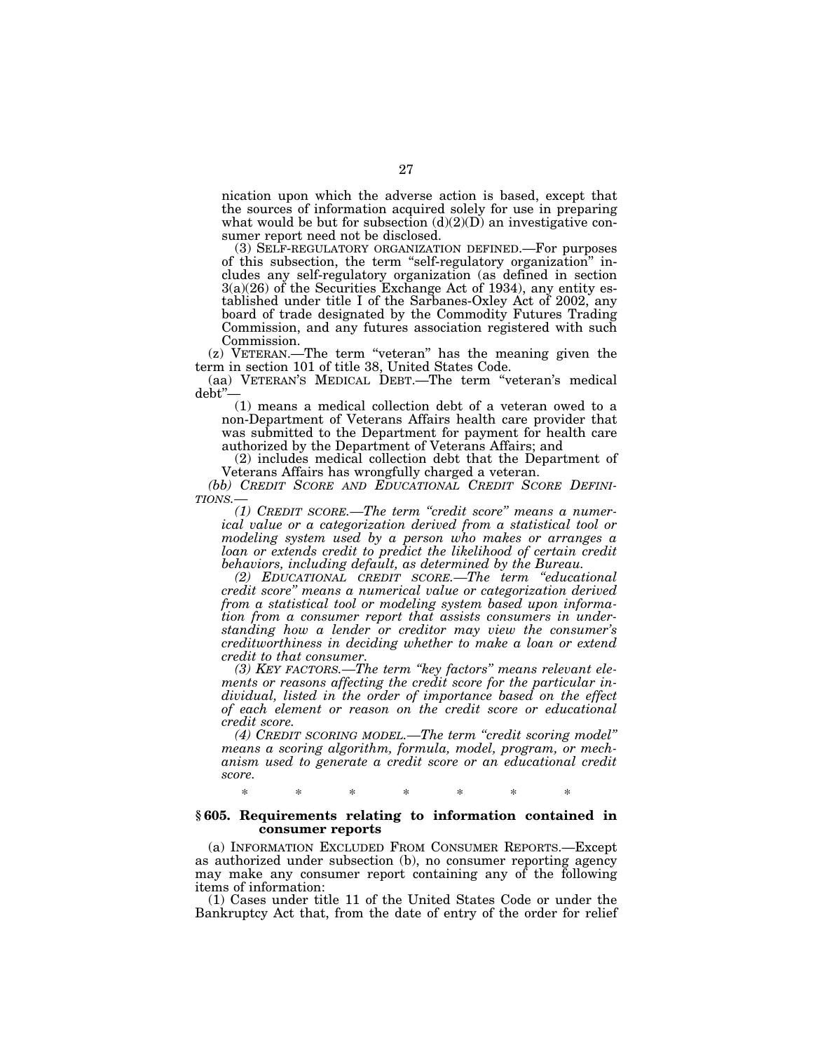nication upon which the adverse action is based, except that the sources of information acquired solely for use in preparing what would be but for subsection  $(d)(2)(D)$  an investigative consumer report need not be disclosed.

(3) SELF-REGULATORY ORGANIZATION DEFINED.—For purposes of this subsection, the term ''self-regulatory organization'' includes any self-regulatory organization (as defined in section 3(a)(26) of the Securities Exchange Act of 1934), any entity established under title I of the Sarbanes-Oxley Act of 2002, any board of trade designated by the Commodity Futures Trading Commission, and any futures association registered with such Commission.

(z) VETERAN.—The term ''veteran'' has the meaning given the term in section 101 of title 38, United States Code.

(aa) VETERAN'S MEDICAL DEBT.—The term ''veteran's medical debt''—

(1) means a medical collection debt of a veteran owed to a non-Department of Veterans Affairs health care provider that was submitted to the Department for payment for health care authorized by the Department of Veterans Affairs; and

(2) includes medical collection debt that the Department of Veterans Affairs has wrongfully charged a veteran.

*(bb) CREDIT SCORE AND EDUCATIONAL CREDIT SCORE DEFINI- TIONS.—* 

*(1) CREDIT SCORE.—The term ''credit score'' means a numerical value or a categorization derived from a statistical tool or modeling system used by a person who makes or arranges a loan or extends credit to predict the likelihood of certain credit behaviors, including default, as determined by the Bureau.* 

*(2) EDUCATIONAL CREDIT SCORE.—The term ''educational credit score'' means a numerical value or categorization derived from a statistical tool or modeling system based upon information from a consumer report that assists consumers in understanding how a lender or creditor may view the consumer's creditworthiness in deciding whether to make a loan or extend credit to that consumer.* 

*(3) KEY FACTORS.—The term ''key factors'' means relevant elements or reasons affecting the credit score for the particular individual, listed in the order of importance based on the effect of each element or reason on the credit score or educational credit score.* 

*(4) CREDIT SCORING MODEL.—The term ''credit scoring model'' means a scoring algorithm, formula, model, program, or mechanism used to generate a credit score or an educational credit score.* 

\* \* \* \* \* \* \*

### **§ 605. Requirements relating to information contained in consumer reports**

(a) INFORMATION EXCLUDED FROM CONSUMER REPORTS.—Except as authorized under subsection (b), no consumer reporting agency may make any consumer report containing any of the following items of information:

(1) Cases under title 11 of the United States Code or under the Bankruptcy Act that, from the date of entry of the order for relief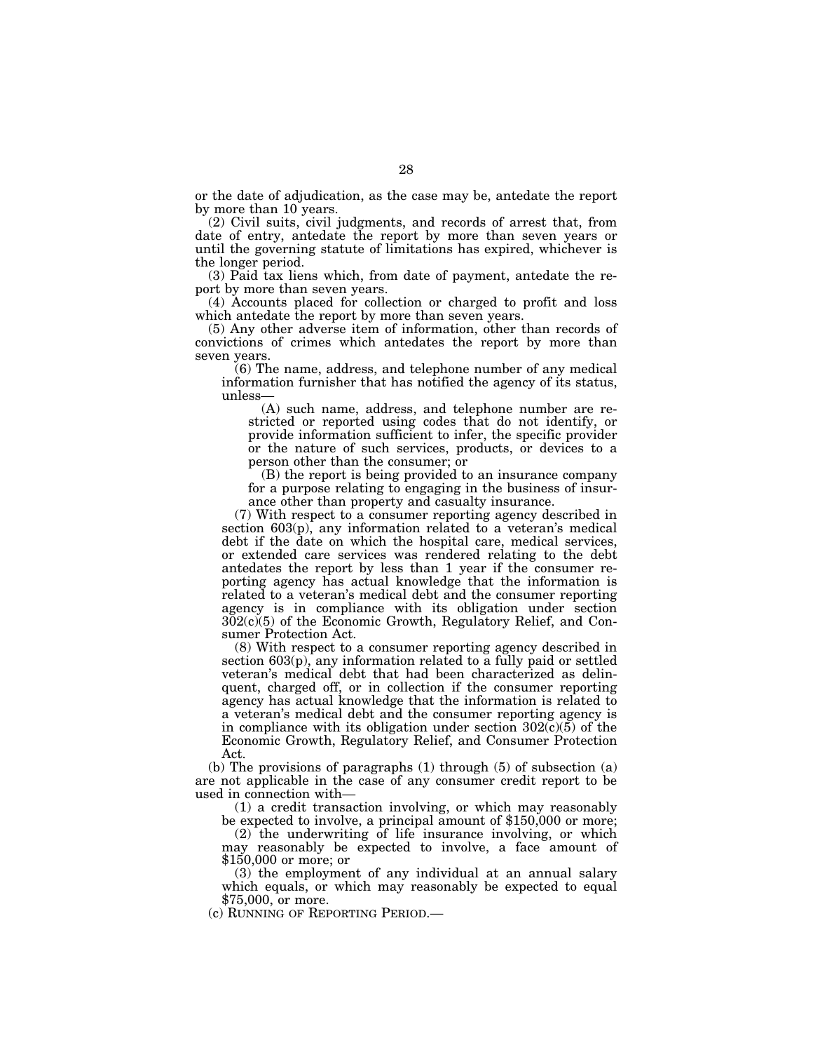or the date of adjudication, as the case may be, antedate the report by more than 10 years.

(2) Civil suits, civil judgments, and records of arrest that, from date of entry, antedate the report by more than seven years or until the governing statute of limitations has expired, whichever is the longer period.

(3) Paid tax liens which, from date of payment, antedate the report by more than seven years.

(4) Accounts placed for collection or charged to profit and loss which antedate the report by more than seven years.

(5) Any other adverse item of information, other than records of convictions of crimes which antedates the report by more than seven years.

(6) The name, address, and telephone number of any medical information furnisher that has notified the agency of its status, unless—

(A) such name, address, and telephone number are restricted or reported using codes that do not identify, or provide information sufficient to infer, the specific provider or the nature of such services, products, or devices to a person other than the consumer; or

(B) the report is being provided to an insurance company for a purpose relating to engaging in the business of insurance other than property and casualty insurance.

(7) With respect to a consumer reporting agency described in section 603(p), any information related to a veteran's medical debt if the date on which the hospital care, medical services, or extended care services was rendered relating to the debt antedates the report by less than 1 year if the consumer reporting agency has actual knowledge that the information is related to a veteran's medical debt and the consumer reporting agency is in compliance with its obligation under section 302(c)(5) of the Economic Growth, Regulatory Relief, and Consumer Protection Act.

(8) With respect to a consumer reporting agency described in section 603(p), any information related to a fully paid or settled veteran's medical debt that had been characterized as delinquent, charged off, or in collection if the consumer reporting agency has actual knowledge that the information is related to a veteran's medical debt and the consumer reporting agency is in compliance with its obligation under section  $302(c)(5)$  of the Economic Growth, Regulatory Relief, and Consumer Protection Act.

(b) The provisions of paragraphs (1) through (5) of subsection (a) are not applicable in the case of any consumer credit report to be used in connection with—

(1) a credit transaction involving, or which may reasonably be expected to involve, a principal amount of \$150,000 or more;

(2) the underwriting of life insurance involving, or which may reasonably be expected to involve, a face amount of \$150,000 or more; or

(3) the employment of any individual at an annual salary which equals, or which may reasonably be expected to equal \$75,000, or more.

(c) RUNNING OF REPORTING PERIOD.—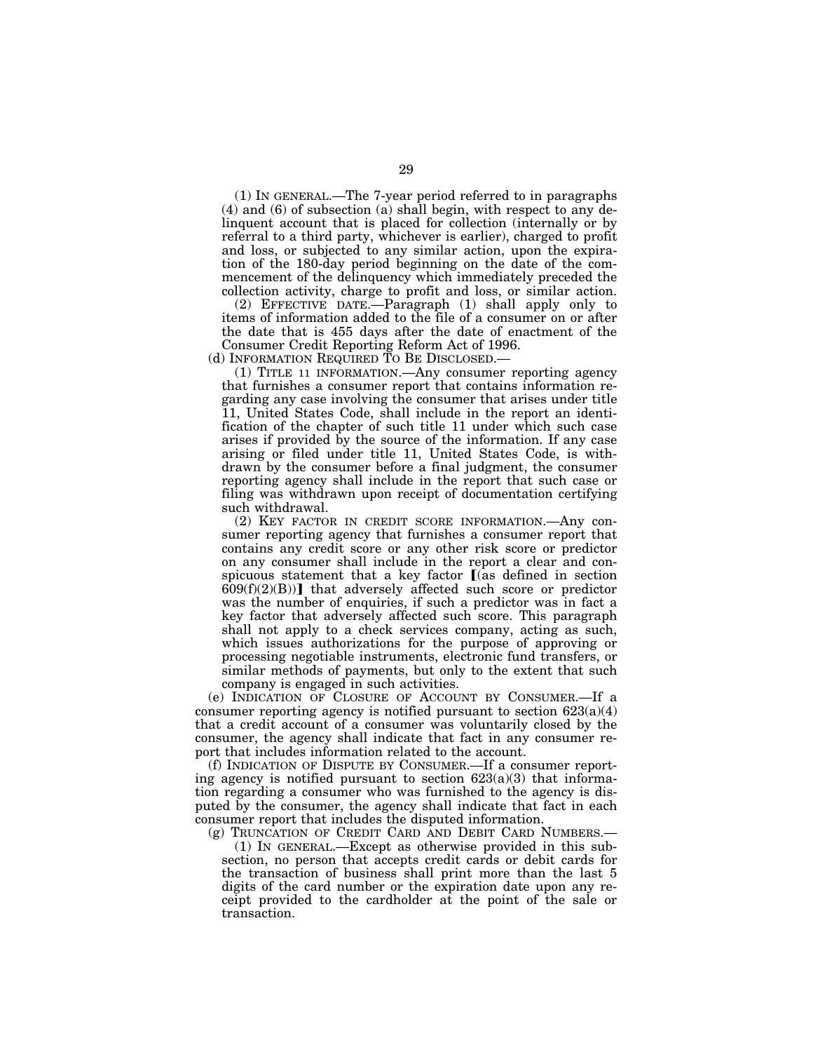(1) IN GENERAL.—The 7-year period referred to in paragraphs (4) and (6) of subsection (a) shall begin, with respect to any delinquent account that is placed for collection (internally or by referral to a third party, whichever is earlier), charged to profit and loss, or subjected to any similar action, upon the expiration of the 180-day period beginning on the date of the commencement of the delinquency which immediately preceded the collection activity, charge to profit and loss, or similar action.

(2) EFFECTIVE DATE.—Paragraph (1) shall apply only to items of information added to the file of a consumer on or after the date that is 455 days after the date of enactment of the Consumer Credit Reporting Reform Act of 1996.

(d) INFORMATION REQUIRED TO BE DISCLOSED.—

(1) TITLE 11 INFORMATION.—Any consumer reporting agency that furnishes a consumer report that contains information regarding any case involving the consumer that arises under title 11, United States Code, shall include in the report an identification of the chapter of such title 11 under which such case arises if provided by the source of the information. If any case arising or filed under title 11, United States Code, is withdrawn by the consumer before a final judgment, the consumer reporting agency shall include in the report that such case or filing was withdrawn upon receipt of documentation certifying such withdrawal.

(2) KEY FACTOR IN CREDIT SCORE INFORMATION.—Any consumer reporting agency that furnishes a consumer report that contains any credit score or any other risk score or predictor on any consumer shall include in the report a clear and conspicuous statement that a key factor  $\Gamma$  (as defined in section  $609(f)(2)(B)$  that adversely affected such score or predictor was the number of enquiries, if such a predictor was in fact a key factor that adversely affected such score. This paragraph shall not apply to a check services company, acting as such, which issues authorizations for the purpose of approving or processing negotiable instruments, electronic fund transfers, or similar methods of payments, but only to the extent that such company is engaged in such activities.

(e) INDICATION OF CLOSURE OF ACCOUNT BY CONSUMER.—If a consumer reporting agency is notified pursuant to section  $623(a)(4)$ that a credit account of a consumer was voluntarily closed by the consumer, the agency shall indicate that fact in any consumer report that includes information related to the account.

(f) INDICATION OF DISPUTE BY CONSUMER.—If a consumer reporting agency is notified pursuant to section  $623(a)(3)$  that information regarding a consumer who was furnished to the agency is disputed by the consumer, the agency shall indicate that fact in each consumer report that includes the disputed information.

(g) TRUNCATION OF CREDIT CARD AND DEBIT CARD NUMBERS.—

(1) IN GENERAL.—Except as otherwise provided in this subsection, no person that accepts credit cards or debit cards for the transaction of business shall print more than the last 5 digits of the card number or the expiration date upon any receipt provided to the cardholder at the point of the sale or transaction.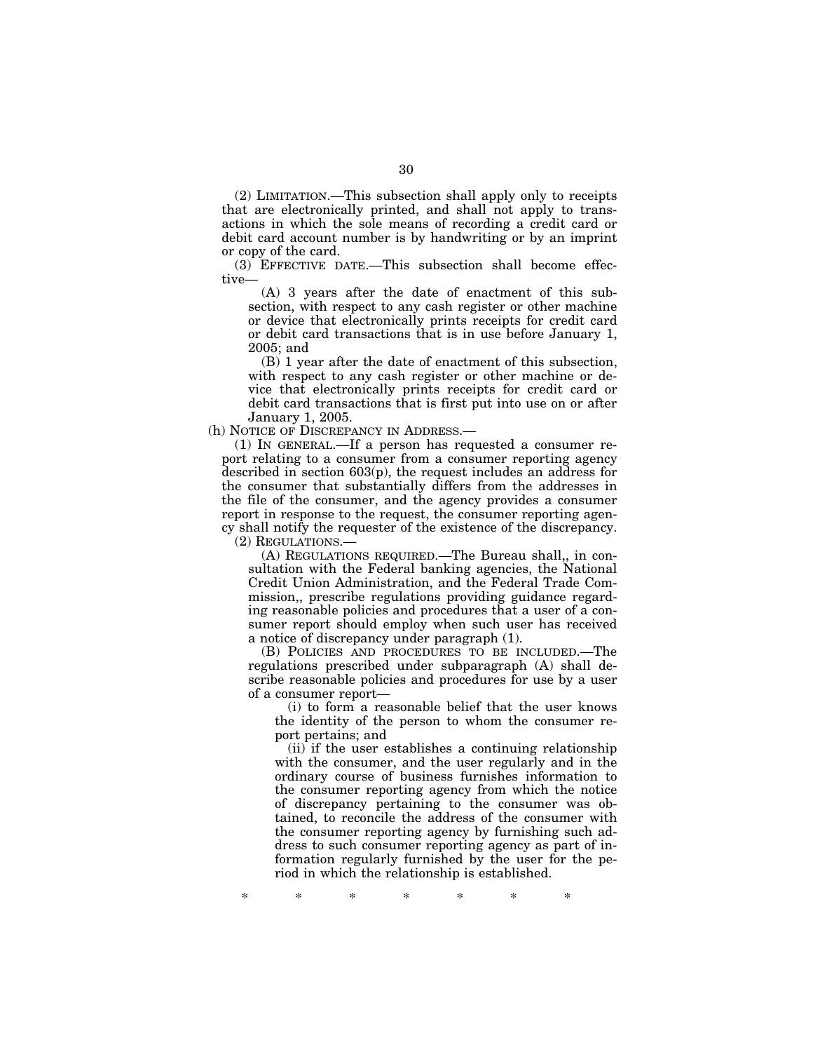(2) LIMITATION.—This subsection shall apply only to receipts that are electronically printed, and shall not apply to transactions in which the sole means of recording a credit card or debit card account number is by handwriting or by an imprint or copy of the card.

(3) EFFECTIVE DATE.—This subsection shall become effective—

(A) 3 years after the date of enactment of this subsection, with respect to any cash register or other machine or device that electronically prints receipts for credit card or debit card transactions that is in use before January 1, 2005; and

(B) 1 year after the date of enactment of this subsection, with respect to any cash register or other machine or device that electronically prints receipts for credit card or debit card transactions that is first put into use on or after January 1, 2005.

(h) NOTICE OF DISCREPANCY IN ADDRESS.—

(1) IN GENERAL.—If a person has requested a consumer report relating to a consumer from a consumer reporting agency described in section 603(p), the request includes an address for the consumer that substantially differs from the addresses in the file of the consumer, and the agency provides a consumer report in response to the request, the consumer reporting agency shall notify the requester of the existence of the discrepancy.

(2) REGULATIONS.—

(A) REGULATIONS REQUIRED.—The Bureau shall,, in consultation with the Federal banking agencies, the National Credit Union Administration, and the Federal Trade Commission,, prescribe regulations providing guidance regarding reasonable policies and procedures that a user of a consumer report should employ when such user has received a notice of discrepancy under paragraph (1).

(B) POLICIES AND PROCEDURES TO BE INCLUDED.—The regulations prescribed under subparagraph (A) shall describe reasonable policies and procedures for use by a user of a consumer report—

(i) to form a reasonable belief that the user knows the identity of the person to whom the consumer report pertains; and

(ii) if the user establishes a continuing relationship with the consumer, and the user regularly and in the ordinary course of business furnishes information to the consumer reporting agency from which the notice of discrepancy pertaining to the consumer was obtained, to reconcile the address of the consumer with the consumer reporting agency by furnishing such address to such consumer reporting agency as part of information regularly furnished by the user for the period in which the relationship is established.

\* \* \* \* \* \* \*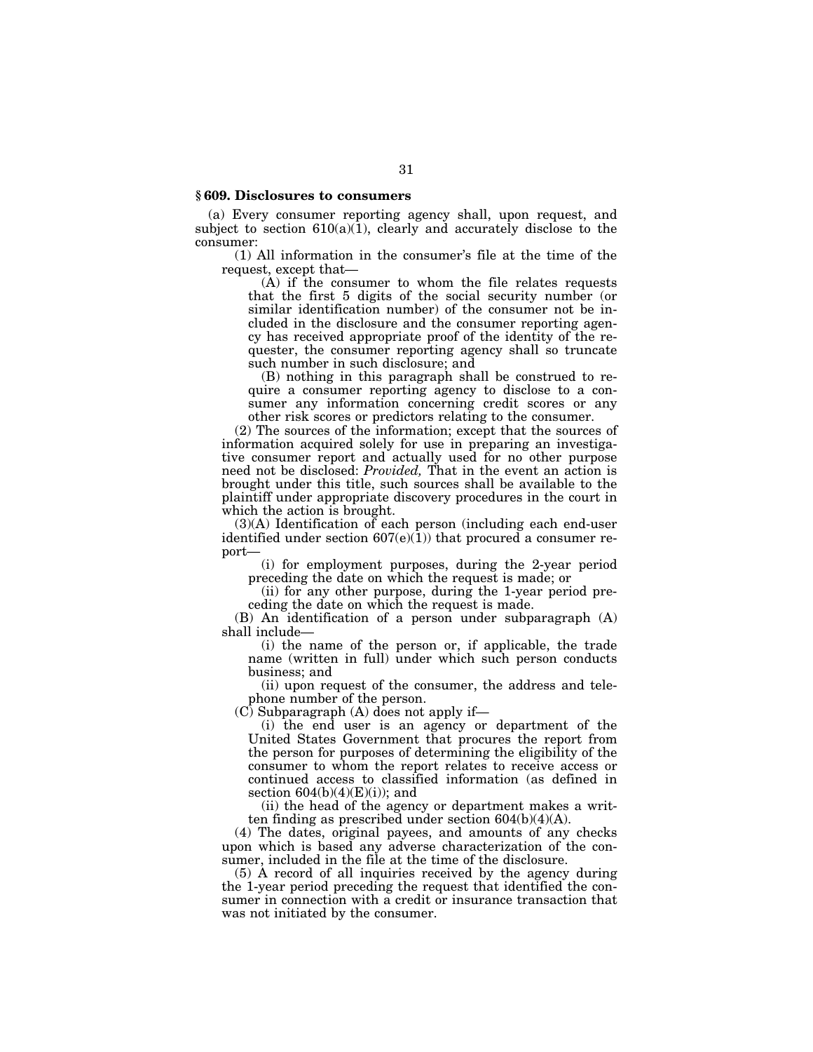### **§ 609. Disclosures to consumers**

(a) Every consumer reporting agency shall, upon request, and subject to section  $610(a)(1)$ , clearly and accurately disclose to the consumer:

(1) All information in the consumer's file at the time of the request, except that—

(A) if the consumer to whom the file relates requests that the first 5 digits of the social security number (or similar identification number) of the consumer not be included in the disclosure and the consumer reporting agency has received appropriate proof of the identity of the requester, the consumer reporting agency shall so truncate such number in such disclosure; and

(B) nothing in this paragraph shall be construed to require a consumer reporting agency to disclose to a consumer any information concerning credit scores or any other risk scores or predictors relating to the consumer.

(2) The sources of the information; except that the sources of information acquired solely for use in preparing an investigative consumer report and actually used for no other purpose need not be disclosed: *Provided,* That in the event an action is brought under this title, such sources shall be available to the plaintiff under appropriate discovery procedures in the court in which the action is brought.

(3)(A) Identification of each person (including each end-user identified under section  $607(e)(1)$  that procured a consumer report—

(i) for employment purposes, during the 2-year period preceding the date on which the request is made; or

(ii) for any other purpose, during the 1-year period preceding the date on which the request is made.

(B) An identification of a person under subparagraph (A) shall include—

(i) the name of the person or, if applicable, the trade name (written in full) under which such person conducts business; and

(ii) upon request of the consumer, the address and telephone number of the person.

 $(C)$  Subparagraph  $(A)$  does not apply if—

(i) the end user is an agency or department of the United States Government that procures the report from the person for purposes of determining the eligibility of the consumer to whom the report relates to receive access or continued access to classified information (as defined in section  $604(b)(4)(E)(i)$ ; and

(ii) the head of the agency or department makes a written finding as prescribed under section  $604(b)(4)(A)$ .

(4) The dates, original payees, and amounts of any checks upon which is based any adverse characterization of the consumer, included in the file at the time of the disclosure.

(5) A record of all inquiries received by the agency during the 1-year period preceding the request that identified the consumer in connection with a credit or insurance transaction that was not initiated by the consumer.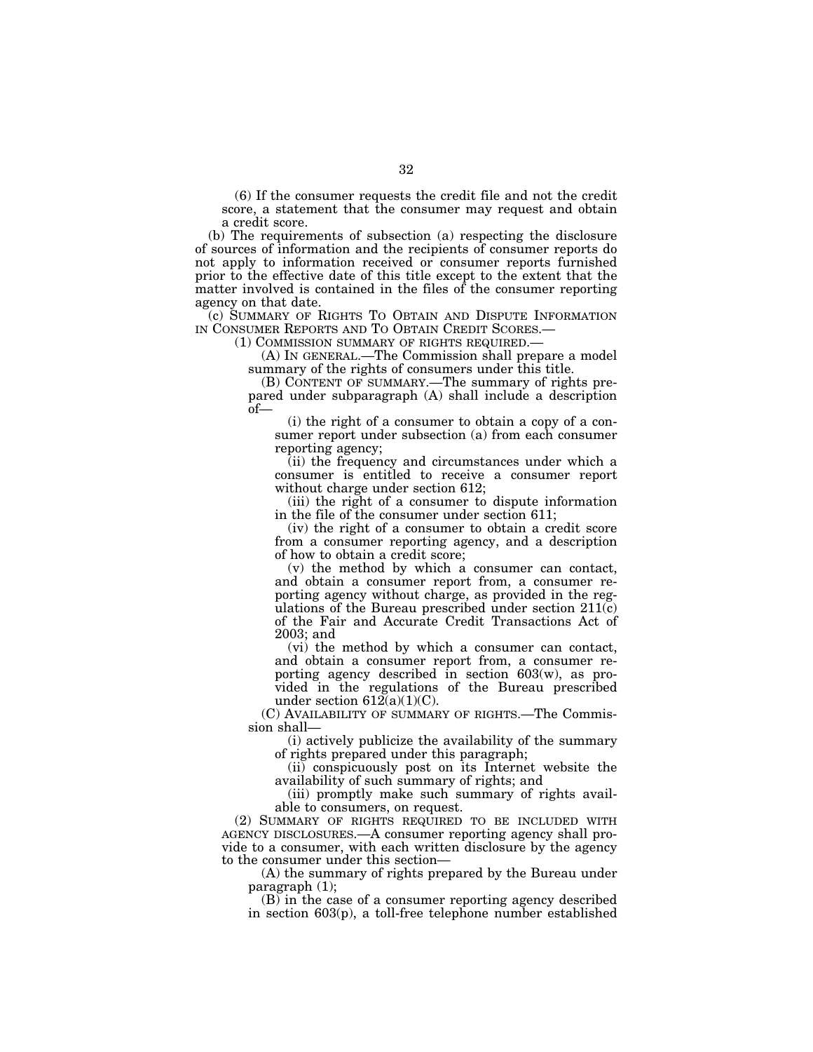(6) If the consumer requests the credit file and not the credit score, a statement that the consumer may request and obtain a credit score.

(b) The requirements of subsection (a) respecting the disclosure of sources of information and the recipients of consumer reports do not apply to information received or consumer reports furnished prior to the effective date of this title except to the extent that the matter involved is contained in the files of the consumer reporting agency on that date.

(c) SUMMARY OF RIGHTS TO OBTAIN AND DISPUTE INFORMATION IN CONSUMER REPORTS AND TO OBTAIN CREDIT SCORES.— (1) COMMISSION SUMMARY OF RIGHTS REQUIRED.—

(A) IN GENERAL.—The Commission shall prepare a model summary of the rights of consumers under this title.

(B) CONTENT OF SUMMARY.—The summary of rights prepared under subparagraph (A) shall include a description of—

(i) the right of a consumer to obtain a copy of a consumer report under subsection (a) from each consumer reporting agency;

(ii) the frequency and circumstances under which a consumer is entitled to receive a consumer report without charge under section 612;

(iii) the right of a consumer to dispute information in the file of the consumer under section 611;

(iv) the right of a consumer to obtain a credit score from a consumer reporting agency, and a description of how to obtain a credit score;

(v) the method by which a consumer can contact, and obtain a consumer report from, a consumer reporting agency without charge, as provided in the regulations of the Bureau prescribed under section  $211(c)$ of the Fair and Accurate Credit Transactions Act of 2003; and

(vi) the method by which a consumer can contact, and obtain a consumer report from, a consumer reporting agency described in section 603(w), as provided in the regulations of the Bureau prescribed under section  $612(a)(1)(C)$ .

(C) AVAILABILITY OF SUMMARY OF RIGHTS.—The Commission shall—

(i) actively publicize the availability of the summary of rights prepared under this paragraph;

(ii) conspicuously post on its Internet website the availability of such summary of rights; and

(iii) promptly make such summary of rights available to consumers, on request.

(2) SUMMARY OF RIGHTS REQUIRED TO BE INCLUDED WITH AGENCY DISCLOSURES.—A consumer reporting agency shall provide to a consumer, with each written disclosure by the agency to the consumer under this section—

(A) the summary of rights prepared by the Bureau under paragraph (1);

(B) in the case of a consumer reporting agency described in section 603(p), a toll-free telephone number established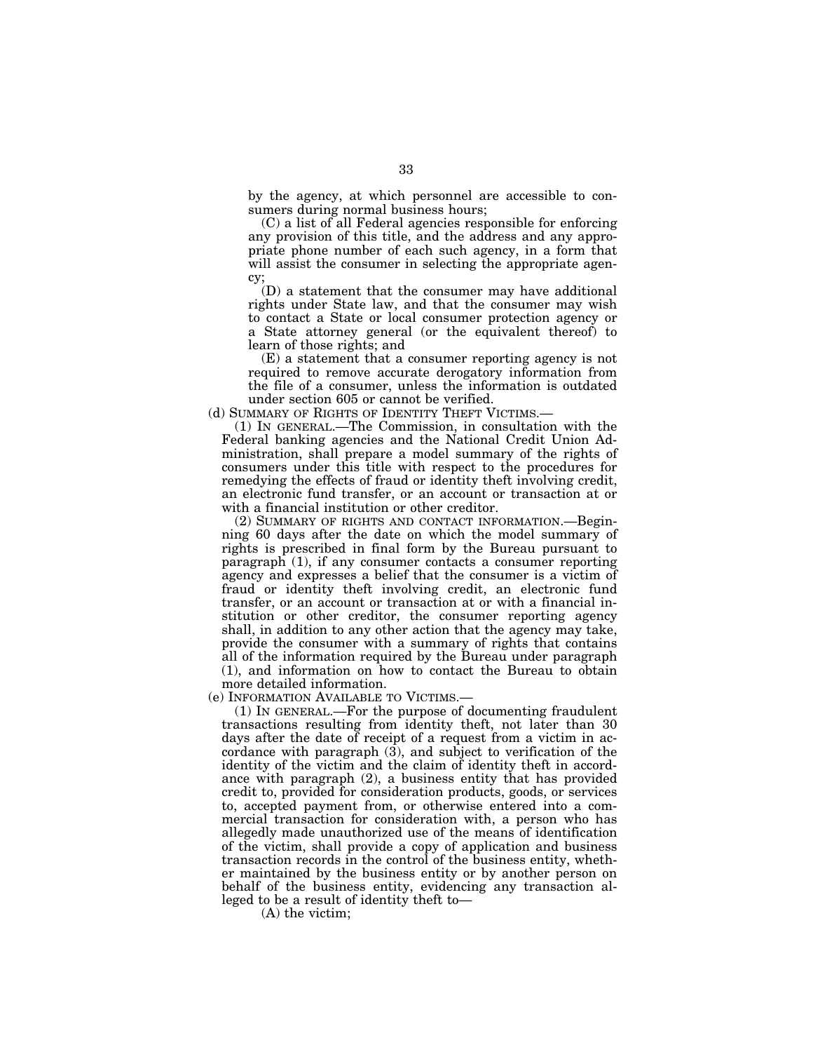by the agency, at which personnel are accessible to consumers during normal business hours;

(C) a list of all Federal agencies responsible for enforcing any provision of this title, and the address and any appropriate phone number of each such agency, in a form that will assist the consumer in selecting the appropriate agency;

(D) a statement that the consumer may have additional rights under State law, and that the consumer may wish to contact a State or local consumer protection agency or a State attorney general (or the equivalent thereof) to learn of those rights; and

(E) a statement that a consumer reporting agency is not required to remove accurate derogatory information from the file of a consumer, unless the information is outdated under section 605 or cannot be verified.

(d) SUMMARY OF RIGHTS OF IDENTITY THEFT VICTIMS.—

(1) IN GENERAL.—The Commission, in consultation with the Federal banking agencies and the National Credit Union Administration, shall prepare a model summary of the rights of consumers under this title with respect to the procedures for remedying the effects of fraud or identity theft involving credit, an electronic fund transfer, or an account or transaction at or with a financial institution or other creditor.

(2) SUMMARY OF RIGHTS AND CONTACT INFORMATION.—Beginning 60 days after the date on which the model summary of rights is prescribed in final form by the Bureau pursuant to paragraph (1), if any consumer contacts a consumer reporting agency and expresses a belief that the consumer is a victim of fraud or identity theft involving credit, an electronic fund transfer, or an account or transaction at or with a financial institution or other creditor, the consumer reporting agency shall, in addition to any other action that the agency may take, provide the consumer with a summary of rights that contains all of the information required by the Bureau under paragraph (1), and information on how to contact the Bureau to obtain more detailed information.

(e) INFORMATION AVAILABLE TO VICTIMS.—

(1) IN GENERAL.—For the purpose of documenting fraudulent transactions resulting from identity theft, not later than 30 days after the date of receipt of a request from a victim in accordance with paragraph  $(3)$ , and subject to verification of the identity of the victim and the claim of identity theft in accordance with paragraph (2), a business entity that has provided credit to, provided for consideration products, goods, or services to, accepted payment from, or otherwise entered into a commercial transaction for consideration with, a person who has allegedly made unauthorized use of the means of identification of the victim, shall provide a copy of application and business transaction records in the control of the business entity, whether maintained by the business entity or by another person on behalf of the business entity, evidencing any transaction alleged to be a result of identity theft to—

(A) the victim;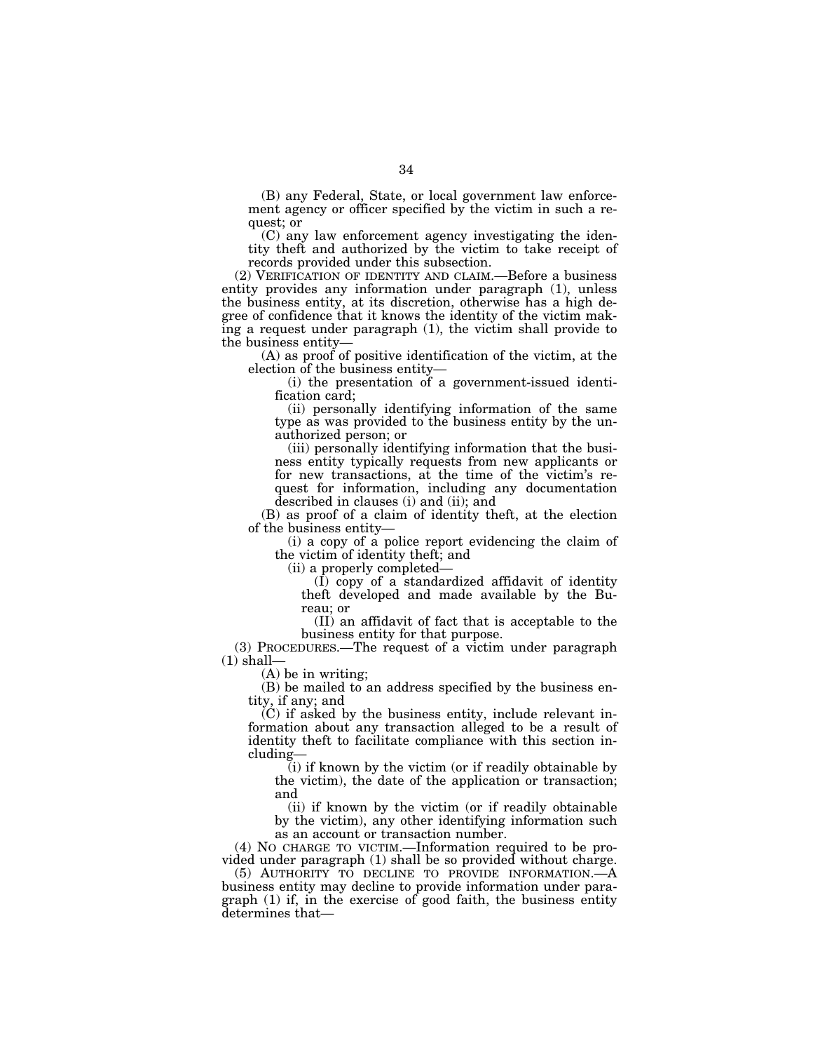(B) any Federal, State, or local government law enforcement agency or officer specified by the victim in such a request; or

(C) any law enforcement agency investigating the identity theft and authorized by the victim to take receipt of records provided under this subsection.

(2) VERIFICATION OF IDENTITY AND CLAIM.—Before a business entity provides any information under paragraph (1), unless the business entity, at its discretion, otherwise has a high degree of confidence that it knows the identity of the victim making a request under paragraph (1), the victim shall provide to the business entity—

 $(A)$  as proof of positive identification of the victim, at the election of the business entity—

(i) the presentation of a government-issued identification card;

(ii) personally identifying information of the same type as was provided to the business entity by the unauthorized person; or

(iii) personally identifying information that the business entity typically requests from new applicants or for new transactions, at the time of the victim's request for information, including any documentation described in clauses (i) and (ii); and

(B) as proof of a claim of identity theft, at the election of the business entity—

(i) a copy of a police report evidencing the claim of the victim of identity theft; and

(ii) a properly completed—

(I) copy of a standardized affidavit of identity theft developed and made available by the Bureau; or

(II) an affidavit of fact that is acceptable to the business entity for that purpose.

(3) PROCEDURES.—The request of a victim under paragraph  $(1)$  shall-

(A) be in writing;

(B) be mailed to an address specified by the business entity, if any; and

(C) if asked by the business entity, include relevant information about any transaction alleged to be a result of identity theft to facilitate compliance with this section including—

(i) if known by the victim (or if readily obtainable by the victim), the date of the application or transaction; and

(ii) if known by the victim (or if readily obtainable by the victim), any other identifying information such as an account or transaction number.

(4) NO CHARGE TO VICTIM.—Information required to be provided under paragraph (1) shall be so provided without charge.

(5) AUTHORITY TO DECLINE TO PROVIDE INFORMATION.—A business entity may decline to provide information under paragraph (1) if, in the exercise of good faith, the business entity determines that—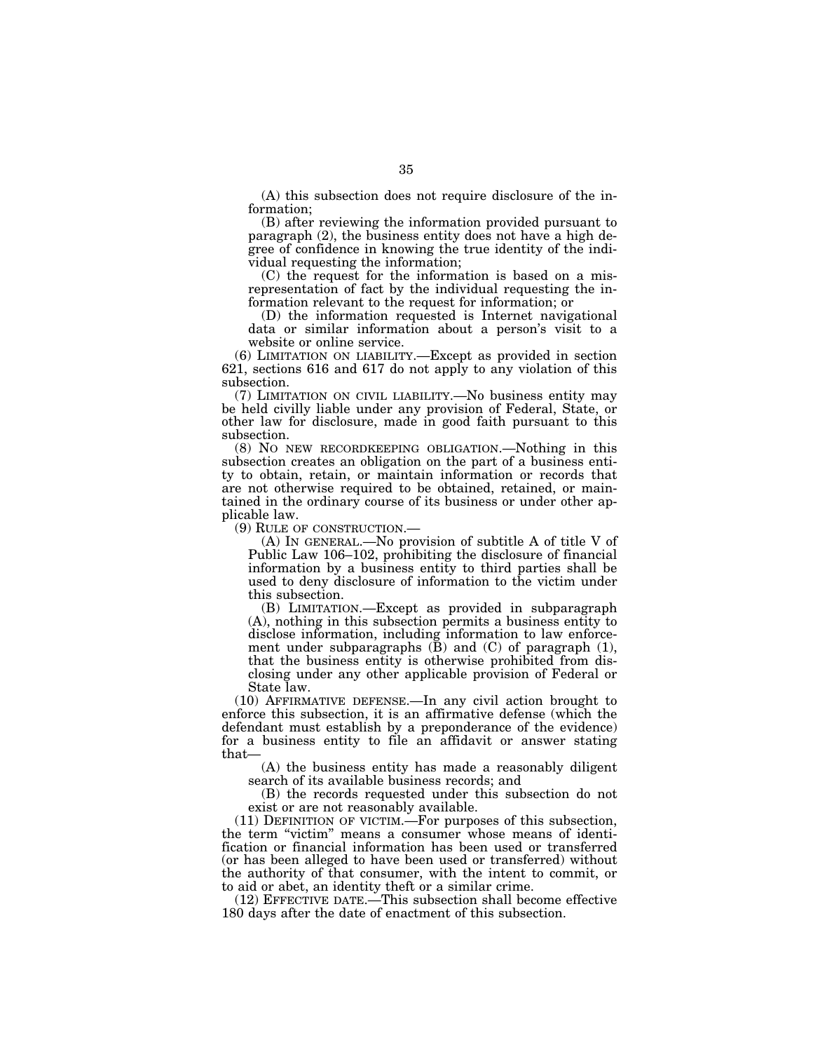(A) this subsection does not require disclosure of the information;

(B) after reviewing the information provided pursuant to paragraph (2), the business entity does not have a high degree of confidence in knowing the true identity of the individual requesting the information;

(C) the request for the information is based on a misrepresentation of fact by the individual requesting the information relevant to the request for information; or

(D) the information requested is Internet navigational data or similar information about a person's visit to a website or online service.

(6) LIMITATION ON LIABILITY.—Except as provided in section 621, sections 616 and 617 do not apply to any violation of this subsection.

(7) LIMITATION ON CIVIL LIABILITY.—No business entity may be held civilly liable under any provision of Federal, State, or other law for disclosure, made in good faith pursuant to this subsection.

(8) NO NEW RECORDKEEPING OBLIGATION.—Nothing in this subsection creates an obligation on the part of a business entity to obtain, retain, or maintain information or records that are not otherwise required to be obtained, retained, or maintained in the ordinary course of its business or under other applicable law.

(9) RULE OF CONSTRUCTION.—<br>(A) IN GENERAL.—No provision of subtitle A of title V of Public Law 106–102, prohibiting the disclosure of financial information by a business entity to third parties shall be used to deny disclosure of information to the victim under this subsection.

(B) LIMITATION.—Except as provided in subparagraph (A), nothing in this subsection permits a business entity to disclose information, including information to law enforcement under subparagraphs  $(B)$  and  $(C)$  of paragraph  $(1)$ , that the business entity is otherwise prohibited from disclosing under any other applicable provision of Federal or State law.

(10) AFFIRMATIVE DEFENSE.—In any civil action brought to enforce this subsection, it is an affirmative defense (which the defendant must establish by a preponderance of the evidence) for a business entity to file an affidavit or answer stating that—

(A) the business entity has made a reasonably diligent search of its available business records; and

(B) the records requested under this subsection do not exist or are not reasonably available.

(11) DEFINITION OF VICTIM.—For purposes of this subsection, the term ''victim'' means a consumer whose means of identification or financial information has been used or transferred (or has been alleged to have been used or transferred) without the authority of that consumer, with the intent to commit, or to aid or abet, an identity theft or a similar crime.

(12) EFFECTIVE DATE.—This subsection shall become effective 180 days after the date of enactment of this subsection.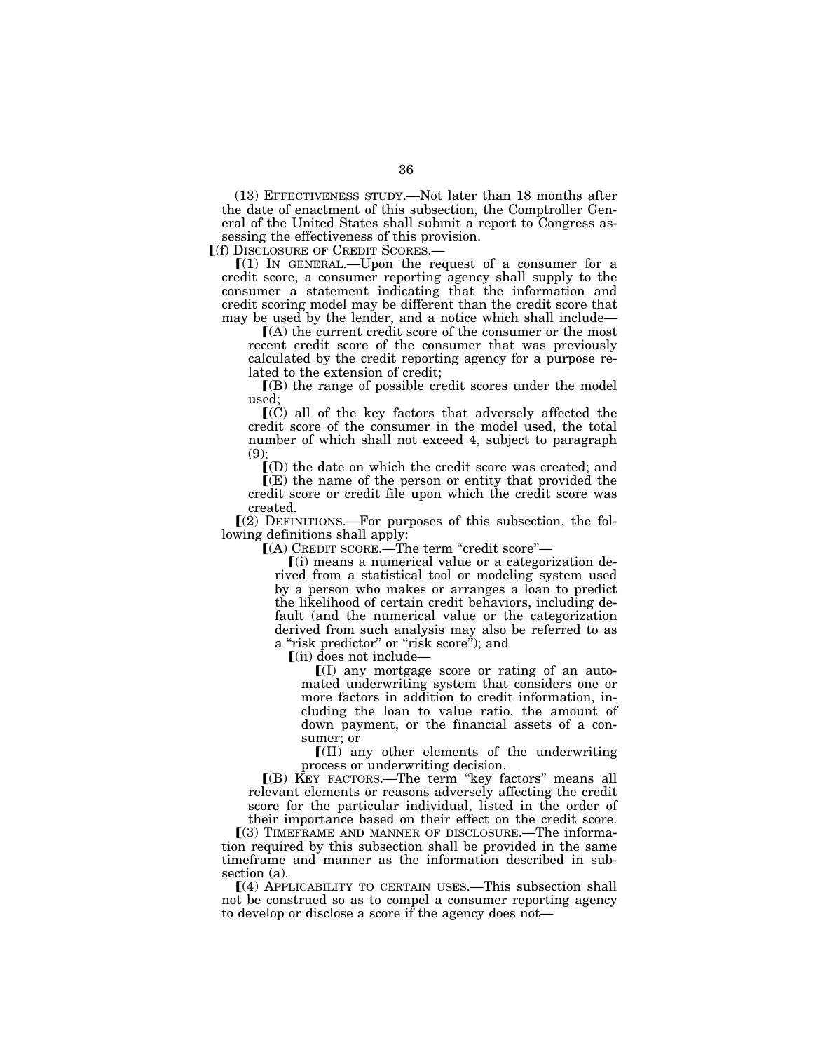(13) EFFECTIVENESS STUDY.—Not later than 18 months after the date of enactment of this subsection, the Comptroller General of the United States shall submit a report to Congress assessing the effectiveness of this provision.

ø(f) DISCLOSURE OF CREDIT SCORES.—

 $(1)$  IN GENERAL.—Upon the request of a consumer for a credit score, a consumer reporting agency shall supply to the consumer a statement indicating that the information and credit scoring model may be different than the credit score that may be used by the lender, and a notice which shall include—

 $(A)$  the current credit score of the consumer or the most recent credit score of the consumer that was previously calculated by the credit reporting agency for a purpose related to the extension of credit;

 $($ B $)$  the range of possible credit scores under the model used;

 $\mathcal{I}(C)$  all of the key factors that adversely affected the credit score of the consumer in the model used, the total number of which shall not exceed 4, subject to paragraph  $(9);$ 

 $I(D)$  the date on which the credit score was created; and

 $\mathbb{I}(E)$  the name of the person or entity that provided the credit score or credit file upon which the credit score was created.

 $(2)$  DEFINITIONS.—For purposes of this subsection, the following definitions shall apply:

 $\tilde{I}(A)$  CREDIT SCORE.—The term "credit score"—

 $(i)$  means a numerical value or a categorization derived from a statistical tool or modeling system used by a person who makes or arranges a loan to predict the likelihood of certain credit behaviors, including default (and the numerical value or the categorization derived from such analysis may also be referred to as a "risk predictor" or "risk score"; and

ø(ii) does not include—

 $\left[$ (I) any mortgage score or rating of an automated underwriting system that considers one or more factors in addition to credit information, including the loan to value ratio, the amount of down payment, or the financial assets of a consumer; or

ø(II) any other elements of the underwriting process or underwriting decision.

ø(B) KEY FACTORS.—The term ''key factors'' means all relevant elements or reasons adversely affecting the credit score for the particular individual, listed in the order of their importance based on their effect on the credit score.

ø(3) TIMEFRAME AND MANNER OF DISCLOSURE.—The information required by this subsection shall be provided in the same timeframe and manner as the information described in subsection (a).

 $(4)$  APPLICABILITY TO CERTAIN USES.—This subsection shall not be construed so as to compel a consumer reporting agency to develop or disclose a score if the agency does not—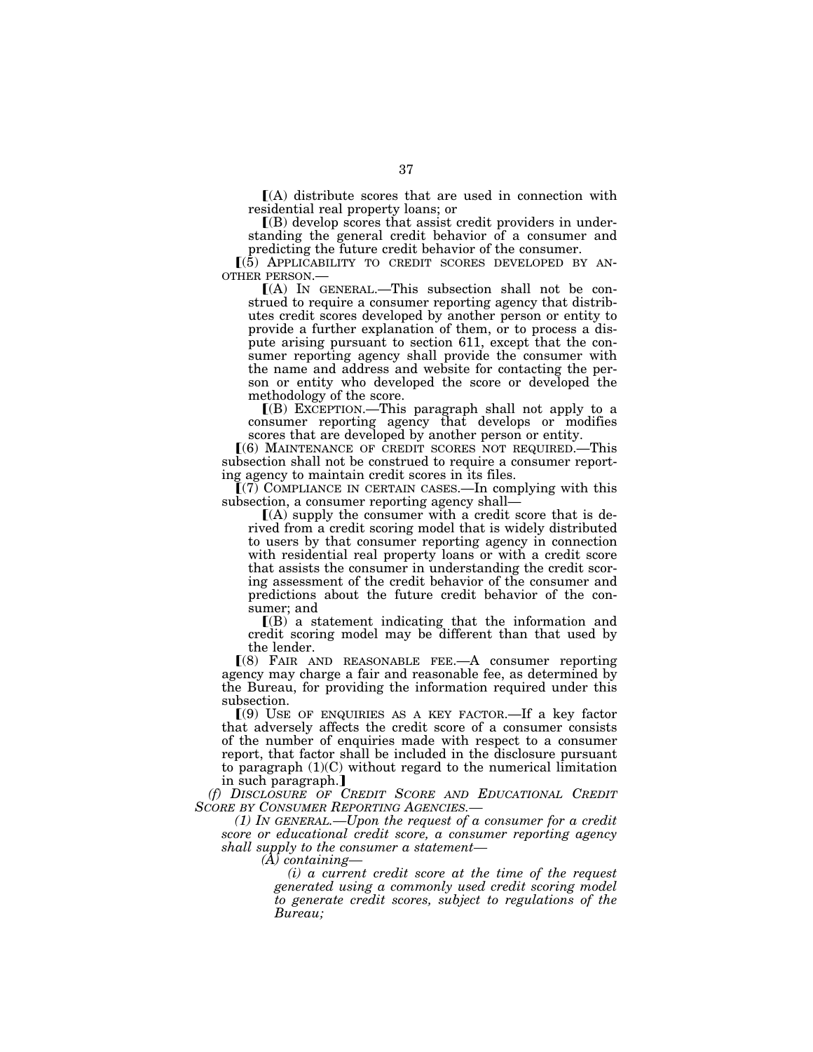$f(A)$  distribute scores that are used in connection with residential real property loans; or

 $($ B $)$  develop scores that assist credit providers in understanding the general credit behavior of a consumer and predicting the future credit behavior of the consumer.

 $(5)$  APPLICABILITY TO CREDIT SCORES DEVELOPED BY ANOTHER PERSON.—<br> $( A )$  IN GENERAL.—This subsection shall not be con-

strued to require a consumer reporting agency that distributes credit scores developed by another person or entity to provide a further explanation of them, or to process a dispute arising pursuant to section 611, except that the consumer reporting agency shall provide the consumer with the name and address and website for contacting the person or entity who developed the score or developed the methodology of the score.

 $($ B) EXCEPTION.—This paragraph shall not apply to a consumer reporting agency that develops or modifies scores that are developed by another person or entity.

ø(6) MAINTENANCE OF CREDIT SCORES NOT REQUIRED.—This subsection shall not be construed to require a consumer reporting agency to maintain credit scores in its files.

 $(7)$  COMPLIANCE IN CERTAIN CASES.—In complying with this subsection, a consumer reporting agency shall—

 $(A)$  supply the consumer with a credit score that is derived from a credit scoring model that is widely distributed to users by that consumer reporting agency in connection with residential real property loans or with a credit score that assists the consumer in understanding the credit scoring assessment of the credit behavior of the consumer and predictions about the future credit behavior of the consumer; and

 $I(B)$  a statement indicating that the information and credit scoring model may be different than that used by the lender.

 $(8)$  FAIR AND REASONABLE FEE.—A consumer reporting agency may charge a fair and reasonable fee, as determined by the Bureau, for providing the information required under this subsection.

 $(9)$  USE OF ENQUIRIES AS A KEY FACTOR.—If a key factor that adversely affects the credit score of a consumer consists of the number of enquiries made with respect to a consumer report, that factor shall be included in the disclosure pursuant to paragraph (1)(C) without regard to the numerical limitation in such paragraph.]

*(f) DISCLOSURE OF CREDIT SCORE AND EDUCATIONAL CREDIT SCORE BY CONSUMER REPORTING AGENCIES.—* 

*(1) IN GENERAL.—Upon the request of a consumer for a credit score or educational credit score, a consumer reporting agency shall supply to the consumer a statement—* 

*(A) containing—* 

*(i) a current credit score at the time of the request generated using a commonly used credit scoring model to generate credit scores, subject to regulations of the Bureau;*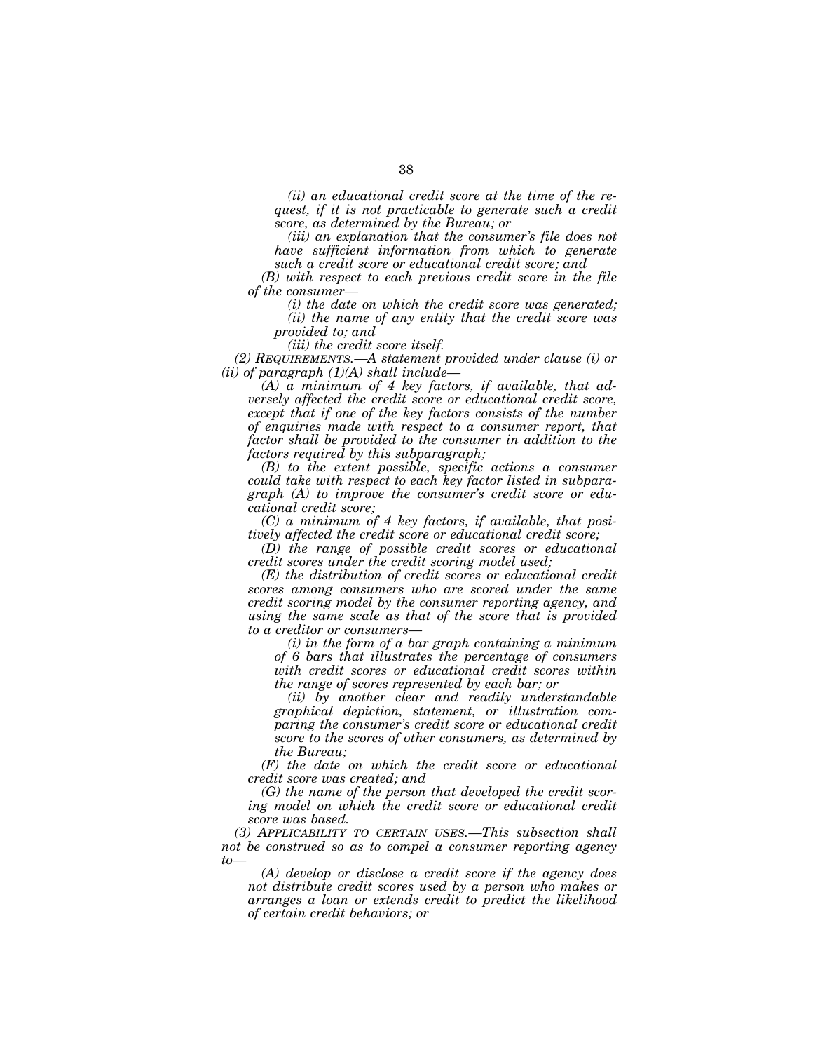*(ii) an educational credit score at the time of the request, if it is not practicable to generate such a credit score, as determined by the Bureau; or* 

*(iii) an explanation that the consumer's file does not have sufficient information from which to generate such a credit score or educational credit score; and* 

*(B) with respect to each previous credit score in the file of the consumer—* 

*(i) the date on which the credit score was generated; (ii) the name of any entity that the credit score was provided to; and* 

*(iii) the credit score itself.* 

*(2) REQUIREMENTS.—A statement provided under clause (i) or (ii) of paragraph (1)(A) shall include—* 

*(A) a minimum of 4 key factors, if available, that adversely affected the credit score or educational credit score, except that if one of the key factors consists of the number of enquiries made with respect to a consumer report, that factor shall be provided to the consumer in addition to the factors required by this subparagraph;* 

*(B) to the extent possible, specific actions a consumer could take with respect to each key factor listed in subparagraph (A) to improve the consumer's credit score or educational credit score;* 

*(C) a minimum of 4 key factors, if available, that positively affected the credit score or educational credit score;* 

*(D) the range of possible credit scores or educational credit scores under the credit scoring model used;* 

*(E) the distribution of credit scores or educational credit scores among consumers who are scored under the same credit scoring model by the consumer reporting agency, and using the same scale as that of the score that is provided to a creditor or consumers—* 

*(i) in the form of a bar graph containing a minimum of 6 bars that illustrates the percentage of consumers with credit scores or educational credit scores within the range of scores represented by each bar; or* 

*(ii) by another clear and readily understandable graphical depiction, statement, or illustration comparing the consumer's credit score or educational credit score to the scores of other consumers, as determined by the Bureau;* 

*(F) the date on which the credit score or educational credit score was created; and* 

*(G) the name of the person that developed the credit scoring model on which the credit score or educational credit score was based.* 

*(3) APPLICABILITY TO CERTAIN USES.—This subsection shall not be construed so as to compel a consumer reporting agency to—* 

*(A) develop or disclose a credit score if the agency does not distribute credit scores used by a person who makes or arranges a loan or extends credit to predict the likelihood of certain credit behaviors; or*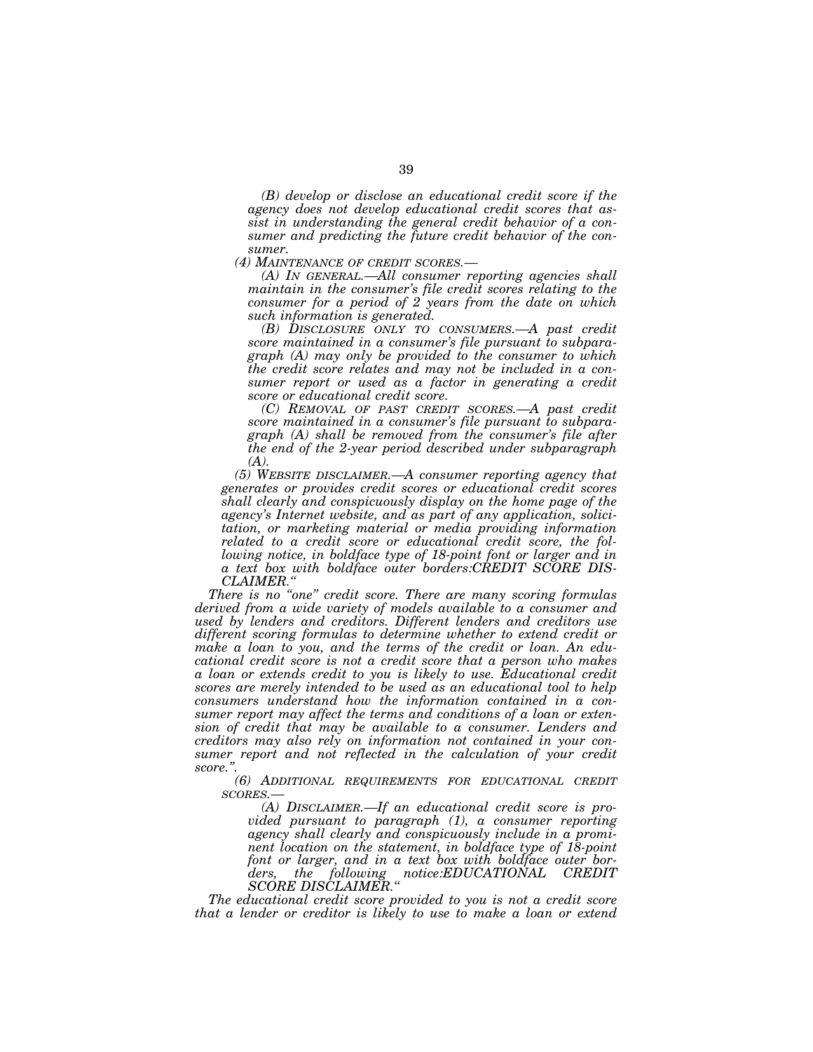*(B) develop or disclose an educational credit score if the agency does not develop educational credit scores that assist in understanding the general credit behavior of a consumer and predicting the future credit behavior of the consumer.*<br>(4) MAINTENANCE OF CREDIT SCORES.—

*(A) IN GENERAL.—All consumer reporting agencies shall maintain in the consumer's file credit scores relating to the consumer for a period of 2 years from the date on which such information is generated.* 

*(B) DISCLOSURE ONLY TO CONSUMERS.—A past credit score maintained in a consumer's file pursuant to subparagraph (A) may only be provided to the consumer to which the credit score relates and may not be included in a consumer report or used as a factor in generating a credit score or educational credit score.* 

*(C) REMOVAL OF PAST CREDIT SCORES.—A past credit score maintained in a consumer's file pursuant to subparagraph (A) shall be removed from the consumer's file after the end of the 2-year period described under subparagraph (A).* 

*(5) WEBSITE DISCLAIMER.—A consumer reporting agency that generates or provides credit scores or educational credit scores shall clearly and conspicuously display on the home page of the agency's Internet website, and as part of any application, solicitation, or marketing material or media providing information related to a credit score or educational credit score, the following notice, in boldface type of 18-point font or larger and in a text box with boldface outer borders:CREDIT SCORE DIS-CLAIMER.''* 

*There is no ''one'' credit score. There are many scoring formulas derived from a wide variety of models available to a consumer and used by lenders and creditors. Different lenders and creditors use different scoring formulas to determine whether to extend credit or make a loan to you, and the terms of the credit or loan. An educational credit score is not a credit score that a person who makes a loan or extends credit to you is likely to use. Educational credit scores are merely intended to be used as an educational tool to help consumers understand how the information contained in a consumer report may affect the terms and conditions of a loan or extension of credit that may be available to a consumer. Lenders and creditors may also rely on information not contained in your consumer report and not reflected in the calculation of your credit score.''.* 

*(6) ADDITIONAL REQUIREMENTS FOR EDUCATIONAL CREDIT SCORES.—* 

*(A) DISCLAIMER.—If an educational credit score is provided pursuant to paragraph (1), a consumer reporting agency shall clearly and conspicuously include in a prominent location on the statement, in boldface type of 18-point font or larger, and in a text box with boldface outer borders, the following notice:EDUCATIONAL CREDIT SCORE DISCLAIMER.''* 

*The educational credit score provided to you is not a credit score that a lender or creditor is likely to use to make a loan or extend*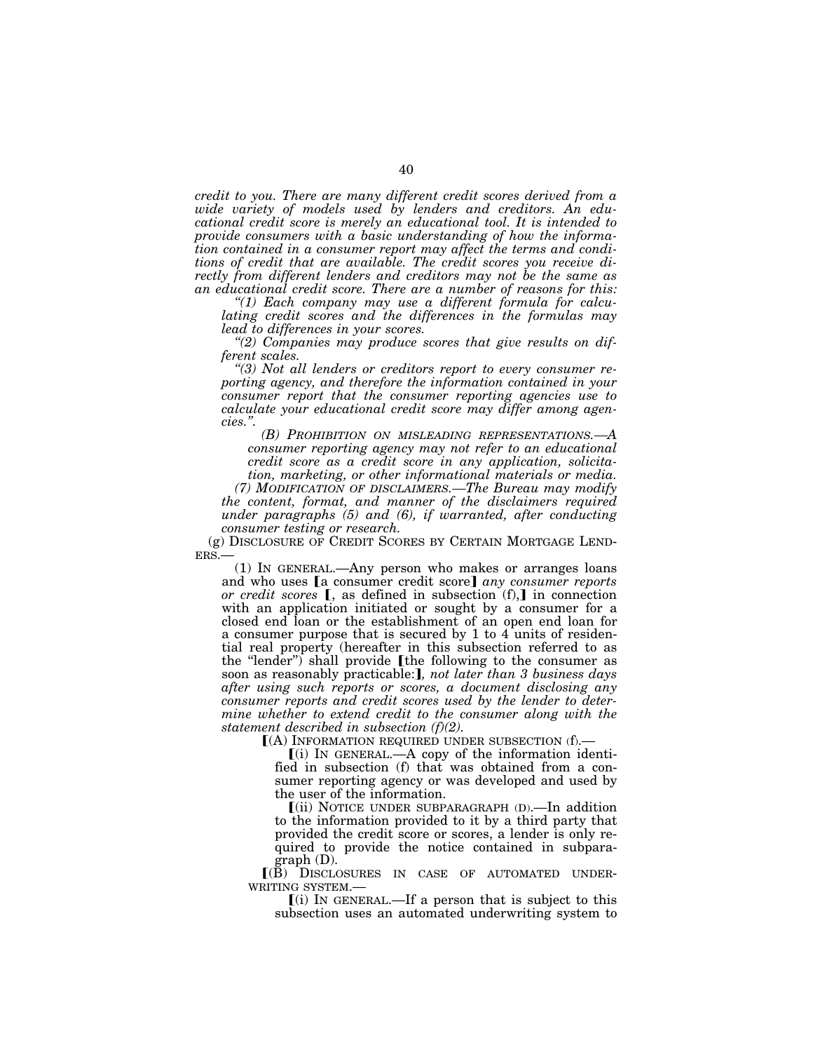*credit to you. There are many different credit scores derived from a wide variety of models used by lenders and creditors. An educational credit score is merely an educational tool. It is intended to provide consumers with a basic understanding of how the information contained in a consumer report may affect the terms and conditions of credit that are available. The credit scores you receive directly from different lenders and creditors may not be the same as an educational credit score. There are a number of reasons for this:* 

*''(1) Each company may use a different formula for calculating credit scores and the differences in the formulas may lead to differences in your scores.* 

*''(2) Companies may produce scores that give results on different scales.* 

*''(3) Not all lenders or creditors report to every consumer reporting agency, and therefore the information contained in your consumer report that the consumer reporting agencies use to calculate your educational credit score may differ among agencies.''.* 

*(B) PROHIBITION ON MISLEADING REPRESENTATIONS.—A consumer reporting agency may not refer to an educational credit score as a credit score in any application, solicitation, marketing, or other informational materials or media.* 

*(7) MODIFICATION OF DISCLAIMERS.—The Bureau may modify the content, format, and manner of the disclaimers required under paragraphs (5) and (6), if warranted, after conducting consumer testing or research.* 

(g) DISCLOSURE OF CREDIT SCORES BY CERTAIN MORTGAGE LEND-<br>ERS.— (1) IN GENERAL.—Any person who makes or arranges loans

and who uses a consumer credit score] *any consumer reports or credit scores*  $\mathbf{I}$ , as defined in subsection (f), in connection with an application initiated or sought by a consumer for a closed end loan or the establishment of an open end loan for a consumer purpose that is secured by 1 to 4 units of residential real property (hereafter in this subsection referred to as the "lender") shall provide [the following to the consumer as soon as reasonably practicable:*]*, *not later than 3 business days after using such reports or scores, a document disclosing any consumer reports and credit scores used by the lender to determine whether to extend credit to the consumer along with the statement described in subsection (f)(2).* 

 $(A)$  INFORMATION REQUIRED UNDER SUBSECTION  $(f)$ .

 $(i)$  IN GENERAL.—A copy of the information identified in subsection (f) that was obtained from a consumer reporting agency or was developed and used by the user of the information.

ø(ii) NOTICE UNDER SUBPARAGRAPH (D).—In addition to the information provided to it by a third party that provided the credit score or scores, a lender is only required to provide the notice contained in subparagraph (D).

 $\left[ \left( \overline{B} \right) \right]$  DISCLOSURES IN CASE OF AUTOMATED UNDER-WRITING SYSTEM.—

 $(i)$  IN GENERAL.—If a person that is subject to this subsection uses an automated underwriting system to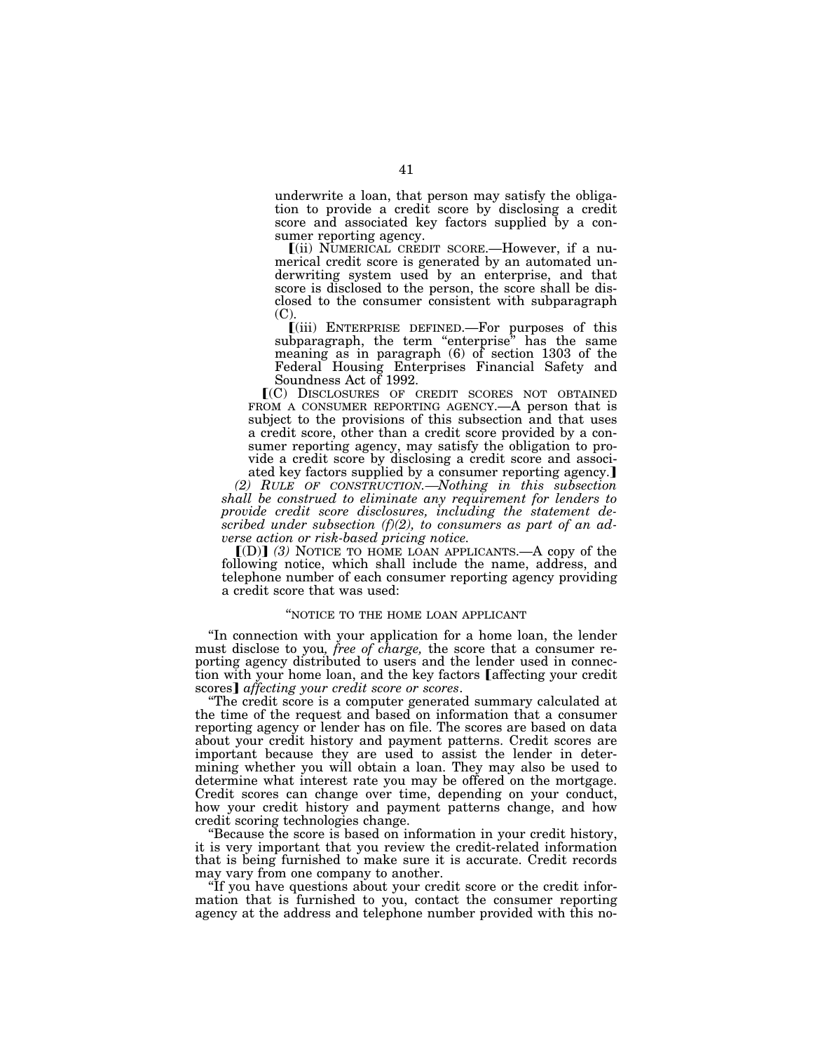underwrite a loan, that person may satisfy the obligation to provide a credit score by disclosing a credit score and associated key factors supplied by a consumer reporting agency.

ø(ii) NUMERICAL CREDIT SCORE.—However, if a numerical credit score is generated by an automated underwriting system used by an enterprise, and that score is disclosed to the person, the score shall be disclosed to the consumer consistent with subparagraph (C).

ø(iii) ENTERPRISE DEFINED.—For purposes of this subparagraph, the term "enterprise" has the same meaning as in paragraph (6) of section 1303 of the Federal Housing Enterprises Financial Safety and Soundness Act of 1992.

ø(C) DISCLOSURES OF CREDIT SCORES NOT OBTAINED FROM A CONSUMER REPORTING AGENCY.—A person that is subject to the provisions of this subsection and that uses a credit score, other than a credit score provided by a consumer reporting agency, may satisfy the obligation to provide a credit score by disclosing a credit score and associ-

ated key factors supplied by a consumer reporting agency. *(2) RULE OF CONSTRUCTION.—Nothing in this subsection shall be construed to eliminate any requirement for lenders to provide credit score disclosures, including the statement described under subsection (f)(2), to consumers as part of an adverse action or risk-based pricing notice.* 

 $[(D)]$  (3) NOTICE TO HOME LOAN APPLICANTS.—A copy of the following notice, which shall include the name, address, and telephone number of each consumer reporting agency providing a credit score that was used:

### ''NOTICE TO THE HOME LOAN APPLICANT

''In connection with your application for a home loan, the lender must disclose to you*, free of charge,* the score that a consumer reporting agency distributed to users and the lender used in connection with your home loan, and the key factors [affecting your credit scores] *affecting your credit score or scores*.

scores¿ *affecting your credit score or scores*. ''The credit score is a computer generated summary calculated at the time of the request and based on information that a consumer reporting agency or lender has on file. The scores are based on data about your credit history and payment patterns. Credit scores are important because they are used to assist the lender in determining whether you will obtain a loan. They may also be used to determine what interest rate you may be offered on the mortgage. Credit scores can change over time, depending on your conduct, how your credit history and payment patterns change, and how credit scoring technologies change.

''Because the score is based on information in your credit history, it is very important that you review the credit-related information that is being furnished to make sure it is accurate. Credit records may vary from one company to another.

''If you have questions about your credit score or the credit information that is furnished to you, contact the consumer reporting agency at the address and telephone number provided with this no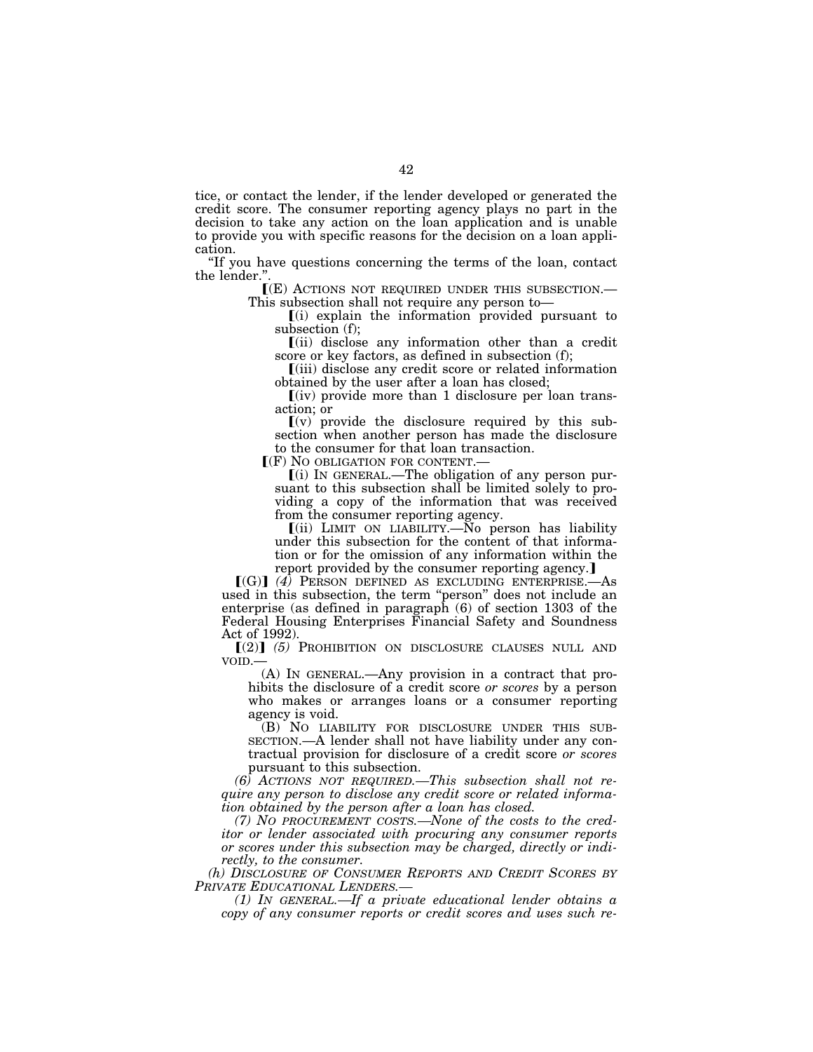tice, or contact the lender, if the lender developed or generated the credit score. The consumer reporting agency plays no part in the decision to take any action on the loan application and is unable to provide you with specific reasons for the decision on a loan application.

''If you have questions concerning the terms of the loan, contact the lender."

<sup>ø</sup>(E) ACTIONS NOT REQUIRED UNDER THIS SUBSECTION.— This subsection shall not require any person to—

 $\lceil$ (i) explain the information provided pursuant to subsection (f);

ø(ii) disclose any information other than a credit score or key factors, as defined in subsection (f);

ø(iii) disclose any credit score or related information obtained by the user after a loan has closed;

 $\left[$ (iv) provide more than 1 disclosure per loan transaction; or

 $\lbrack v \rbrack$  provide the disclosure required by this subsection when another person has made the disclosure to the consumer for that loan transaction.

 $\mathbf{F}(\mathbf{F})$  No obligation for content.—<br> $\mathbf{F}(\mathbf{i})$  In GENERAL.—The obligation of any person pursuant to this subsection shall be limited solely to providing a copy of the information that was received from the consumer reporting agency.

 $(iii)$  LIMIT ON LIABILITY.—No person has liability under this subsection for the content of that information or for the omission of any information within the report provided by the consumer reporting agency.

 $[(G)]$   $(4)$  PERSON DEFINED AS EXCLUDING ENTERPRISE.—As used in this subsection, the term ''person'' does not include an enterprise (as defined in paragraph (6) of section 1303 of the Federal Housing Enterprises Financial Safety and Soundness Act of 1992).

 $[(2)]$   $(5)$  Prohibition on disclosure clauses null and VOID.—

(A) IN GENERAL.—Any provision in a contract that prohibits the disclosure of a credit score *or scores* by a person who makes or arranges loans or a consumer reporting agency is void.

(B) NO LIABILITY FOR DISCLOSURE UNDER THIS SUB-SECTION.—A lender shall not have liability under any contractual provision for disclosure of a credit score *or scores*  pursuant to this subsection.

*(6) ACTIONS NOT REQUIRED.—This subsection shall not require any person to disclose any credit score or related information obtained by the person after a loan has closed.* 

*(7) NO PROCUREMENT COSTS.—None of the costs to the creditor or lender associated with procuring any consumer reports or scores under this subsection may be charged, directly or indirectly, to the consumer.* 

*(h) DISCLOSURE OF CONSUMER REPORTS AND CREDIT SCORES BY PRIVATE EDUCATIONAL LENDERS.—* 

*(1) IN GENERAL.—If a private educational lender obtains a copy of any consumer reports or credit scores and uses such re-*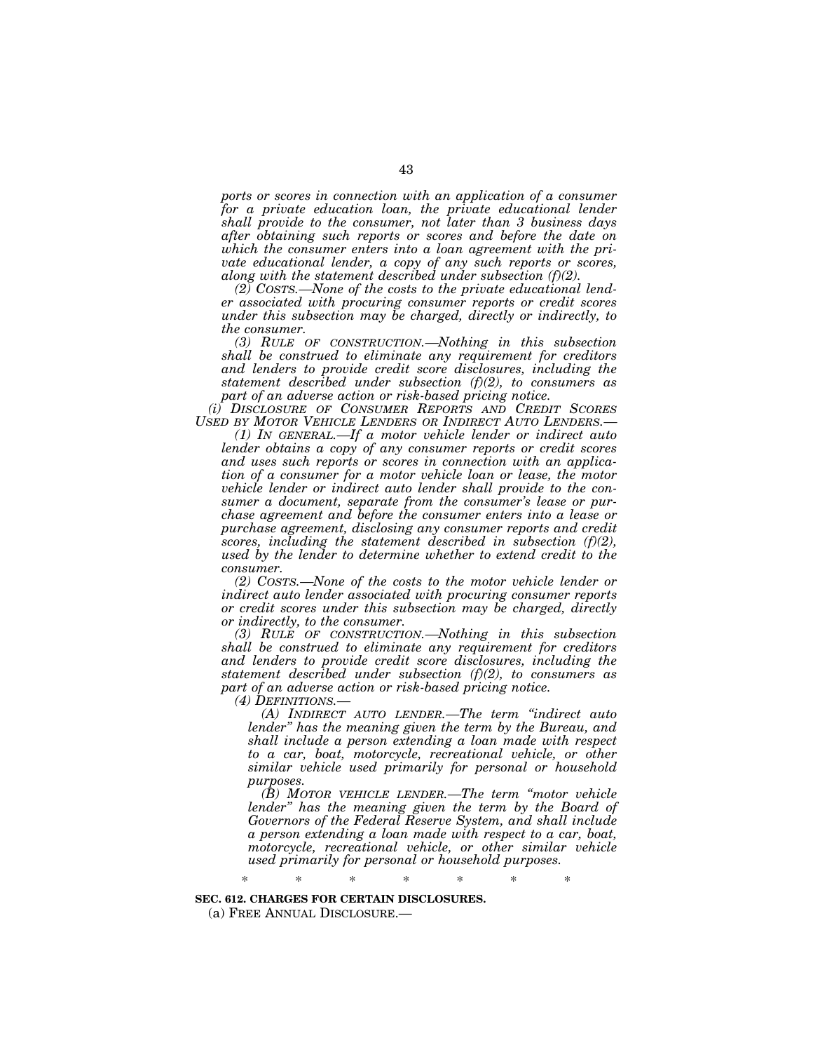*ports or scores in connection with an application of a consumer for a private education loan, the private educational lender shall provide to the consumer, not later than 3 business days after obtaining such reports or scores and before the date on which the consumer enters into a loan agreement with the private educational lender, a copy of any such reports or scores, along with the statement described under subsection (f)(2).* 

*(2) COSTS.—None of the costs to the private educational lender associated with procuring consumer reports or credit scores under this subsection may be charged, directly or indirectly, to the consumer.* 

*(3) RULE OF CONSTRUCTION.—Nothing in this subsection shall be construed to eliminate any requirement for creditors and lenders to provide credit score disclosures, including the statement described under subsection (f)(2), to consumers as part of an adverse action or risk-based pricing notice.* 

*(i) DISCLOSURE OF CONSUMER REPORTS AND CREDIT SCORES USED BY MOTOR VEHICLE LENDERS OR INDIRECT AUTO LENDERS.— (1) IN GENERAL.—If a motor vehicle lender or indirect auto* 

*lender obtains a copy of any consumer reports or credit scores and uses such reports or scores in connection with an application of a consumer for a motor vehicle loan or lease, the motor vehicle lender or indirect auto lender shall provide to the consumer a document, separate from the consumer's lease or purchase agreement and before the consumer enters into a lease or purchase agreement, disclosing any consumer reports and credit scores, including the statement described in subsection (f)(2), used by the lender to determine whether to extend credit to the consumer.* 

*(2) COSTS.—None of the costs to the motor vehicle lender or indirect auto lender associated with procuring consumer reports or credit scores under this subsection may be charged, directly or indirectly, to the consumer.* 

*(3) RULE OF CONSTRUCTION.—Nothing in this subsection shall be construed to eliminate any requirement for creditors and lenders to provide credit score disclosures, including the statement described under subsection (f)(2), to consumers as part of an adverse action or risk-based pricing notice.* 

*(4) DEFINITIONS.— (A) INDIRECT AUTO LENDER.—The term ''indirect auto lender'' has the meaning given the term by the Bureau, and shall include a person extending a loan made with respect to a car, boat, motorcycle, recreational vehicle, or other similar vehicle used primarily for personal or household purposes.* 

*(B) MOTOR VEHICLE LENDER.—The term ''motor vehicle lender'' has the meaning given the term by the Board of Governors of the Federal Reserve System, and shall include a person extending a loan made with respect to a car, boat, motorcycle, recreational vehicle, or other similar vehicle used primarily for personal or household purposes.* 

\* \* \* \* \* \* \*

**SEC. 612. CHARGES FOR CERTAIN DISCLOSURES.**  (a) FREE ANNUAL DISCLOSURE.—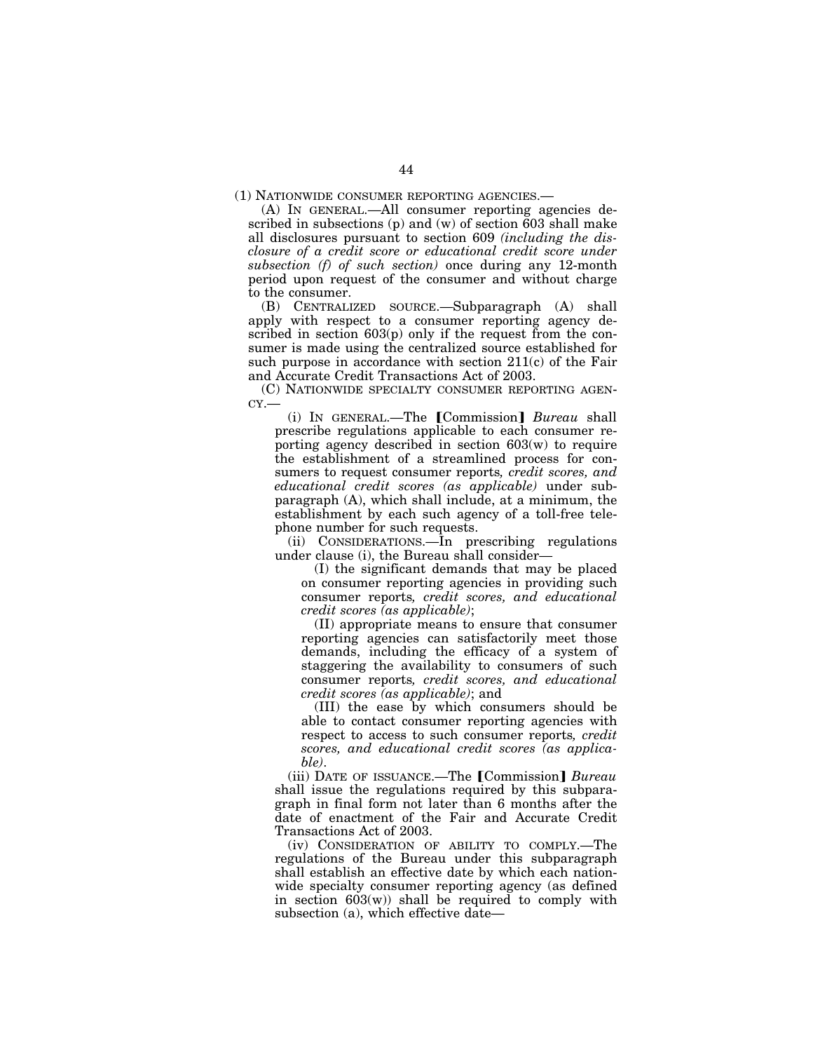(A) IN GENERAL.—All consumer reporting agencies described in subsections (p) and (w) of section 603 shall make all disclosures pursuant to section 609 *(including the disclosure of a credit score or educational credit score under subsection (f) of such section)* once during any 12-month period upon request of the consumer and without charge to the consumer.

(B) CENTRALIZED SOURCE.—Subparagraph (A) shall apply with respect to a consumer reporting agency described in section 603(p) only if the request from the consumer is made using the centralized source established for such purpose in accordance with section 211(c) of the Fair and Accurate Credit Transactions Act of 2003.

(C) NATIONWIDE SPECIALTY CONSUMER REPORTING AGEN-CY.—

(i) IN GENERAL.—The [Commission] *Bureau* shall prescribe regulations applicable to each consumer reporting agency described in section 603(w) to require the establishment of a streamlined process for consumers to request consumer reports*, credit scores, and educational credit scores (as applicable)* under subparagraph (A), which shall include, at a minimum, the establishment by each such agency of a toll-free telephone number for such requests.

(ii) CONSIDERATIONS.—In prescribing regulations under clause (i), the Bureau shall consider—

(I) the significant demands that may be placed on consumer reporting agencies in providing such consumer reports*, credit scores, and educational credit scores (as applicable)*;

(II) appropriate means to ensure that consumer reporting agencies can satisfactorily meet those demands, including the efficacy of a system of staggering the availability to consumers of such consumer reports*, credit scores, and educational credit scores (as applicable)*; and

(III) the ease by which consumers should be able to contact consumer reporting agencies with respect to access to such consumer reports*, credit scores, and educational credit scores (as applicable)*.

(iii) DATE OF ISSUANCE.—The [Commission] *Bureau* shall issue the regulations required by this subparagraph in final form not later than 6 months after the date of enactment of the Fair and Accurate Credit Transactions Act of 2003.

(iv) CONSIDERATION OF ABILITY TO COMPLY.—The regulations of the Bureau under this subparagraph shall establish an effective date by which each nationwide specialty consumer reporting agency (as defined in section  $603(w)$  shall be required to comply with subsection (a), which effective date—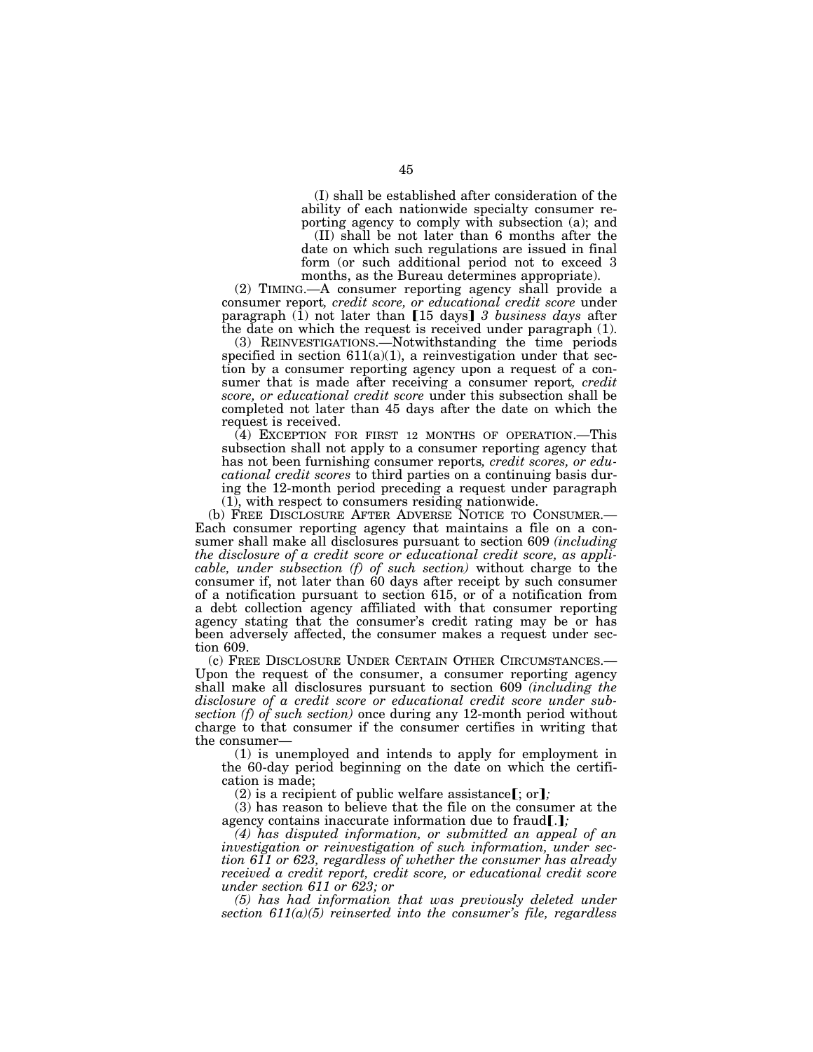(I) shall be established after consideration of the ability of each nationwide specialty consumer reporting agency to comply with subsection (a); and

(II) shall be not later than 6 months after the date on which such regulations are issued in final form (or such additional period not to exceed 3 months, as the Bureau determines appropriate).

(2) TIMING.—A consumer reporting agency shall provide a consumer report*, credit score, or educational credit score* under paragraph  $(1)$  not later than [15 days] 3 business days after the date on which the request is received under paragraph (1).

(3) REINVESTIGATIONS.—Notwithstanding the time periods specified in section  $611(a)(1)$ , a reinvestigation under that section by a consumer reporting agency upon a request of a consumer that is made after receiving a consumer report*, credit score, or educational credit score* under this subsection shall be completed not later than 45 days after the date on which the request is received.

(4) EXCEPTION FOR FIRST 12 MONTHS OF OPERATION.—This subsection shall not apply to a consumer reporting agency that has not been furnishing consumer reports*, credit scores, or educational credit scores* to third parties on a continuing basis during the 12-month period preceding a request under paragraph

(1), with respect to consumers residing nationwide. (b) FREE DISCLOSURE AFTER ADVERSE NOTICE TO CONSUMER.— Each consumer reporting agency that maintains a file on a con-

sumer shall make all disclosures pursuant to section 609 *(including the disclosure of a credit score or educational credit score, as applicable, under subsection (f) of such section)* without charge to the consumer if, not later than 60 days after receipt by such consumer of a notification pursuant to section 615, or of a notification from a debt collection agency affiliated with that consumer reporting agency stating that the consumer's credit rating may be or has been adversely affected, the consumer makes a request under section 609.

(c) FREE DISCLOSURE UNDER CERTAIN OTHER CIRCUMSTANCES.— Upon the request of the consumer, a consumer reporting agency shall make all disclosures pursuant to section 609 *(including the disclosure of a credit score or educational credit score under subsection (f) of such section)* once during any 12-month period without charge to that consumer if the consumer certifies in writing that the consumer—

(1) is unemployed and intends to apply for employment in the 60-day period beginning on the date on which the certification is made;

 $(2)$  is a recipient of public welfare assistance  $[$ ; or  $]$ ;

(3) has reason to believe that the file on the consumer at the agency contains inaccurate information due to fraud...

*(4) has disputed information, or submitted an appeal of an investigation or reinvestigation of such information, under section 611 or 623, regardless of whether the consumer has already received a credit report, credit score, or educational credit score under section 611 or 623; or* 

*(5) has had information that was previously deleted under section 611(a)(5) reinserted into the consumer's file, regardless*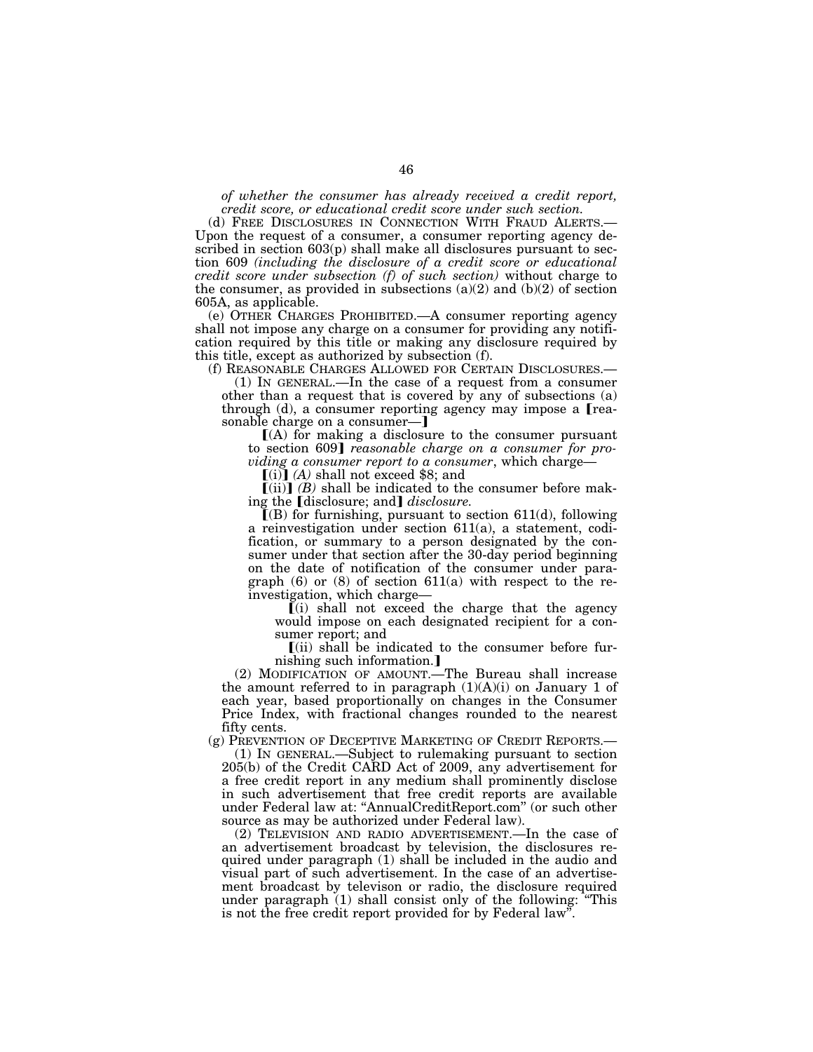*of whether the consumer has already received a credit report,* 

*credit score, or educational credit score under such section.*  Upon the request of a consumer, a consumer reporting agency described in section 603(p) shall make all disclosures pursuant to section 609 *(including the disclosure of a credit score or educational credit score under subsection (f) of such section)* without charge to the consumer, as provided in subsections  $(a)(2)$  and  $(b)(2)$  of section 605A, as applicable.

(e) OTHER CHARGES PROHIBITED.—A consumer reporting agency shall not impose any charge on a consumer for providing any notification required by this title or making any disclosure required by this title, except as authorized by subsection (f).

(f) REASONABLE CHARGES ALLOWED FOR CERTAIN DISCLOSURES.—

(1) IN GENERAL.—In the case of a request from a consumer other than a request that is covered by any of subsections (a) through  $(d)$ , a consumer reporting agency may impose a [reasonable charge on a consumer—

 $(A)$  for making a disclosure to the consumer pursuant to section 609] *reasonable charge on a consumer for providing a consumer report to a consumer*, which charge—

 $\left[\text{(i)}\right]$  *(A)* shall not exceed \$8; and

 $[(ii)]$   $(B)$  shall be indicated to the consumer before making the [disclosure; and] *disclosure*.

 $[(B)$  for furnishing, pursuant to section 611(d), following a reinvestigation under section 611(a), a statement, codification, or summary to a person designated by the consumer under that section after the 30-day period beginning on the date of notification of the consumer under paragraph  $(6)$  or  $(8)$  of section  $611(a)$  with respect to the reinvestigation, which charge—

 $\tilde{I}$ (i) shall not exceed the charge that the agency would impose on each designated recipient for a consumer report; and

 $(iii)$  shall be indicated to the consumer before furnishing such information.]

(2) MODIFICATION OF AMOUNT.—The Bureau shall increase the amount referred to in paragraph  $(1)(A)(i)$  on January 1 of each year, based proportionally on changes in the Consumer Price Index, with fractional changes rounded to the nearest fifty cents.

(g) PREVENTION OF DECEPTIVE MARKETING OF CREDIT REPORTS.—

(1) IN GENERAL.—Subject to rulemaking pursuant to section 205(b) of the Credit CARD Act of 2009, any advertisement for a free credit report in any medium shall prominently disclose in such advertisement that free credit reports are available under Federal law at: ''AnnualCreditReport.com'' (or such other source as may be authorized under Federal law).

(2) TELEVISION AND RADIO ADVERTISEMENT.—In the case of an advertisement broadcast by television, the disclosures required under paragraph (1) shall be included in the audio and visual part of such advertisement. In the case of an advertisement broadcast by televison or radio, the disclosure required under paragraph (1) shall consist only of the following: ''This is not the free credit report provided for by Federal law<sup>"</sup>.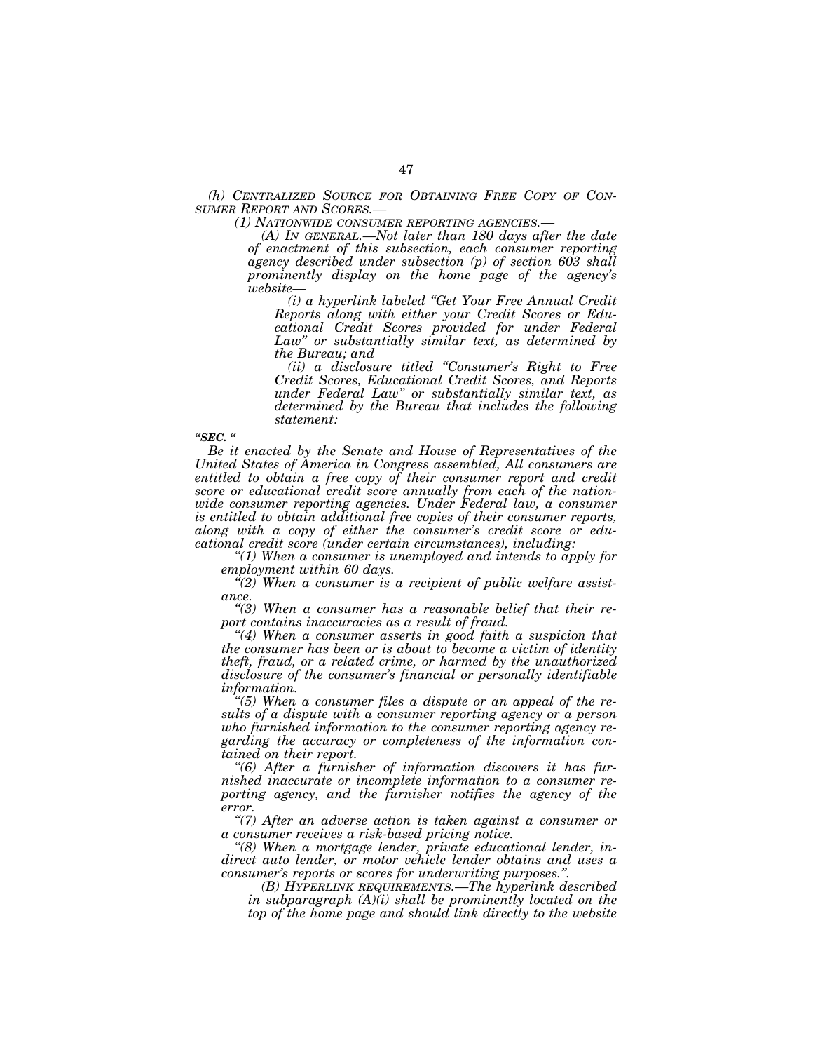*(h) CENTRALIZED SOURCE FOR OBTAINING FREE COPY OF CON-*

*(1)* NATIONWIDE CONSUMER REPORTING AGENCIES.—<br>(A) IN GENERAL.—Not later than 180 days after the date *of enactment of this subsection, each consumer reporting agency described under subsection (p) of section 603 shall prominently display on the home page of the agency's website—* 

> *(i) a hyperlink labeled ''Get Your Free Annual Credit Reports along with either your Credit Scores or Educational Credit Scores provided for under Federal Law'' or substantially similar text, as determined by the Bureau; and*

> *(ii) a disclosure titled ''Consumer's Right to Free Credit Scores, Educational Credit Scores, and Reports under Federal Law'' or substantially similar text, as determined by the Bureau that includes the following statement:*

*''SEC. ''* 

*Be it enacted by the Senate and House of Representatives of the United States of America in Congress assembled, All consumers are entitled to obtain a free copy of their consumer report and credit score or educational credit score annually from each of the nationwide consumer reporting agencies. Under Federal law, a consumer is entitled to obtain additional free copies of their consumer reports, along with a copy of either the consumer's credit score or educational credit score (under certain circumstances), including:* 

*''(1) When a consumer is unemployed and intends to apply for employment within 60 days.* 

*''(2) When a consumer is a recipient of public welfare assistance.* 

*''(3) When a consumer has a reasonable belief that their report contains inaccuracies as a result of fraud.* 

*''(4) When a consumer asserts in good faith a suspicion that the consumer has been or is about to become a victim of identity theft, fraud, or a related crime, or harmed by the unauthorized disclosure of the consumer's financial or personally identifiable information.* 

*''(5) When a consumer files a dispute or an appeal of the results of a dispute with a consumer reporting agency or a person who furnished information to the consumer reporting agency regarding the accuracy or completeness of the information contained on their report.* 

*''(6) After a furnisher of information discovers it has furnished inaccurate or incomplete information to a consumer reporting agency, and the furnisher notifies the agency of the error.* 

*''(7) After an adverse action is taken against a consumer or a consumer receives a risk-based pricing notice.* 

*''(8) When a mortgage lender, private educational lender, indirect auto lender, or motor vehicle lender obtains and uses a consumer's reports or scores for underwriting purposes.''.* 

*(B) HYPERLINK REQUIREMENTS.—The hyperlink described in subparagraph (A)(i) shall be prominently located on the top of the home page and should link directly to the website*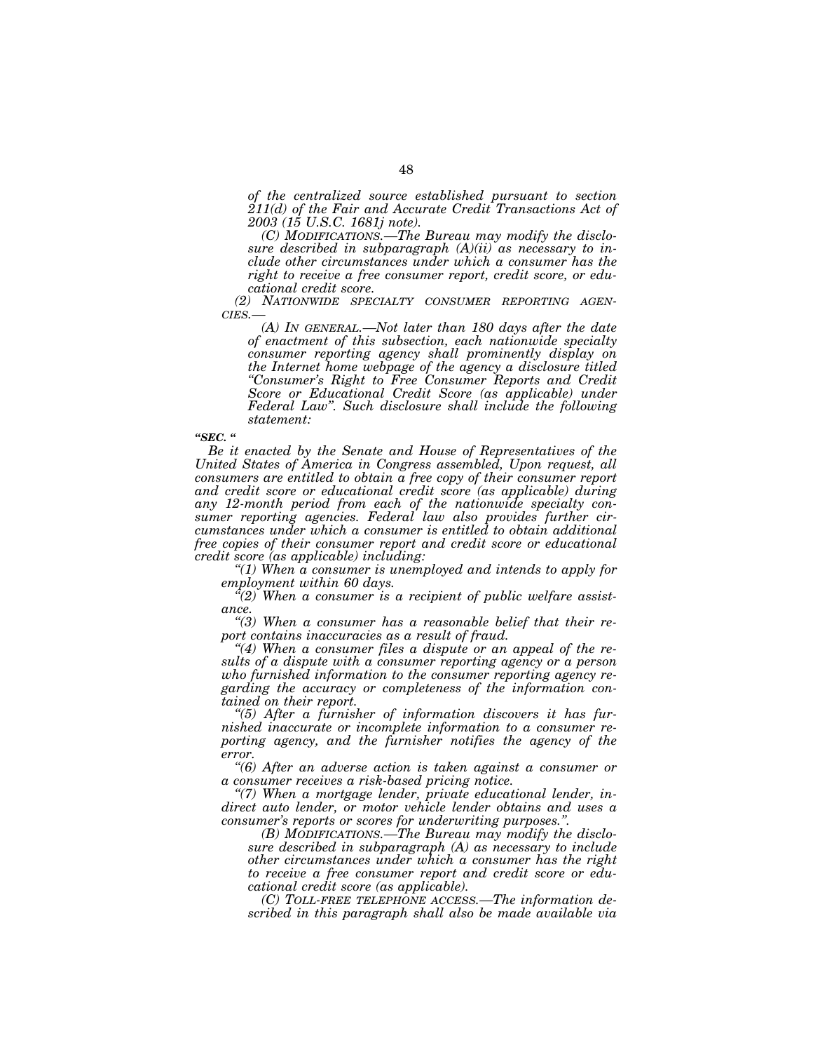*of the centralized source established pursuant to section 211(d) of the Fair and Accurate Credit Transactions Act of 2003 (15 U.S.C. 1681j note).* 

*(C) MODIFICATIONS.—The Bureau may modify the disclosure described in subparagraph (A)(ii) as necessary to include other circumstances under which a consumer has the right to receive a free consumer report, credit score, or educational credit score.* 

*(2) NATIONWIDE SPECIALTY CONSUMER REPORTING AGEN- CIES.—* 

*(A) IN GENERAL.—Not later than 180 days after the date of enactment of this subsection, each nationwide specialty consumer reporting agency shall prominently display on the Internet home webpage of the agency a disclosure titled ''Consumer's Right to Free Consumer Reports and Credit*  Score or Educational Credit Score (as applicable) under *Federal Law''. Such disclosure shall include the following statement:* 

*''SEC. ''* 

*Be it enacted by the Senate and House of Representatives of the United States of America in Congress assembled, Upon request, all consumers are entitled to obtain a free copy of their consumer report and credit score or educational credit score (as applicable) during any 12-month period from each of the nationwide specialty consumer reporting agencies. Federal law also provides further circumstances under which a consumer is entitled to obtain additional free copies of their consumer report and credit score or educational credit score (as applicable) including:* 

*''(1) When a consumer is unemployed and intends to apply for employment within 60 days.* 

*''(2) When a consumer is a recipient of public welfare assistance.* 

*''(3) When a consumer has a reasonable belief that their report contains inaccuracies as a result of fraud.* 

*''(4) When a consumer files a dispute or an appeal of the results of a dispute with a consumer reporting agency or a person who furnished information to the consumer reporting agency regarding the accuracy or completeness of the information contained on their report.* 

*''(5) After a furnisher of information discovers it has furnished inaccurate or incomplete information to a consumer reporting agency, and the furnisher notifies the agency of the error.* 

*''(6) After an adverse action is taken against a consumer or a consumer receives a risk-based pricing notice.* 

*''(7) When a mortgage lender, private educational lender, indirect auto lender, or motor vehicle lender obtains and uses a consumer's reports or scores for underwriting purposes.''.* 

*(B) MODIFICATIONS.—The Bureau may modify the disclosure described in subparagraph (A) as necessary to include other circumstances under which a consumer has the right to receive a free consumer report and credit score or educational credit score (as applicable).* 

*(C) TOLL-FREE TELEPHONE ACCESS.—The information described in this paragraph shall also be made available via*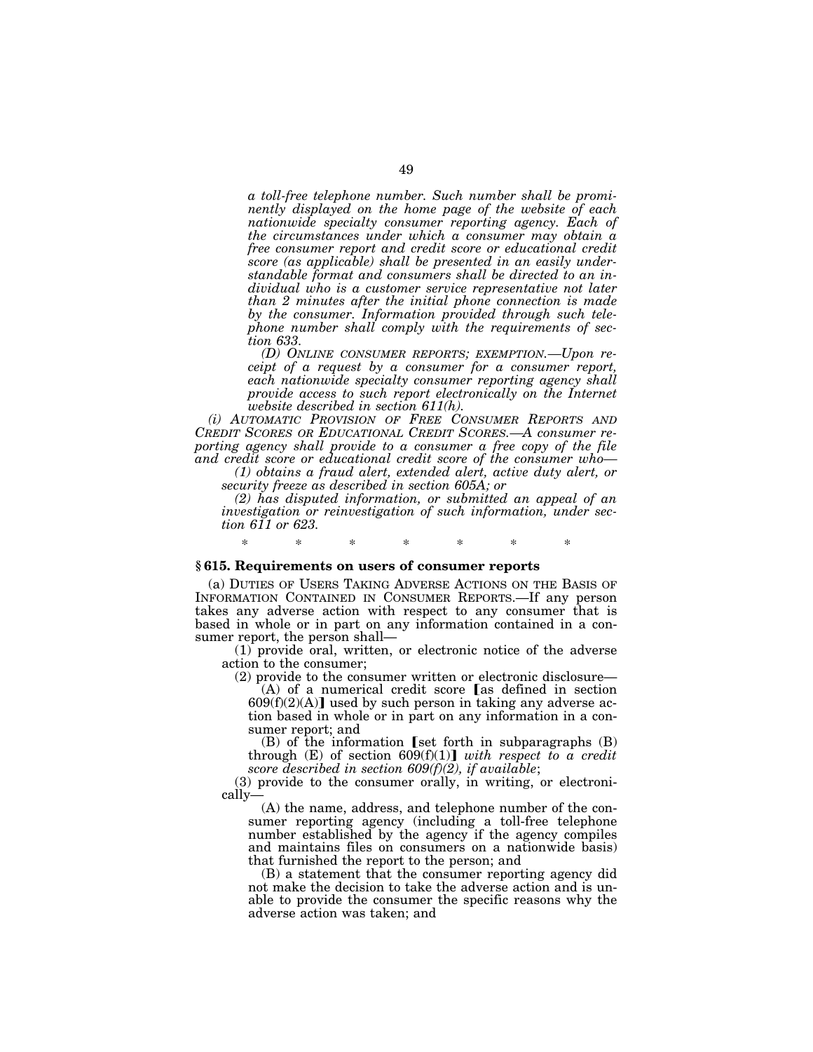*a toll-free telephone number. Such number shall be prominently displayed on the home page of the website of each nationwide specialty consumer reporting agency. Each of the circumstances under which a consumer may obtain a free consumer report and credit score or educational credit score (as applicable) shall be presented in an easily understandable format and consumers shall be directed to an individual who is a customer service representative not later than 2 minutes after the initial phone connection is made by the consumer. Information provided through such telephone number shall comply with the requirements of section 633.* 

*(D) ONLINE CONSUMER REPORTS; EXEMPTION.—Upon receipt of a request by a consumer for a consumer report, each nationwide specialty consumer reporting agency shall provide access to such report electronically on the Internet website described in section 611(h).* 

*(i) AUTOMATIC PROVISION OF FREE CONSUMER REPORTS AND CREDIT SCORES OR EDUCATIONAL CREDIT SCORES.—A consumer reporting agency shall provide to a consumer a free copy of the file*  and credit score or educational credit score of the consumer who-

*(1) obtains a fraud alert, extended alert, active duty alert, or security freeze as described in section 605A; or* 

*(2) has disputed information, or submitted an appeal of an investigation or reinvestigation of such information, under section 611 or 623.* 

\* \* \* \* \* \* \*

### **§ 615. Requirements on users of consumer reports**

(a) DUTIES OF USERS TAKING ADVERSE ACTIONS ON THE BASIS OF INFORMATION CONTAINED IN CONSUMER REPORTS.—If any person takes any adverse action with respect to any consumer that is based in whole or in part on any information contained in a consumer report, the person shall—

(1) provide oral, written, or electronic notice of the adverse action to the consumer;

(2) provide to the consumer written or electronic disclosure—

(A) of a numerical credit score as defined in section  $609(f)(2)(A)$  used by such person in taking any adverse action based in whole or in part on any information in a consumer report; and

(B) of the information [set forth in subparagraphs  $(B)$ through  $(E)$  of section  $609(f)(1)$  *with respect to a credit score described in section 609(f)(2), if available*;

(3) provide to the consumer orally, in writing, or electronically—

(A) the name, address, and telephone number of the consumer reporting agency (including a toll-free telephone number established by the agency if the agency compiles and maintains files on consumers on a nationwide basis) that furnished the report to the person; and

(B) a statement that the consumer reporting agency did not make the decision to take the adverse action and is unable to provide the consumer the specific reasons why the adverse action was taken; and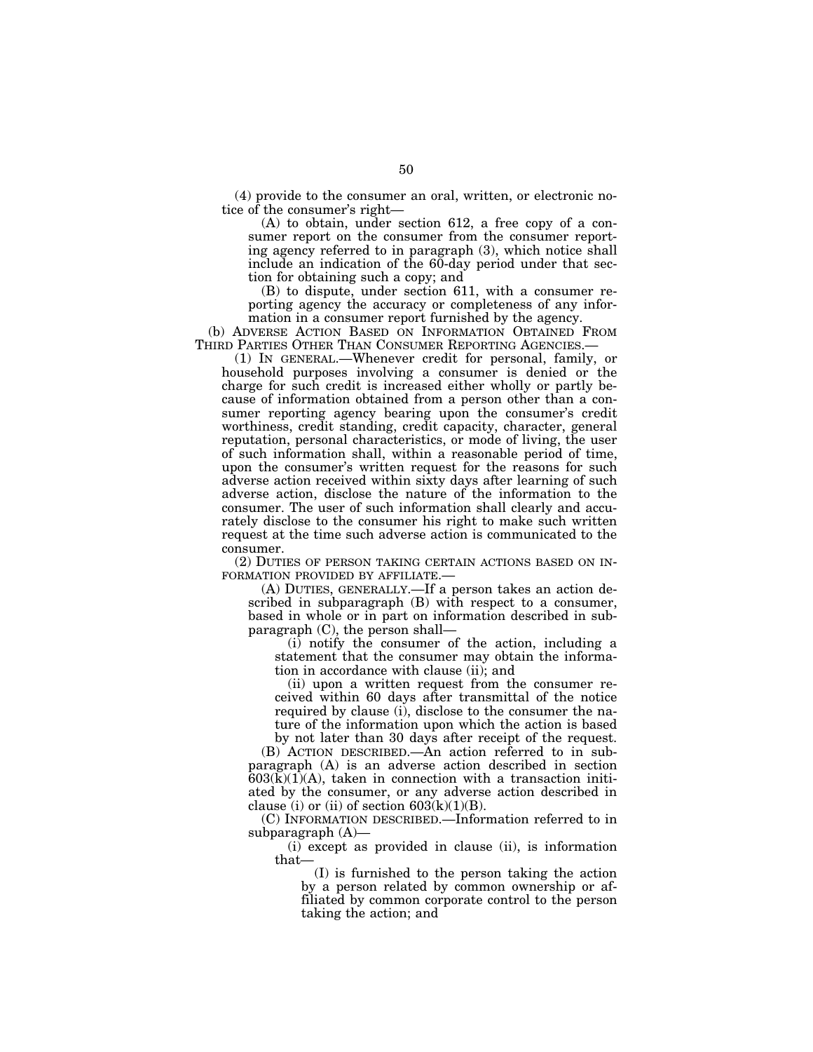(4) provide to the consumer an oral, written, or electronic notice of the consumer's right—

(A) to obtain, under section 612, a free copy of a consumer report on the consumer from the consumer reporting agency referred to in paragraph (3), which notice shall include an indication of the 60-day period under that section for obtaining such a copy; and

(B) to dispute, under section 611, with a consumer reporting agency the accuracy or completeness of any information in a consumer report furnished by the agency.

(b) ADVERSE ACTION BASED ON INFORMATION OBTAINED FROM THIRD PARTIES OTHER THAN CONSUMER REPORTING AGENCIES.—

(1) IN GENERAL.—Whenever credit for personal, family, or household purposes involving a consumer is denied or the charge for such credit is increased either wholly or partly because of information obtained from a person other than a consumer reporting agency bearing upon the consumer's credit worthiness, credit standing, credit capacity, character, general reputation, personal characteristics, or mode of living, the user of such information shall, within a reasonable period of time, upon the consumer's written request for the reasons for such adverse action received within sixty days after learning of such adverse action, disclose the nature of the information to the consumer. The user of such information shall clearly and accurately disclose to the consumer his right to make such written request at the time such adverse action is communicated to the consumer.

(2) DUTIES OF PERSON TAKING CERTAIN ACTIONS BASED ON IN-FORMATION PROVIDED BY AFFILIATE.—

(A) DUTIES, GENERALLY.—If a person takes an action described in subparagraph (B) with respect to a consumer, based in whole or in part on information described in subparagraph (C), the person shall—

(i) notify the consumer of the action, including a statement that the consumer may obtain the information in accordance with clause (ii); and

(ii) upon a written request from the consumer received within 60 days after transmittal of the notice required by clause (i), disclose to the consumer the nature of the information upon which the action is based by not later than 30 days after receipt of the request.

(B) ACTION DESCRIBED.—An action referred to in subparagraph (A) is an adverse action described in section  $603(k)(1)(A)$ , taken in connection with a transaction initiated by the consumer, or any adverse action described in clause (i) or (ii) of section  $603(k)(1)(B)$ .

(C) INFORMATION DESCRIBED.—Information referred to in subparagraph (A)—

(i) except as provided in clause (ii), is information that—

(I) is furnished to the person taking the action by a person related by common ownership or affiliated by common corporate control to the person taking the action; and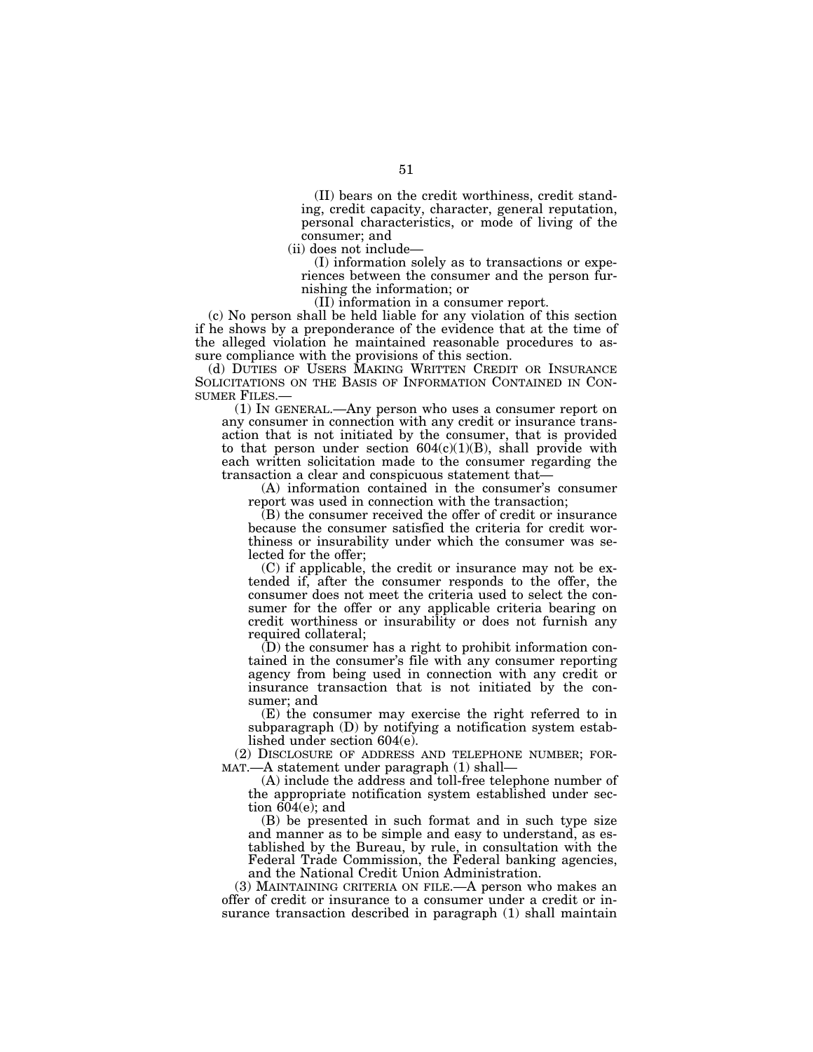(II) bears on the credit worthiness, credit standing, credit capacity, character, general reputation, personal characteristics, or mode of living of the consumer; and

(ii) does not include—

(I) information solely as to transactions or experiences between the consumer and the person furnishing the information; or

(II) information in a consumer report.

(c) No person shall be held liable for any violation of this section if he shows by a preponderance of the evidence that at the time of the alleged violation he maintained reasonable procedures to assure compliance with the provisions of this section.

(d) DUTIES OF USERS MAKING WRITTEN CREDIT OR INSURANCE SOLICITATIONS ON THE BASIS OF INFORMATION CONTAINED IN CON-SUMER FILES.—

(1) IN GENERAL.—Any person who uses a consumer report on any consumer in connection with any credit or insurance transaction that is not initiated by the consumer, that is provided to that person under section  $604(c)(1)(B)$ , shall provide with each written solicitation made to the consumer regarding the transaction a clear and conspicuous statement that—

(A) information contained in the consumer's consumer report was used in connection with the transaction;

(B) the consumer received the offer of credit or insurance because the consumer satisfied the criteria for credit worthiness or insurability under which the consumer was selected for the offer;

(C) if applicable, the credit or insurance may not be extended if, after the consumer responds to the offer, the consumer does not meet the criteria used to select the consumer for the offer or any applicable criteria bearing on credit worthiness or insurability or does not furnish any required collateral;

(D) the consumer has a right to prohibit information contained in the consumer's file with any consumer reporting agency from being used in connection with any credit or insurance transaction that is not initiated by the consumer; and

(E) the consumer may exercise the right referred to in subparagraph (D) by notifying a notification system established under section 604(e).

(2) DISCLOSURE OF ADDRESS AND TELEPHONE NUMBER; FOR-MAT.—A statement under paragraph (1) shall—

(A) include the address and toll-free telephone number of the appropriate notification system established under section  $604(e)$ ; and

(B) be presented in such format and in such type size and manner as to be simple and easy to understand, as established by the Bureau, by rule, in consultation with the Federal Trade Commission, the Federal banking agencies, and the National Credit Union Administration.

(3) MAINTAINING CRITERIA ON FILE.—A person who makes an offer of credit or insurance to a consumer under a credit or insurance transaction described in paragraph (1) shall maintain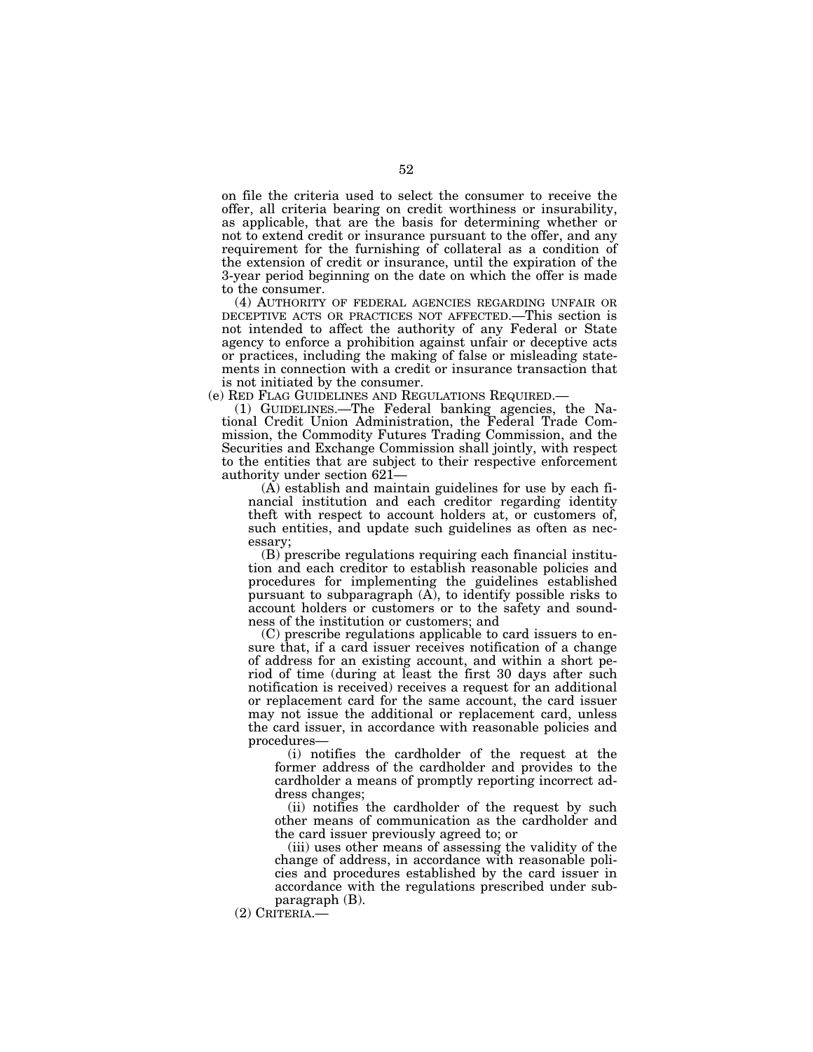on file the criteria used to select the consumer to receive the offer, all criteria bearing on credit worthiness or insurability, as applicable, that are the basis for determining whether or not to extend credit or insurance pursuant to the offer, and any requirement for the furnishing of collateral as a condition of the extension of credit or insurance, until the expiration of the 3-year period beginning on the date on which the offer is made to the consumer.

(4) AUTHORITY OF FEDERAL AGENCIES REGARDING UNFAIR OR DECEPTIVE ACTS OR PRACTICES NOT AFFECTED.—This section is not intended to affect the authority of any Federal or State agency to enforce a prohibition against unfair or deceptive acts or practices, including the making of false or misleading statements in connection with a credit or insurance transaction that is not initiated by the consumer.

(e) RED FLAG GUIDELINES AND REGULATIONS REQUIRED.—

(1) GUIDELINES.—The Federal banking agencies, the National Credit Union Administration, the Federal Trade Commission, the Commodity Futures Trading Commission, and the Securities and Exchange Commission shall jointly, with respect to the entities that are subject to their respective enforcement authority under section 621—

(A) establish and maintain guidelines for use by each financial institution and each creditor regarding identity theft with respect to account holders at, or customers of, such entities, and update such guidelines as often as necessary;

(B) prescribe regulations requiring each financial institution and each creditor to establish reasonable policies and procedures for implementing the guidelines established pursuant to subparagraph (A), to identify possible risks to account holders or customers or to the safety and soundness of the institution or customers; and

(C) prescribe regulations applicable to card issuers to ensure that, if a card issuer receives notification of a change of address for an existing account, and within a short period of time (during at least the first 30 days after such notification is received) receives a request for an additional or replacement card for the same account, the card issuer may not issue the additional or replacement card, unless the card issuer, in accordance with reasonable policies and procedures—

(i) notifies the cardholder of the request at the former address of the cardholder and provides to the cardholder a means of promptly reporting incorrect address changes;

(ii) notifies the cardholder of the request by such other means of communication as the cardholder and the card issuer previously agreed to; or

(iii) uses other means of assessing the validity of the change of address, in accordance with reasonable policies and procedures established by the card issuer in accordance with the regulations prescribed under subparagraph (B).

(2) CRITERIA.—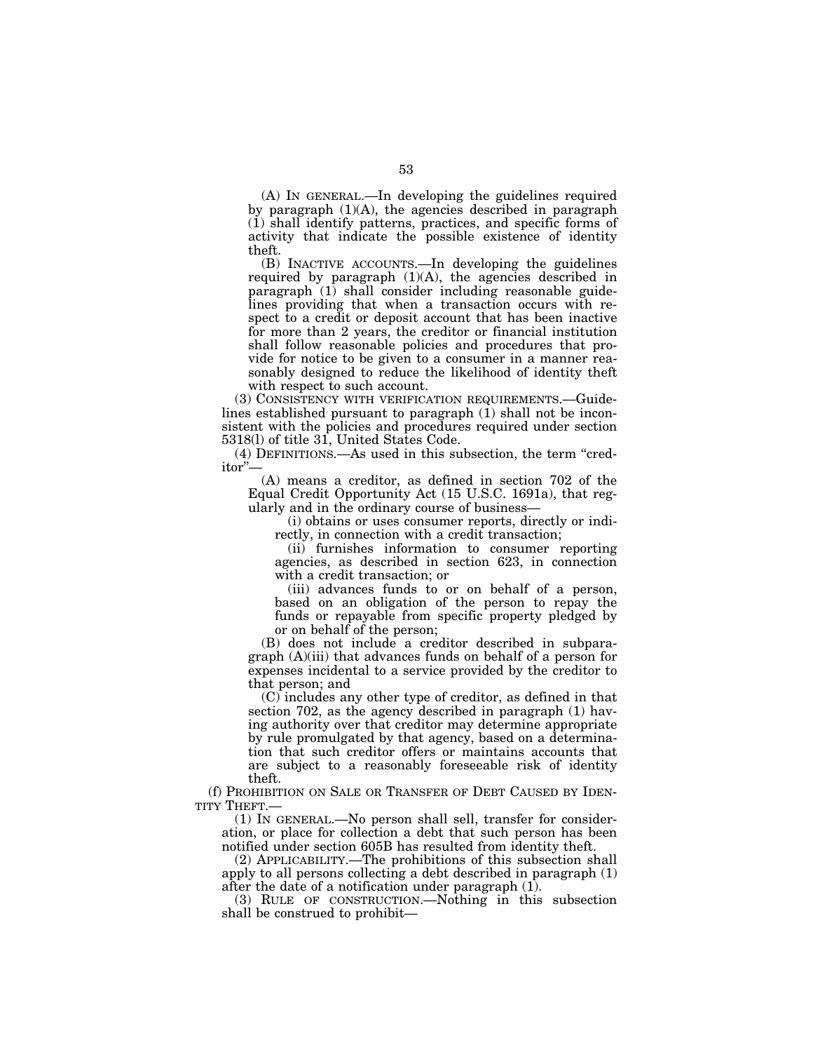(A) IN GENERAL.—In developing the guidelines required by paragraph  $(1)(A)$ , the agencies described in paragraph (1) shall identify patterns, practices, and specific forms of activity that indicate the possible existence of identity theft.

(B) INACTIVE ACCOUNTS.—In developing the guidelines required by paragraph  $(1)(A)$ , the agencies described in paragraph (1) shall consider including reasonable guidelines providing that when a transaction occurs with respect to a credit or deposit account that has been inactive for more than 2 years, the creditor or financial institution shall follow reasonable policies and procedures that provide for notice to be given to a consumer in a manner reasonably designed to reduce the likelihood of identity theft with respect to such account.

(3) CONSISTENCY WITH VERIFICATION REQUIREMENTS.—Guidelines established pursuant to paragraph (1) shall not be inconsistent with the policies and procedures required under section 5318(l) of title 31, United States Code.

(4) DEFINITIONS.—As used in this subsection, the term ''creditor''—

(A) means a creditor, as defined in section 702 of the Equal Credit Opportunity Act (15 U.S.C. 1691a), that regularly and in the ordinary course of business—

(i) obtains or uses consumer reports, directly or indirectly, in connection with a credit transaction;

(ii) furnishes information to consumer reporting agencies, as described in section 623, in connection with a credit transaction; or

(iii) advances funds to or on behalf of a person, based on an obligation of the person to repay the funds or repayable from specific property pledged by or on behalf of the person;

(B) does not include a creditor described in subparagraph (A)(iii) that advances funds on behalf of a person for expenses incidental to a service provided by the creditor to that person; and

(C) includes any other type of creditor, as defined in that section 702, as the agency described in paragraph (1) having authority over that creditor may determine appropriate by rule promulgated by that agency, based on a determination that such creditor offers or maintains accounts that are subject to a reasonably foreseeable risk of identity theft.

(f) PROHIBITION ON SALE OR TRANSFER OF DEBT CAUSED BY IDEN-TITY THEFT.—

(1) IN GENERAL.—No person shall sell, transfer for consideration, or place for collection a debt that such person has been notified under section 605B has resulted from identity theft.

(2) APPLICABILITY.—The prohibitions of this subsection shall apply to all persons collecting a debt described in paragraph (1) after the date of a notification under paragraph (1).

(3) RULE OF CONSTRUCTION.—Nothing in this subsection shall be construed to prohibit—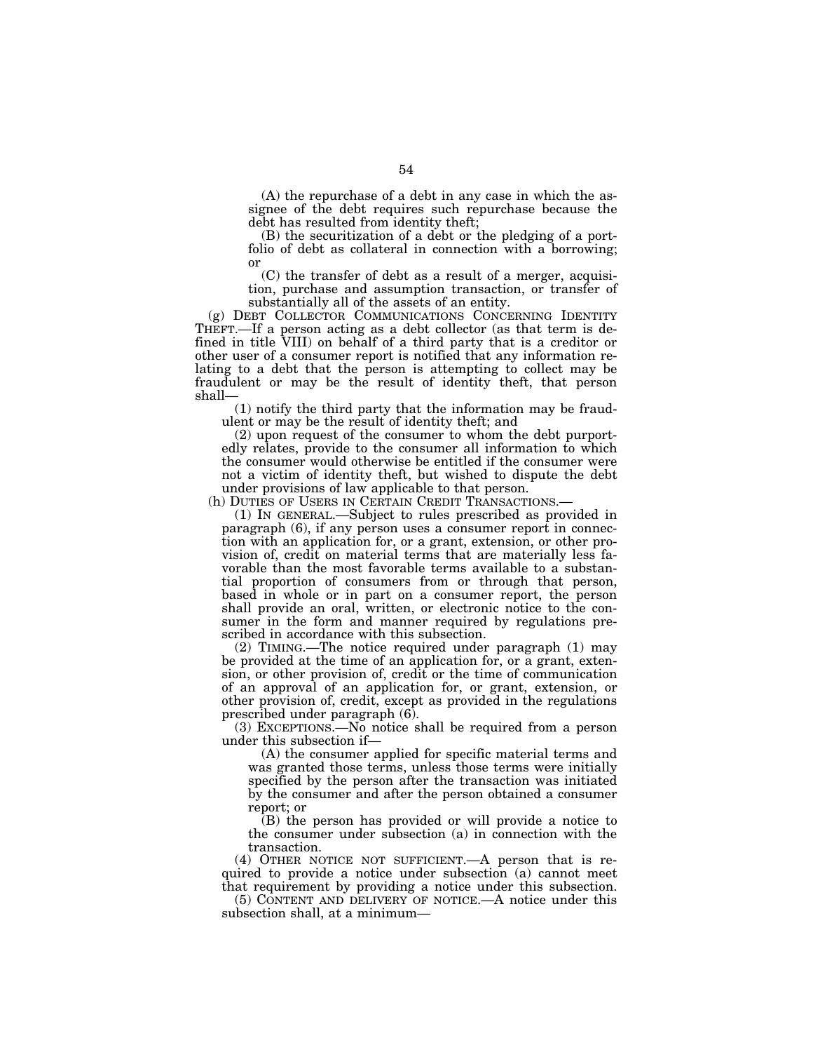(A) the repurchase of a debt in any case in which the assignee of the debt requires such repurchase because the debt has resulted from identity theft;

(B) the securitization of a debt or the pledging of a portfolio of debt as collateral in connection with a borrowing; or

(C) the transfer of debt as a result of a merger, acquisition, purchase and assumption transaction, or transfer of substantially all of the assets of an entity.

(g) DEBT COLLECTOR COMMUNICATIONS CONCERNING IDENTITY THEFT.—If a person acting as a debt collector (as that term is defined in title VIII) on behalf of a third party that is a creditor or other user of a consumer report is notified that any information relating to a debt that the person is attempting to collect may be fraudulent or may be the result of identity theft, that person shall—

(1) notify the third party that the information may be fraudulent or may be the result of identity theft; and

(2) upon request of the consumer to whom the debt purportedly relates, provide to the consumer all information to which the consumer would otherwise be entitled if the consumer were not a victim of identity theft, but wished to dispute the debt under provisions of law applicable to that person.

(h) DUTIES OF USERS IN CERTAIN CREDIT TRANSACTIONS.— (1) IN GENERAL.—Subject to rules prescribed as provided in

paragraph (6), if any person uses a consumer report in connection with an application for, or a grant, extension, or other provision of, credit on material terms that are materially less favorable than the most favorable terms available to a substantial proportion of consumers from or through that person, based in whole or in part on a consumer report, the person shall provide an oral, written, or electronic notice to the consumer in the form and manner required by regulations prescribed in accordance with this subsection.

(2) TIMING.—The notice required under paragraph (1) may be provided at the time of an application for, or a grant, extension, or other provision of, credit or the time of communication of an approval of an application for, or grant, extension, or other provision of, credit, except as provided in the regulations prescribed under paragraph (6).

(3) EXCEPTIONS.—No notice shall be required from a person under this subsection if—

(A) the consumer applied for specific material terms and was granted those terms, unless those terms were initially specified by the person after the transaction was initiated by the consumer and after the person obtained a consumer report; or

(B) the person has provided or will provide a notice to the consumer under subsection (a) in connection with the transaction.

(4) OTHER NOTICE NOT SUFFICIENT.—A person that is required to provide a notice under subsection (a) cannot meet that requirement by providing a notice under this subsection.

(5) CONTENT AND DELIVERY OF NOTICE.—A notice under this subsection shall, at a minimum—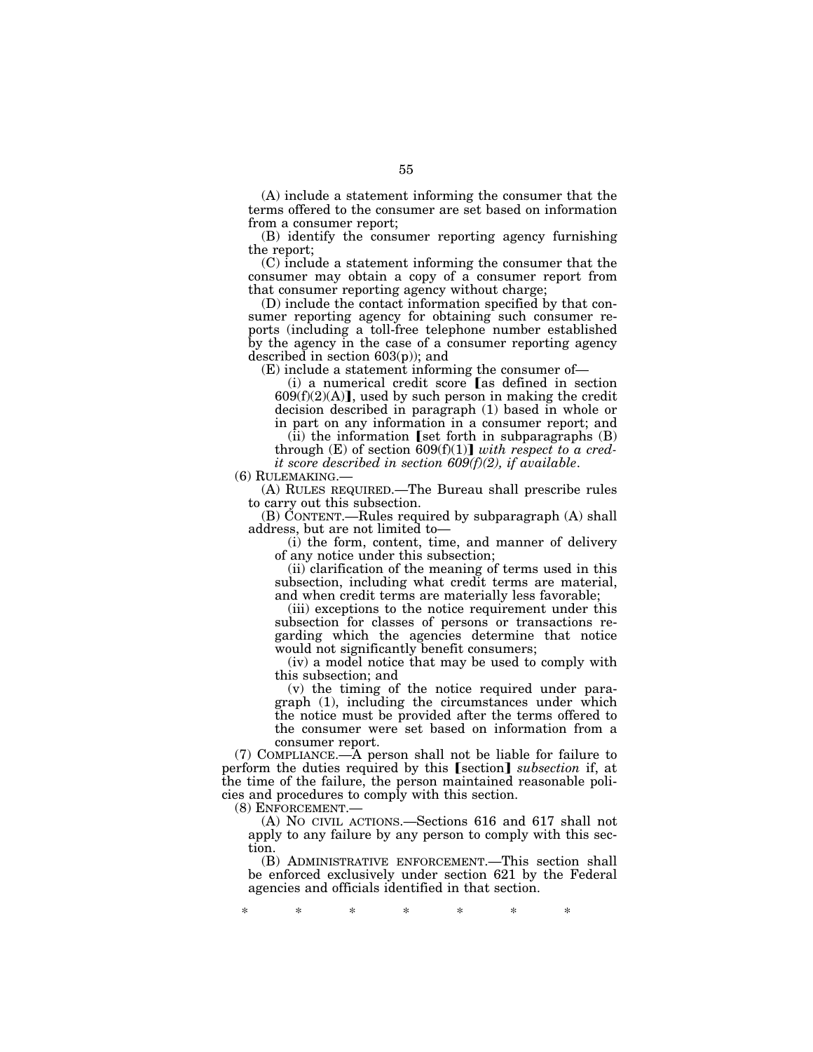(A) include a statement informing the consumer that the terms offered to the consumer are set based on information from a consumer report;

(B) identify the consumer reporting agency furnishing the report;

(C) include a statement informing the consumer that the consumer may obtain a copy of a consumer report from that consumer reporting agency without charge;

(D) include the contact information specified by that consumer reporting agency for obtaining such consumer reports (including a toll-free telephone number established by the agency in the case of a consumer reporting agency described in section 603(p)); and

(E) include a statement informing the consumer of—

(i) a numerical credit score [as defined in section  $609(f)(2)(A)$ , used by such person in making the credit decision described in paragraph (1) based in whole or in part on any information in a consumer report; and

 $(iii)$  the information [set forth in subparagraphs  $(B)$ through  $(E)$  of section  $609(f)(1)$  *with respect to a credit score described in section 609(f)(2), if available*.

(6) RULEMAKING.— (A) RULES REQUIRED.—The Bureau shall prescribe rules to carry out this subsection.

 $(B)$  CONTENT.—Rules required by subparagraph  $(A)$  shall address, but are not limited to—

(i) the form, content, time, and manner of delivery of any notice under this subsection;

(ii) clarification of the meaning of terms used in this subsection, including what credit terms are material, and when credit terms are materially less favorable;

(iii) exceptions to the notice requirement under this subsection for classes of persons or transactions regarding which the agencies determine that notice would not significantly benefit consumers;

(iv) a model notice that may be used to comply with this subsection; and

(v) the timing of the notice required under paragraph (1), including the circumstances under which the notice must be provided after the terms offered to the consumer were set based on information from a consumer report.

(7) COMPLIANCE.—A person shall not be liable for failure to perform the duties required by this [section] *subsection* if, at the time of the failure, the person maintained reasonable policies and procedures to comply with this section.

(8) ENFORCEMENT.—

(A) NO CIVIL ACTIONS.—Sections 616 and 617 shall not apply to any failure by any person to comply with this section.

(B) ADMINISTRATIVE ENFORCEMENT.—This section shall be enforced exclusively under section 621 by the Federal agencies and officials identified in that section.

\* \* \* \* \* \* \*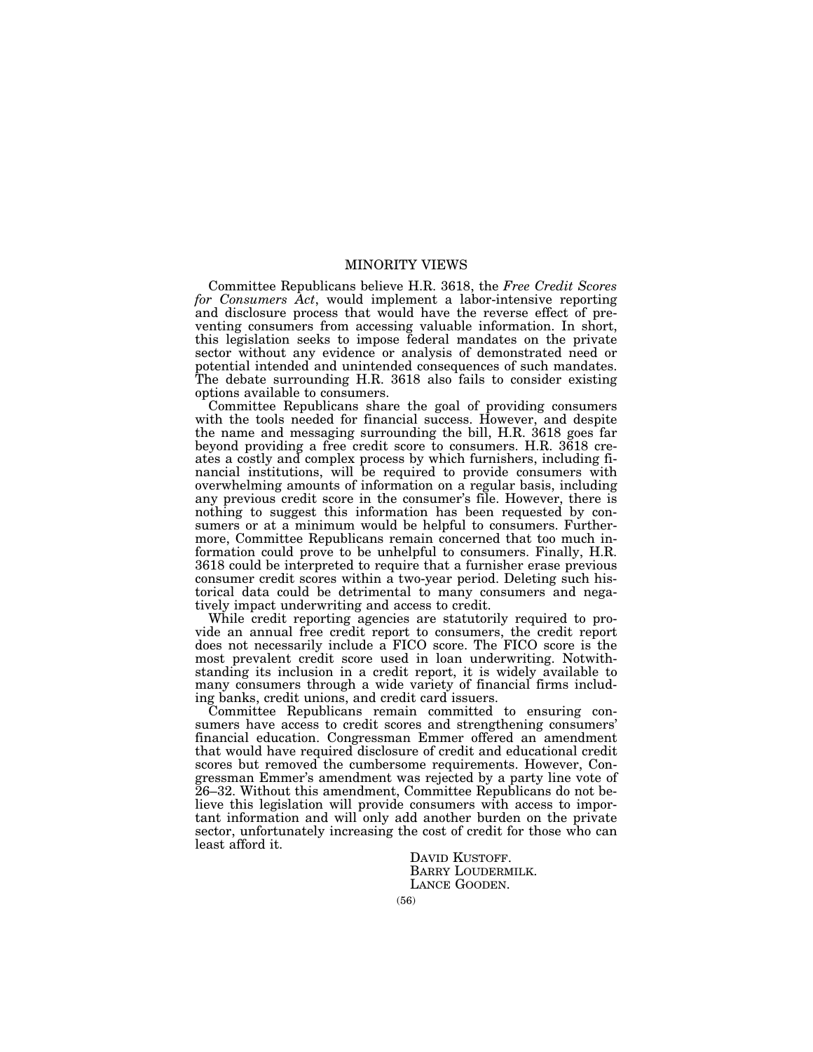## MINORITY VIEWS

Committee Republicans believe H.R. 3618, the *Free Credit Scores for Consumers Act*, would implement a labor-intensive reporting and disclosure process that would have the reverse effect of preventing consumers from accessing valuable information. In short, this legislation seeks to impose federal mandates on the private sector without any evidence or analysis of demonstrated need or potential intended and unintended consequences of such mandates. The debate surrounding H.R. 3618 also fails to consider existing options available to consumers.

Committee Republicans share the goal of providing consumers with the tools needed for financial success. However, and despite the name and messaging surrounding the bill, H.R. 3618 goes far beyond providing a free credit score to consumers. H.R. 3618 creates a costly and complex process by which furnishers, including financial institutions, will be required to provide consumers with overwhelming amounts of information on a regular basis, including any previous credit score in the consumer's file. However, there is nothing to suggest this information has been requested by consumers or at a minimum would be helpful to consumers. Furthermore, Committee Republicans remain concerned that too much information could prove to be unhelpful to consumers. Finally, H.R. 3618 could be interpreted to require that a furnisher erase previous consumer credit scores within a two-year period. Deleting such historical data could be detrimental to many consumers and negatively impact underwriting and access to credit.

While credit reporting agencies are statutorily required to provide an annual free credit report to consumers, the credit report does not necessarily include a FICO score. The FICO score is the most prevalent credit score used in loan underwriting. Notwithstanding its inclusion in a credit report, it is widely available to many consumers through a wide variety of financial firms including banks, credit unions, and credit card issuers.

Committee Republicans remain committed to ensuring consumers have access to credit scores and strengthening consumers' financial education. Congressman Emmer offered an amendment that would have required disclosure of credit and educational credit scores but removed the cumbersome requirements. However, Congressman Emmer's amendment was rejected by a party line vote of 26–32. Without this amendment, Committee Republicans do not believe this legislation will provide consumers with access to important information and will only add another burden on the private sector, unfortunately increasing the cost of credit for those who can least afford it.

> DAVID KUSTOFF. BARRY LOUDERMILK. LANCE GOODEN.